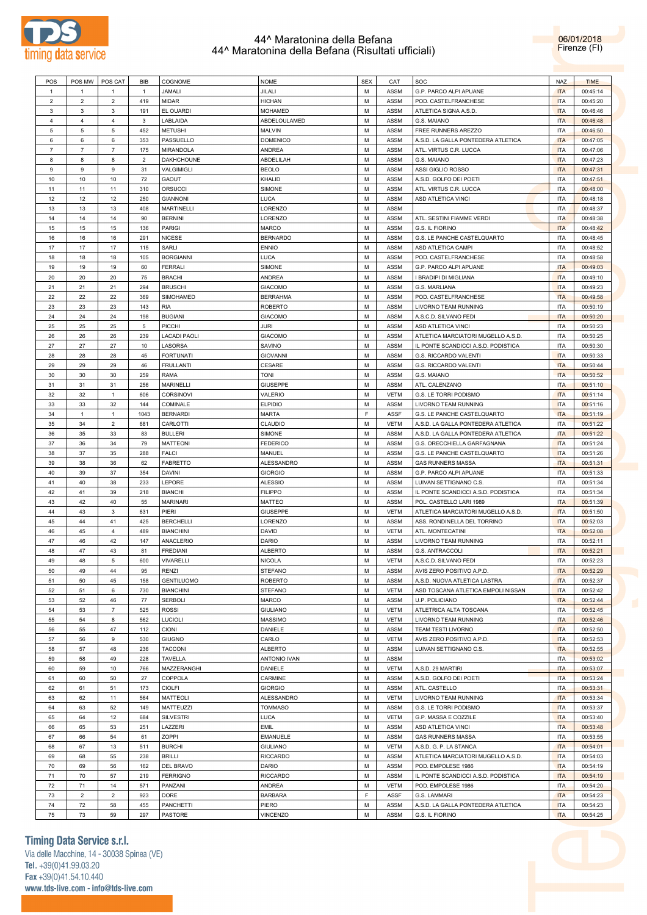

06/01/2018 Firenze (FI)

| POS            |                | POS MW POS CAT            | BIB            | COGNOME             | <b>NOME</b>     | <b>SEX</b> | CAT         | SOC                                 | <b>NAZ</b> | <b>TIME</b> |
|----------------|----------------|---------------------------|----------------|---------------------|-----------------|------------|-------------|-------------------------------------|------------|-------------|
| $\overline{1}$ | -1             | -1                        | $\overline{1}$ | JAMALI              | JILALI          | М          | ASSM        | G.P. PARCO ALPI APUANE              | <b>ITA</b> | 00:45:14    |
| $\overline{2}$ | $\overline{2}$ | 2                         | 419            | <b>MIDAR</b>        | <b>HICHAN</b>   | М          | ASSM        |                                     |            | 00:45:20    |
|                |                |                           |                |                     |                 |            |             | POD. CASTELFRANCHESE                | <b>ITA</b> |             |
| 3              | 3              | 3                         | 191            | EL OUARDI           | <b>MOHAMED</b>  | М          | ASSM        | ATLETICA SIGNA A.S.D.               | <b>ITA</b> | 00:46:46    |
| $\overline{4}$ | $\overline{4}$ | $\overline{4}$            | 3              | LABLAIDA            | ABDELOULAMED    | М          | ASSM        | G.S. MAIANO                         | <b>ITA</b> | 00:46:48    |
| 5              | 5              | 5                         | 452            | <b>METUSHI</b>      | MALVIN          | М          | ASSM        | FREE RUNNERS AREZZO                 | ITA        | 00:46:50    |
| 6              | 6              | 6                         | 353            | PASSUELLO           | <b>DOMENICO</b> | M          | ASSM        | A.S.D. LA GALLA PONTEDERA ATLETICA  | <b>ITA</b> | 00:47:05    |
| $\overline{7}$ | $\overline{7}$ | $\overline{7}$            | 175            | MIRANDOLA           | ANDREA          | М          | ASSM        | ATL. VIRTUS C.R. LUCCA              | <b>ITA</b> | 00:47:06    |
|                |                |                           | $\overline{2}$ |                     |                 | M          |             |                                     |            |             |
| 8              | 8              | 8                         |                | DAKHCHOUNE          | ABDELILAH       |            | ASSM        | G.S. MAIANO                         | <b>ITA</b> | 00:47:23    |
| 9              | 9              | 9                         | 31             | VALGIMIGLI          | <b>BEOLO</b>    | М          | ASSM        | ASSI GIGLIO ROSSO                   | <b>ITA</b> | 00:47:31    |
| 10             | 10             | 10                        | 72             | GAOUT               | KHALID          | М          | ASSM        | A.S.D. GOLFO DEI POETI              | <b>ITA</b> | 00:47:51    |
| 11             | 11             | 11                        | 310            | ORSUCCI             | SIMONE          | М          | ASSM        | ATL. VIRTUS C.R. LUCCA              | ITA        | 00:48:00    |
| 12             | 12             | 12                        | 250            | <b>GIANNONI</b>     | LUCA            | М          | ASSM        | ASD ATLETICA VINCI                  | ITA        | 00:48:18    |
| 13             | 13             | 13                        | 408            | <b>MARTINELLI</b>   | LORENZO         | М          | ASSM        |                                     | ITA        | 00:48:37    |
|                |                |                           |                |                     |                 |            |             |                                     |            |             |
| 14             | 14             | 14                        | 90             | <b>BERNINI</b>      | LORENZO         | M          | ASSM        | ATL. SESTINI FIAMME VERDI           | <b>ITA</b> | 00:48:38    |
| 15             | 15             | 15                        | 136            | PARIGI              | MARCO           | М          | ASSM        | G.S. IL FIORINO                     | <b>ITA</b> | 00:48:42    |
| 16             | 16             | 16                        | 291            | <b>NICESE</b>       | <b>BERNARDO</b> | М          | ASSM        | G.S. LE PANCHE CASTELQUARTO         | ITA        | 00:48:45    |
| 17             | 17             | 17                        | 115            | SARLI               | <b>ENNIO</b>    | М          | ASSM        | ASD ATLETICA CAMPI                  | <b>ITA</b> | 00:48:52    |
| 18             | 18             | 18                        | 105            | <b>BORGIANNI</b>    | LUCA            | М          | ASSM        | POD. CASTELFRANCHESE                | <b>ITA</b> | 00:48:58    |
|                | 19             |                           |                | <b>FERRALI</b>      |                 | М          |             |                                     |            |             |
| 19             |                | 19                        | 60             |                     | SIMONE          |            | ASSM        | G.P. PARCO ALPI APUANE              | <b>ITA</b> | 00:49:03    |
| 20             | 20             | 20                        | 75             | <b>BRACHI</b>       | <b>ANDREA</b>   | М          | ASSM        | I BRADIPI DI MIGLIANA               | <b>ITA</b> | 00:49:10    |
| 21             | 21             | 21                        | 294            | <b>BRUSCHI</b>      | <b>GIACOMO</b>  | М          | ASSM        | G.S. MARLIANA                       | <b>ITA</b> | 00:49:23    |
| 22             | 22             | 22                        | 369            | SIMOHAMED           | <b>BERRAHMA</b> | М          | ASSM        | POD. CASTELFRANCHESE                | <b>ITA</b> | 00:49:58    |
| 23             | 23             | 23                        | 143            | <b>RIA</b>          | <b>ROBERTO</b>  | М          | ASSM        | LIVORNO TEAM RUNNING                | ITA        | 00:50:19    |
| 24             | 24             | 24                        | 198            | <b>BUGIANI</b>      | <b>GIACOMO</b>  | M          | ASSM        | A.S.C.D. SILVANO FEDI               | <b>ITA</b> | 00:50:20    |
|                |                |                           |                |                     |                 |            |             |                                     |            |             |
| 25             | 25             | 25                        | 5              | PICCHI              | JURI            | М          | ASSM        | ASD ATLETICA VINCI                  | ITA        | 00:50:23    |
| 26             | 26             | 26                        | 239            | <b>LACADI PAOLI</b> | <b>GIACOMO</b>  | M          | ASSM        | ATLETICA MARCIATORI MUGELLO A.S.D.  | ITA        | 00:50:25    |
| 27             | 27             | 27                        | 10             | LASORSA             | SAVINO          | М          | ASSM        | IL PONTE SCANDICCI A.S.D. PODISTICA | ITA        | 00:50:30    |
| 28             | 28             | 28                        | 45             | <b>FORTUNATI</b>    | GIOVANNI        | M          | ASSM        | G.S. RICCARDO VALENTI               | <b>ITA</b> | 00:50:33    |
| 29             | 29             | 29                        | 46             | <b>FRULLANTI</b>    | CESARE          | М          | ASSM        | G.S. RICCARDO VALENTI               | <b>ITA</b> | 00:50:44    |
| 30             | 30             | 30                        | 259            | <b>RAMA</b>         | <b>TONI</b>     | М          | ASSM        |                                     | <b>ITA</b> | 00:50:52    |
|                |                |                           |                |                     |                 |            |             | G.S. MAIANO                         |            |             |
| 31             | 31             | 31                        | 256            | MARINELLI           | <b>GIUSEPPE</b> | М          | ASSM        | ATL. CALENZANO                      | <b>ITA</b> | 00:51:10    |
| 32             | 32             | $\mathbf{1}$              | 606            | <b>CORSINOVI</b>    | VALERIO         | M          | <b>VETM</b> | G.S. LE TORRI PODISMO               | <b>ITA</b> | 00:51:14    |
| 33             | 33             | 32                        | 144            | COMINALE            | <b>ELPIDIO</b>  | М          | ASSM        | LIVORNO TEAM RUNNING                | <b>ITA</b> | 00:51:16    |
| 34             | $\mathbf{1}$   | $\mathbf{1}$              | 1043           | <b>BERNARDI</b>     | <b>MARTA</b>    | F          | <b>ASSF</b> | G.S. LE PANCHE CASTELQUARTO         | <b>ITA</b> | 00:51:19    |
| 35             | 34             | $\overline{c}$            | 681            | CARLOTTI            | CLAUDIO         | М          | <b>VETM</b> | A.S.D. LA GALLA PONTEDERA ATLETICA  | ITA        | 00:51:22    |
|                |                |                           |                |                     |                 |            |             |                                     |            |             |
| 36             | 35             | 33                        | 83             | <b>BULLERI</b>      | SIMONE          | M          | ASSM        | A.S.D. LA GALLA PONTEDERA ATLETICA  | <b>ITA</b> | 00:51:22    |
| 37             | 36             | 34                        | 79             | <b>MATTEONI</b>     | <b>FEDERICO</b> | М          | ASSM        | G.S. ORECCHIELLA GARFAGNANA         | <b>ITA</b> | 00:51:24    |
| 38             | 37             | 35                        | 288            | <b>FALCI</b>        | MANUEL          | M          | ASSM        | G.S. LE PANCHE CASTELQUARTO         | <b>ITA</b> | 00:51:26    |
| 39             | 38             | 36                        | 62             | <b>FABRETTO</b>     | ALESSANDRO      | М          | ASSM        | <b>GAS RUNNERS MASSA</b>            | <b>ITA</b> | 00:51:31    |
| 40             | 39             | 37                        | 354            | <b>DAVINI</b>       | <b>GIORGIO</b>  | М          | ASSM        | G.P. PARCO ALPI APUANE              | <b>ITA</b> | 00:51:33    |
| 41             | 40             | 38                        | 233            | LEPORE              | <b>ALESSIO</b>  | М          | ASSM        | LUIVAN SETTIGNANO C.S.              | ITA        | 00:51:34    |
|                |                |                           |                |                     |                 |            |             |                                     |            |             |
| 42             | 41             | 39                        | 218            | <b>BIANCHI</b>      | <b>FILIPPO</b>  | М          | ASSM        | IL PONTE SCANDICCI A.S.D. PODISTICA | ITA        | 00:51:34    |
| 43             | 42             | 40                        | 55             | <b>MARINARI</b>     | <b>MATTEO</b>   | М          | ASSM        | POL. CASTELLO LARI 1989             | <b>ITA</b> | 00:51:39    |
| 44             | 43             | 3                         | 631            | PIERI               | <b>GIUSEPPE</b> | M          | <b>VETM</b> | ATLETICA MARCIATORI MUGELLO A.S.D.  | <b>ITA</b> | 00:51:50    |
| 45             | 44             | 41                        | 425            | <b>BERCHELLI</b>    | LORENZO         | М          | ASSM        | ASS. RONDINELLA DEL TORRINO         | <b>ITA</b> | 00:52:03    |
| 46             | 45             | $\overline{4}$            | 489            | <b>BIANCHINI</b>    | DAVID           | М          | <b>VETM</b> | ATL. MONTECATINI                    | <b>ITA</b> | 00:52:08    |
| 47             | 46             | 42                        | 147            | ANACLERIO           | DARIO           | M          | ASSM        | LIVORNO TEAM RUNNING                | ITA        | 00:52:11    |
|                |                |                           |                |                     |                 |            |             |                                     |            |             |
| 48             | 47             | 43                        | 81             | <b>FREDIANI</b>     | ALBERTO         | M          | ASSM        | G.S. ANTRACCOLI                     | <b>ITA</b> | 00:52:21    |
| 49             | 48             | 5                         | 600            | <b>VIVARELLI</b>    | <b>NICOLA</b>   | M          | <b>VETM</b> | A.S.C.D. SILVANO FEDI               | <b>ITA</b> | 00:52:23    |
| 50             | 49             | 44                        | 95             | <b>RENZI</b>        | <b>STEFANO</b>  | М          | ASSM        | AVIS ZERO POSITIVO A.P.D.           | <b>ITA</b> | 00:52:29    |
| 51             | 50             | 45                        | 158            | <b>GENTILUOMO</b>   | <b>ROBERTO</b>  | M          | ASSM        | A.S.D. NUOVA ATLETICA LASTRA        | <b>ITA</b> | 00:52:37    |
| 52             | 51             | 6                         | 730            | <b>BIANCHINI</b>    | <b>STEFANO</b>  | М          | <b>VETM</b> | ASD TOSCANA ATLETICA EMPOLI NISSAN  | <b>ITA</b> | 00:52:42    |
| 53             | 52             | 46                        | 77             | <b>SERBOLI</b>      | MARCO           | М          | ASSM        | U.P. POLICIANO                      | <b>ITA</b> | 00:52:44    |
|                |                |                           |                |                     |                 |            |             |                                     |            |             |
| 54             | 53             | $\overline{\mathfrak{z}}$ | 525            | <b>ROSSI</b>        | <b>GIULIANO</b> | М          | VETM        | ATLETRICA ALTA TOSCANA              | <b>ITA</b> | 00:52:45    |
| 55             | 54             | 8                         | 562            | <b>LUCIOLI</b>      | MASSIMO         | М          | <b>VETM</b> | LIVORNO TEAM RUNNING                | <b>ITA</b> | 00:52:46    |
| 56             | 55             | 47                        | 112            | <b>CIONI</b>        | DANIELE         | М          | ASSM        | TEAM TESTI LIVORNO                  | <b>ITA</b> | 00:52:50    |
| 57             | 56             | 9                         | 530            | <b>GIUGNO</b>       | CARLO           | М          | VETM        | AVIS ZERO POSITIVO A.P.D.           | <b>ITA</b> | 00:52:53    |
| 58             | 57             | 48                        | 236            | <b>TACCONI</b>      | <b>ALBERTO</b>  | М          | ASSM        | LUIVAN SETTIGNANO C.S.              | <b>ITA</b> | 00:52:55    |
| 59             | 58             | 49                        | 228            | <b>TAVELLA</b>      | ANTONIO IVAN    | М          | ASSM        |                                     | ITA        | 00:53:02    |
|                |                |                           |                |                     |                 |            |             |                                     |            |             |
| 60             | 59             | 10                        | 766            | MAZZERANGHI         | DANIELE         | M          | <b>VETM</b> | A.S.D. 29 MARTIRI                   | <b>ITA</b> | 00:53:07    |
| 61             | 60             | 50                        | 27             | COPPOLA             | CARMINE         | M          | ASSM        | A.S.D. GOLFO DEI POETI              | <b>ITA</b> | 00:53:24    |
| 62             | 61             | 51                        | 173            | <b>CIOLFI</b>       | <b>GIORGIO</b>  | M          | ASSM        | ATL. CASTELLO                       | <b>ITA</b> | 00:53:31    |
| 63             | 62             | 11                        | 564            | <b>MATTEOLI</b>     | ALESSANDRO      | M          | VETM        | LIVORNO TEAM RUNNING                | <b>ITA</b> | 00:53:34    |
| 64             | 63             | 52                        | 149            | MATTEUZZI           | <b>TOMMASO</b>  | М          | ASSM        | G.S. LE TORRI PODISMO               | <b>ITA</b> | 00:53:37    |
| 65             | 64             | 12                        | 684            | SILVESTRI           | LUCA            | M          | VETM        | G.P. MASSA E COZZILE                | <b>ITA</b> | 00:53:40    |
|                |                |                           |                |                     |                 |            |             |                                     |            |             |
| 66             | 65             | 53                        | 251            | LAZZERI             | EMIL            | М          | ASSM        | ASD ATLETICA VINCI                  | <b>ITA</b> | 00:53:48    |
| 67             | 66             | 54                        | 61             | ZOPPI               | EMANUELE        | M          | ASSM        | <b>GAS RUNNERS MASSA</b>            | <b>ITA</b> | 00:53:55    |
| 68             | 67             | 13                        | 511            | <b>BURCHI</b>       | <b>GIULIANO</b> | M          | <b>VETM</b> | A.S.D. G. P. LA STANCA              | <b>ITA</b> | 00:54:01    |
| 69             | 68             | 55                        | 238            | <b>BRILLI</b>       | <b>RICCARDO</b> | M          | ASSM        | ATLETICA MARCIATORI MUGELLO A.S.D.  | <b>ITA</b> | 00:54:03    |
| 70             | 69             | 56                        | 162            | DEL BRAVO           | DARIO           | M          | ASSM        | POD. EMPOLESE 1986                  | <b>ITA</b> | 00:54:19    |
| 71             |                |                           |                | <b>FERRIGNO</b>     | <b>RICCARDO</b> | M          | ASSM        | IL PONTE SCANDICCI A.S.D. PODISTICA | <b>ITA</b> | 00:54:19    |
|                |                |                           |                |                     |                 |            |             |                                     |            |             |
|                | 70             | 57                        | 219            |                     |                 |            |             |                                     |            |             |
| 72             | 71             | 14                        | 571            | PANZANI             | ANDREA          | M          | <b>VETM</b> | POD. EMPOLESE 1986                  | <b>ITA</b> | 00:54:20    |
| 73             | $\sqrt{2}$     | $\overline{2}$            | 923            | <b>DORE</b>         | <b>BARBARA</b>  | F          | ASSF        | G.S. LAMMARI                        | <b>ITA</b> | 00:54:23    |
| 74             | 72             | 58                        | 455            | <b>PANCHETTI</b>    | PIERO           | M          | ASSM        | A.S.D. LA GALLA PONTEDERA ATLETICA  | <b>ITA</b> | 00:54:23    |
| 75             | 73             | 59                        | 297            | PASTORE             | VINCENZO        | М          | ASSM        | G.S. IL FIORINO                     | <b>ITA</b> | 00:54:25    |

# **Timing Data Service s.r.l.**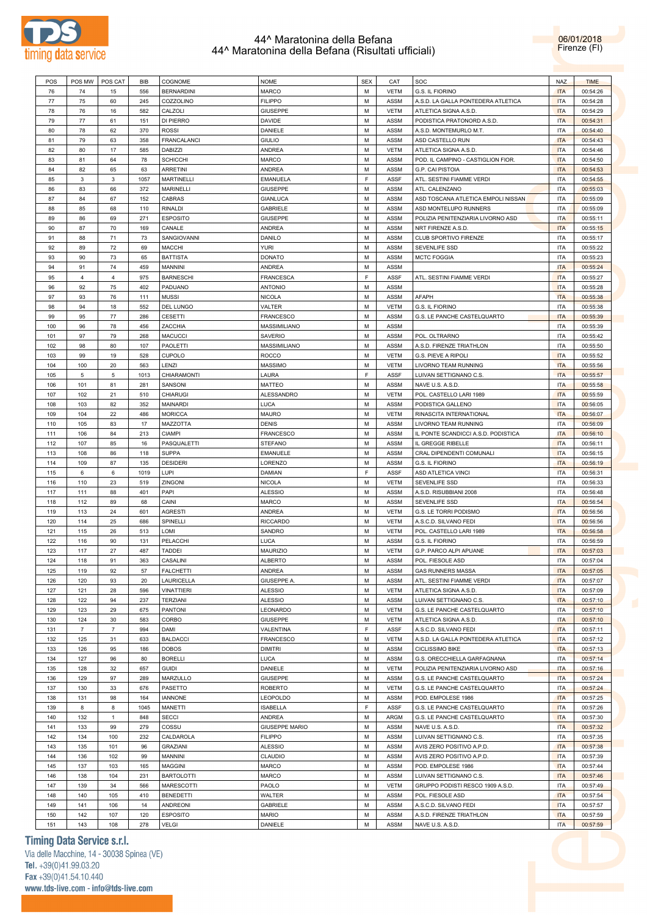



| POS | POS MW         | POS CAT        | BIB  | COGNOME            | <b>NOME</b>           | <b>SEX</b> | CAT         | SOC                                 | <b>NAZ</b> | <b>TIME</b> |
|-----|----------------|----------------|------|--------------------|-----------------------|------------|-------------|-------------------------------------|------------|-------------|
| 76  | 74             | 15             | 556  | <b>BERNARDINI</b>  | MARCO                 | М          | <b>VETM</b> | G.S. IL FIORINO                     | <b>ITA</b> | 00:54:26    |
| 77  | 75             | 60             | 245  | COZZOLINO          | <b>FILIPPO</b>        | м          | <b>ASSM</b> | A.S.D. LA GALLA PONTEDERA ATLETICA  | <b>ITA</b> | 00:54:28    |
|     |                |                |      |                    |                       |            |             |                                     |            |             |
| 78  | 76             | 16             | 582  | CALZOLI            | <b>GIUSEPPE</b>       | М          | <b>VETM</b> | ATLETICA SIGNA A.S.D.               | <b>ITA</b> | 00:54:29    |
| 79  | 77             | 61             | 151  | DI PIERRO          | <b>DAVIDE</b>         | М          | <b>ASSM</b> | PODISTICA PRATONORD A.S.D.          | <b>ITA</b> | 00:54:31    |
| 80  | 78             | 62             | 370  | <b>ROSSI</b>       | DANIELE               | М          | ASSM        | A.S.D. MONTEMURLO M.T.              | <b>ITA</b> | 00:54:40    |
| 81  | 79             | 63             | 358  | <b>FRANCALANCI</b> | <b>GIULIO</b>         | М          | ASSM        | ASD CASTELLO RUN                    | <b>ITA</b> | 00:54:43    |
| 82  | 80             | 17             | 585  | <b>DABIZZI</b>     | ANDREA                | м          | <b>VETM</b> | ATLETICA SIGNA A.S.D.               | <b>ITA</b> | 00:54:46    |
| 83  | 81             | 64             | 78   | <b>SCHICCHI</b>    | <b>MARCO</b>          | М          | <b>ASSM</b> | POD. IL CAMPINO - CASTIGLION FIOR.  | <b>ITA</b> | 00:54:50    |
|     |                |                |      |                    |                       |            |             |                                     |            |             |
| 84  | 82             | 65             | 63   | <b>ARRETINI</b>    | <b>ANDREA</b>         | М          | ASSM        | G.P. CAI PISTOIA                    | <b>ITA</b> | 00:54:53    |
| 85  | 3              | 3              | 1057 | <b>MARTINELLI</b>  | <b>EMANUELA</b>       | F.         | <b>ASSF</b> | ATL. SESTINI FIAMME VERDI           | <b>ITA</b> | 00:54:55    |
| 86  | 83             | 66             | 372  | <b>MARINELLI</b>   | <b>GIUSEPPE</b>       | м          | ASSM        | ATL. CALENZANO                      | <b>ITA</b> | 00:55:03    |
| 87  | 84             | 67             | 152  | <b>CABRAS</b>      | <b>GIANLUCA</b>       | м          | <b>ASSM</b> | ASD TOSCANA ATLETICA EMPOLI NISSAN  | <b>ITA</b> | 00:55:09    |
| 88  | 85             | 68             | 110  | <b>RINALDI</b>     | <b>GABRIELE</b>       | М          | ASSM        | ASD MONTELUPO RUNNERS               | <b>ITA</b> | 00:55:09    |
| 89  | 86             | 69             | 271  | <b>ESPOSITO</b>    | <b>GIUSEPPE</b>       | М          | ASSM        | POLIZIA PENITENZIARIA LIVORNO ASD   | <b>ITA</b> | 00:55:11    |
|     |                |                |      |                    |                       |            |             |                                     | <b>ITA</b> |             |
| 90  | 87             | 70             | 169  | CANALE             | ANDREA                | М          | ASSM        | NRT FIRENZE A.S.D.                  |            | 00:55:15    |
| 91  | 88             | 71             | 73   | SANGIOVANNI        | <b>DANILO</b>         | м          | ASSM        | CLUB SPORTIVO FIRENZE               | <b>ITA</b> | 00:55:17    |
| 92  | 89             | 72             | 69   | <b>MACCHI</b>      | <b>YURI</b>           | М          | ASSM        | SEVENLIFE SSD                       | <b>ITA</b> | 00:55:22    |
| 93  | 90             | 73             | 65   | <b>BATTISTA</b>    | <b>DONATO</b>         | М          | ASSM        | <b>MCTC FOGGIA</b>                  | <b>ITA</b> | 00:55:23    |
| 94  | 91             | 74             | 459  | <b>MANNINI</b>     | <b>ANDREA</b>         | М          | ASSM        |                                     | <b>ITA</b> | 00:55:24    |
| 95  | 4              | $\overline{4}$ | 975  | <b>BARNESCHI</b>   | FRANCESCA             | F.         | ASSF        | ATL. SESTINI FIAMME VERDI           | <b>ITA</b> | 00:55:27    |
|     |                |                |      | PADUANO            | <b>ANTONIO</b>        |            |             |                                     |            |             |
| 96  | 92             | 75             | 402  |                    |                       | М          | ASSM        |                                     | <b>ITA</b> | 00:55:28    |
| 97  | 93             | 76             | 111  | <b>MUSSI</b>       | <b>NICOLA</b>         | М          | ASSM        | AFAPH                               | <b>ITA</b> | 00:55:38    |
| 98  | 94             | 18             | 552  | <b>DEL LUNGO</b>   | VALTER                | м          | <b>VETM</b> | G.S. IL FIORINO                     | <b>ITA</b> | 00:55:38    |
| 99  | 95             | 77             | 286  | <b>CESETTI</b>     | FRANCESCO             | м          | ASSM        | G.S. LE PANCHE CASTELQUARTO         | <b>ITA</b> | 00:55:39    |
| 100 | 96             | 78             | 456  | ZACCHIA            | <b>MASSIMILIANO</b>   | м          | ASSM        |                                     | <b>ITA</b> | 00:55:39    |
| 101 | 97             | 79             | 268  | <b>MACUCCI</b>     | <b>SAVERIO</b>        | М          | ASSM        | POL. OLTRARNO                       | <b>ITA</b> | 00:55:42    |
|     |                |                |      |                    |                       |            |             |                                     |            |             |
| 102 | 98             | 80             | 107  | <b>PAOLETTI</b>    | MASSIMILIANO          | М          | ASSM        | A.S.D. FIRENZE TRIATHLON            | <b>ITA</b> | 00:55:50    |
| 103 | 99             | 19             | 528  | <b>CUPOLO</b>      | ROCCO                 | м          | <b>VETM</b> | G.S. PIEVE A RIPOLI                 | <b>ITA</b> | 00:55:52    |
| 104 | 100            | 20             | 563  | LENZI              | <b>MASSIMO</b>        | М          | <b>VETM</b> | LIVORNO TEAM RUNNING                | <b>ITA</b> | 00:55:56    |
| 105 | 5              | 5              | 1013 | CHIARAMONTI        | LAURA                 | E          | ASSF        | LUIVAN SETTIGNANO C.S.              | <b>ITA</b> | 00:55:57    |
| 106 | 101            | 81             | 281  | SANSONI            | MATTEO                | М          | ASSM        | NAVE U.S. A.S.D.                    | <b>ITA</b> | 00:55:58    |
| 107 | 102            | 21             | 510  | <b>CHIARUGI</b>    | ALESSANDRO            | м          | <b>VETM</b> | POL. CASTELLO LARI 1989             | <b>ITA</b> | 00:55:59    |
|     |                |                |      |                    |                       |            |             |                                     |            |             |
| 108 | 103            | 82             | 352  | <b>MAINARDI</b>    | LUCA                  | м          | ASSM        | PODISTICA GALLENO                   | <b>ITA</b> | 00:56:05    |
| 109 | 104            | 22             | 486  | <b>MORICCA</b>     | <b>MAURO</b>          | М          | <b>VETM</b> | RINASCITA INTERNATIONAL             | <b>ITA</b> | 00:56:07    |
| 110 | 105            | 83             | 17   | MAZZOTTA           | <b>DENIS</b>          | М          | ASSM        | LIVORNO TEAM RUNNING                | <b>ITA</b> | 00:56:09    |
| 111 | 106            | 84             | 213  | <b>CIAMPI</b>      | FRANCESCO             | м          | ASSM        | IL PONTE SCANDICCI A.S.D. PODISTICA | <b>ITA</b> | 00:56:10    |
| 112 | 107            | 85             | 16   | PASQUALETTI        | <b>STEFANO</b>        | м          | ASSM        | IL GREGGE RIBELLE                   | <b>ITA</b> | 00:56:11    |
| 113 | 108            | 86             | 118  | <b>SUPPA</b>       | <b>EMANUELE</b>       | М          | ASSM        |                                     | <b>ITA</b> |             |
|     |                |                |      |                    |                       |            |             | CRAL DIPENDENTI COMUNALI            |            | 00:56:15    |
| 114 | 109            | 87             | 135  | <b>DESIDERI</b>    | LORENZO               | М          | ASSM        | G.S. IL FIORINO                     | <b>ITA</b> | 00:56:19    |
| 115 | 6              | 6              | 1019 | LUPI               | <b>DAMIAN</b>         | F.         | ASSF        | ASD ATLETICA VINCI                  | <b>ITA</b> | 00:56:31    |
| 116 | 110            | 23             | 519  | ZINGONI            | <b>NICOLA</b>         | М          | <b>VETM</b> | <b>SEVENLIFE SSD</b>                | <b>ITA</b> | 00:56:33    |
| 117 | 111            | 88             | 401  | PAPI               | <b>ALESSIO</b>        | м          | ASSM        | A.S.D. RISUBBIANI 2008              | <b>ITA</b> | 00:56:48    |
| 118 | 112            | 89             | 68   | CAINI              | MARCO                 | М          | ASSM        | <b>SEVENLIFE SSD</b>                | <b>ITA</b> | 00:56:54    |
|     |                |                |      |                    |                       |            |             |                                     |            |             |
| 119 | 113            | 24             | 601  | <b>AGRESTI</b>     | <b>ANDREA</b>         | М          | <b>VETM</b> | G.S. LE TORRI PODISMO               | <b>ITA</b> | 00:56:56    |
| 120 | 114            | 25             | 686  | SPINELLI           | <b>RICCARDO</b>       | м          | <b>VETM</b> | A.S.C.D. SILVANO FEDI               | <b>ITA</b> | 00:56:56    |
| 121 | 115            | 26             | 513  | LOMI               | SANDRO                | м          | VETM        | POL. CASTELLO LARI 1989             | <b>ITA</b> | 00:56:58    |
| 122 | 116            | 90             | 131  | PELACCHI           | LUCA                  | М          | ASSM        | G.S. IL FIORINO                     | <b>ITA</b> | 00:56:59    |
| 123 | 117            | 27             | 487  | <b>TADDEI</b>      | <b>MAURIZIO</b>       | М          | <b>VETM</b> | G.P. PARCO ALPI APUANE              | <b>ITA</b> | 00:57:03    |
| 124 | 118            | 91             | 363  | CASALINI           | <b>ALBERTO</b>        | M          | ASSM        | POL. FIESOLE ASD                    | <b>ITA</b> | 00:57:04    |
|     |                |                |      |                    |                       |            |             |                                     |            |             |
| 125 | 119            | 92             | 57   | <b>FALCHETTI</b>   | ANDREA                | М          | ASSM        | <b>GAS RUNNERS MASSA</b>            | <b>ITA</b> | 00:57:05    |
| 126 | 120            | 93             | 20   | LAURICELLA         | GIUSEPPE A.           | М          | ASSM        | ATL. SESTINI FIAMME VERDI           | <b>ITA</b> | 00:57:07    |
| 127 | 121            | 28             | 596  | <b>VINATTIERI</b>  | <b>ALESSIO</b>        | М          | <b>VETM</b> | ATLETICA SIGNA A.S.D.               | <b>ITA</b> | 00:57:09    |
| 128 | 122            | 94             | 237  | <b>TERZIANI</b>    | <b>ALESSIO</b>        | М          | ASSM        | LUIVAN SETTIGNANO C.S.              | <b>ITA</b> | 00:57:10    |
| 129 | 123            | 29             | 675  | PANTONI            | LEONARDO              | М          | <b>VETM</b> | G.S. LE PANCHE CASTELQUARTO         | <b>ITA</b> | 00:57:10    |
| 130 | 124            | 30             | 583  | CORBO              | <b>GIUSEPPE</b>       | М          | <b>VETM</b> | ATLETICA SIGNA A.S.D.               | <b>ITA</b> | 00:57:10    |
|     | $\overline{7}$ | $\overline{7}$ |      |                    |                       | E          |             |                                     | <b>ITA</b> | 00:57:11    |
| 131 |                |                | 994  | DAMI               | VALENTINA             |            | ASSF        | A.S.C.D. SILVANO FEDI               |            |             |
| 132 | 125            | 31             | 633  | <b>BALDACCI</b>    | <b>FRANCESCO</b>      | М          | <b>VETM</b> | A.S.D. LA GALLA PONTEDERA ATLETICA  | <b>ITA</b> | 00:57:12    |
| 133 | 126            | 95             | 186  | <b>DOBOS</b>       | <b>DIMITRI</b>        | М          | ASSM        | <b>CICLISSIMO BIKE</b>              | <b>ITA</b> | 00:57:13    |
| 134 | 127            | 96             | 80   | <b>BORELLI</b>     | LUCA                  | М          | ASSM        | G.S. ORECCHIELLA GARFAGNANA         | <b>ITA</b> | 00:57:14    |
| 135 | 128            | 32             | 657  | <b>GUIDI</b>       | DANIELE               | М          | VETM        | POLIZIA PENITENZIARIA LIVORNO ASD   | <b>ITA</b> | 00:57:16    |
| 136 | 129            | 97             | 289  | MARZULLO           | <b>GIUSEPPE</b>       | М          | ASSM        | G.S. LE PANCHE CASTELQUARTO         | <b>ITA</b> | 00:57:24    |
|     |                |                |      |                    |                       |            |             |                                     |            |             |
| 137 | 130            | 33             | 676  | PASETTO            | <b>ROBERTO</b>        | М          | <b>VETM</b> | G.S. LE PANCHE CASTELQUARTO         | <b>ITA</b> | 00:57:24    |
| 138 | 131            | 98             | 164  | <b>IANNONE</b>     | LEOPOLDO              | М          | ASSM        | POD. EMPOLESE 1986                  | <b>ITA</b> | 00:57:25    |
| 139 | 8              | 8              | 1045 | MANETTI            | <b>ISABELLA</b>       | E          | ASSF        | G.S. LE PANCHE CASTELQUARTO         | <b>ITA</b> | 00:57:26    |
| 140 |                | $\mathbf{1}$   | 848  | <b>SECCI</b>       | ANDREA                | М          | ARGM        | G.S. LE PANCHE CASTELQUARTO         | <b>ITA</b> | 00:57:30    |
|     | 132            |                | 279  | COSSU              | <b>GIUSEPPE MARIO</b> | М          | ASSM        | NAVE U.S. A.S.D.                    | <b>ITA</b> | 00:57:32    |
|     |                |                |      |                    |                       | М          | ASSM        | LUIVAN SETTIGNANO C.S.              | <b>ITA</b> |             |
| 141 | 133            | 99             |      |                    |                       |            |             |                                     |            |             |
| 142 | 134            | 100            | 232  | CALDAROLA          | <b>FILIPPO</b>        |            |             |                                     |            | 00:57:35    |
| 143 | 135            | 101            | 96   | <b>GRAZIANI</b>    | <b>ALESSIO</b>        | М          | ASSM        | AVIS ZERO POSITIVO A.P.D.           | <b>ITA</b> | 00:57:38    |
| 144 | 136            | 102            | 99   | MANNINI            | CLAUDIO               | М          | ASSM        | AVIS ZERO POSITIVO A.P.D.           | <b>ITA</b> | 00:57:39    |
| 145 | 137            | 103            | 165  | <b>MAGGINI</b>     | MARCO                 | М          | ASSM        | POD. EMPOLESE 1986                  | <b>ITA</b> | 00:57:44    |
|     |                |                |      |                    |                       |            |             |                                     |            |             |
| 146 | 138            | 104            | 231  | <b>BARTOLOTTI</b>  | MARCO                 | М          | ASSM        | LUIVAN SETTIGNANO C.S.              | <b>ITA</b> | 00:57:46    |
| 147 | 139            | 34             | 566  | MARESCOTTI         | PAOLO                 | М          | <b>VETM</b> | GRUPPO PODISTI RESCO 1909 A.S.D.    | ITA        | 00:57:49    |
| 148 | 140            | 105            | 410  | <b>BENEDETTI</b>   | WALTER                | М          | ASSM        | POL. FIESOLE ASD                    | <b>ITA</b> | 00:57:54    |
| 149 | 141            | 106            | 14   | ANDREONI           | <b>GABRIELE</b>       | М          | ASSM        | A.S.C.D. SILVANO FEDI               | <b>ITA</b> | 00:57:57    |
| 150 | 142            | 107            | 120  | <b>ESPOSITO</b>    | <b>MARIO</b>          | М          | ASSM        | A.S.D. FIRENZE TRIATHLON            | <b>ITA</b> | 00:57:59    |
| 151 | 143            | 108            | 278  | VELGI              | DANIELE               | М          | ASSM        | NAVE U.S. A.S.D.                    | <b>ITA</b> | 00:57:59    |

# **Timing Data Service s.r.l.**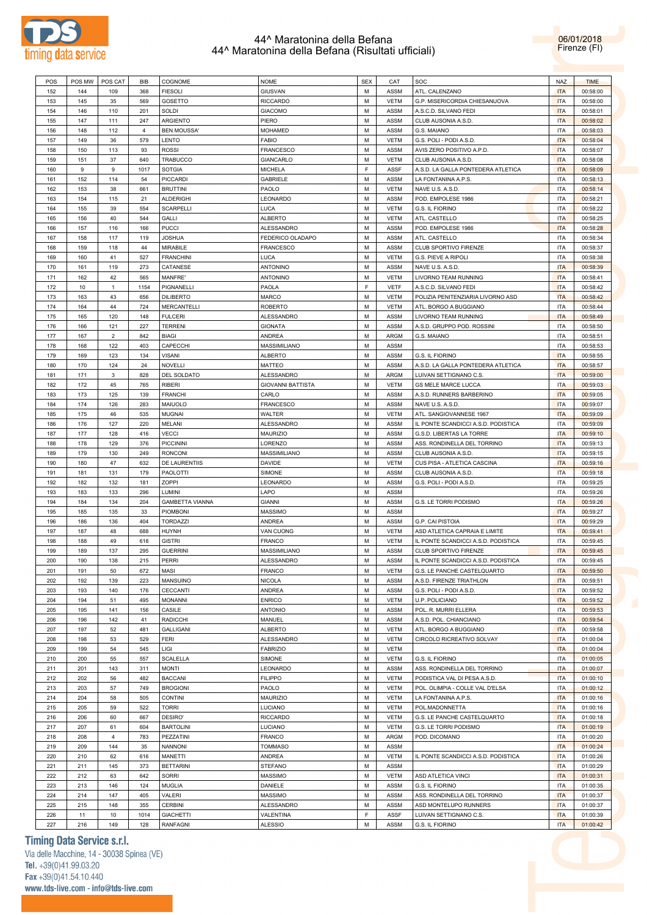



| POS | POS MW | POS CAT        | BIB            | COGNOME                | <b>NOME</b>              | <b>SEX</b> | CAT         | SOC                                 | <b>NAZ</b> | <b>TIME</b> |
|-----|--------|----------------|----------------|------------------------|--------------------------|------------|-------------|-------------------------------------|------------|-------------|
| 152 | 144    | 109            | 368            | <b>FIESOLI</b>         | <b>GIUSVAN</b>           | М          | ASSM        | ATL. CALENZANO                      | <b>ITA</b> | 00:58:00    |
| 153 | 145    | 35             | 569            | <b>GOSETTO</b>         | <b>RICCARDO</b>          | М          | VETM        | G.P. MISERICORDIA CHIESANUOVA       | <b>ITA</b> | 00:58:00    |
|     |        |                |                |                        |                          |            |             |                                     |            |             |
| 154 | 146    | 110            | 201            | SOLDI                  | <b>GIACOMO</b>           | М          | ASSM        | A.S.C.D. SILVANO FEDI               | <b>ITA</b> | 00:58:01    |
| 155 | 147    | 111            | 247            | <b>ARGIENTO</b>        | PIERO                    | М          | ASSM        | CLUB AUSONIA A.S.D.                 | <b>ITA</b> | 00:58:02    |
| 156 | 148    | 112            | $\overline{4}$ | <b>BEN MOUSSA'</b>     | <b>MOHAMED</b>           | М          | ASSM        | G.S. MAIANO                         | <b>ITA</b> | 00:58:03    |
| 157 | 149    | 36             | 579            | LENTO                  | <b>FABIO</b>             | М          | <b>VETM</b> | G.S. POLI - PODI A.S.D.             | <b>ITA</b> | 00:58:04    |
| 158 | 150    | 113            | 93             | <b>ROSSI</b>           | <b>FRANCESCO</b>         | М          | ASSM        | AVIS ZERO POSITIVO A.P.D.           | <b>ITA</b> | 00:58:07    |
| 159 | 151    | 37             | 640            | <b>TRABUCCO</b>        | <b>GIANCARLO</b>         | М          | <b>VETM</b> | CLUB AUSONIA A.S.D.                 | <b>ITA</b> | 00:58:08    |
| 160 | 9      | 9              | 1017           | <b>SOTGIA</b>          | <b>MICHELA</b>           | F          | ASSF        | A.S.D. LA GALLA PONTEDERA ATLETICA  | <b>ITA</b> | 00:58:09    |
|     |        |                |                |                        |                          |            |             |                                     |            |             |
| 161 | 152    | 114            | 54             | PICCARDI               | <b>GABRIELE</b>          | М          | ASSM        | LA FONTANINA A.P.S.                 | <b>ITA</b> | 00:58:13    |
| 162 | 153    | 38             | 661            | <b>BRUTTINI</b>        | PAOLO                    | М          | VETM        | NAVE U.S. A.S.D.                    | <b>ITA</b> | 00:58:14    |
| 163 | 154    | 115            | 21             | <b>ALDERIGHI</b>       | LEONARDO                 | М          | ASSM        | POD. EMPOLESE 1986                  | <b>ITA</b> | 00:58:21    |
| 164 | 155    | 39             | 554            | <b>SCARPELLI</b>       | LUCA                     | М          | <b>VETM</b> | G.S. IL FIORINO                     | <b>ITA</b> | 00:58:22    |
| 165 | 156    | 40             | 544            | <b>GALLI</b>           | <b>ALBERTO</b>           | М          | VETM        | ATL. CASTELLO                       | <b>ITA</b> | 00:58:25    |
| 166 | 157    | 116            | 166            | <b>PUCCI</b>           | ALESSANDRO               | М          | ASSM        | POD. EMPOLESE 1986                  | <b>ITA</b> | 00:58:28    |
| 167 | 158    | 117            | 119            | <b>JOSHUA</b>          | FEDERICO OLADAPO         | М          |             | ATL. CASTELLO                       | <b>ITA</b> | 00:58:34    |
|     |        |                |                |                        |                          |            | ASSM        |                                     |            |             |
| 168 | 159    | 118            | 44             | MIRABILE               | <b>FRANCESCO</b>         | М          | ASSM        | CLUB SPORTIVO FIRENZE               | <b>ITA</b> | 00:58:37    |
| 169 | 160    | 41             | 527            | <b>FRANCHINI</b>       | LUCA                     | М          | <b>VETM</b> | G.S. PIEVE A RIPOLI                 | <b>ITA</b> | 00:58:38    |
| 170 | 161    | 119            | 273            | CATANESE               | ANTONINO                 | М          | ASSM        | NAVE U.S. A.S.D.                    | <b>ITA</b> | 00:58:39    |
| 171 | 162    | 42             | 565            | MANFRE'                | <b>ANTONINO</b>          | М          | <b>VETM</b> | LIVORNO TEAM RUNNING                | <b>ITA</b> | 00:58:41    |
| 172 | 10     | $\mathbf{1}$   | 1154           | PIGNANELLI             | PAOLA                    | F          | <b>VETF</b> | A.S.C.D. SILVANO FEDI               | <b>ITA</b> | 00:58:42    |
| 173 | 163    | 43             | 656            | <b>DILIBERTO</b>       | <b>MARCO</b>             | М          | <b>VETM</b> | POLIZIA PENITENZIARIA LIVORNO ASD   | <b>ITA</b> | 00:58:42    |
|     |        |                |                |                        |                          |            |             |                                     |            |             |
| 174 | 164    | 44             | 724            | <b>MERCANTELLI</b>     | <b>ROBERTO</b>           | М          | <b>VETM</b> | ATL. BORGO A BUGGIANO               | <b>ITA</b> | 00:58:44    |
| 175 | 165    | 120            | 148            | <b>FULCERI</b>         | ALESSANDRO               | М          | ASSM        | <b>LIVORNO TEAM RUNNING</b>         | <b>ITA</b> | 00:58:49    |
| 176 | 166    | 121            | 227            | <b>TERRENI</b>         | <b>GIONATA</b>           | М          | ASSM        | A.S.D. GRUPPO POD. ROSSINI          | <b>ITA</b> | 00:58:50    |
| 177 | 167    | $\overline{2}$ | 842            | <b>BIAGI</b>           | ANDREA                   | М          | ARGM        | G.S. MAIANO                         | <b>ITA</b> | 00:58:51    |
| 178 | 168    | 122            | 403            | CAPECCHI               | MASSIMILIANO             | М          | ASSM        |                                     | <b>ITA</b> | 00:58:53    |
| 179 | 169    | 123            | 134            | <b>VISANI</b>          | <b>ALBERTO</b>           | М          | ASSM        | G.S. IL FIORINO                     | <b>ITA</b> | 00:58:55    |
|     |        |                |                |                        |                          |            |             | A.S.D. LA GALLA PONTEDERA ATLETICA  |            |             |
| 180 | 170    | 124            | 24             | NOVELLI                | MATTEO                   | М          | ASSM        |                                     | <b>ITA</b> | 00:58:57    |
| 181 | 171    | 3              | 828            | <b>DEL SOLDATO</b>     | ALESSANDRO               | М          | ARGM        | LUIVAN SETTIGNANO C.S.              | <b>ITA</b> | 00:59:00    |
| 182 | 172    | 45             | 765            | <b>RIBERI</b>          | <b>GIOVANNI BATTISTA</b> | М          | VETM        | <b>GS MELE MARCE LUCCA</b>          | <b>ITA</b> | 00:59:03    |
| 183 | 173    | 125            | 139            | <b>FRANCHI</b>         | CARLO                    | М          | ASSM        | A.S.D. RUNNERS BARBERINO            | <b>ITA</b> | 00:59:05    |
| 184 | 174    | 126            | 283            | MAIUOLO                | <b>FRANCESCO</b>         | М          | ASSM        | NAVE U.S. A.S.D.                    | <b>ITA</b> | 00:59:07    |
| 185 | 175    | 46             | 535            | <b>MUGNAI</b>          | WALTER                   | М          | <b>VETM</b> | ATL. SANGIOVANNESE 1967             | <b>ITA</b> | 00:59:09    |
| 186 | 176    | 127            | 220            | MELANI                 | ALESSANDRO               | М          | ASSM        | IL PONTE SCANDICCI A.S.D. PODISTICA | <b>ITA</b> | 00:59:09    |
|     |        |                |                |                        |                          |            |             |                                     |            |             |
| 187 | 177    | 128            | 416            | <b>VECCI</b>           | <b>MAURIZIO</b>          | М          | ASSM        | G.S.D. LIBERTAS LA TORRE            | <b>ITA</b> | 00:59:10    |
| 188 | 178    | 129            | 376            | <b>PICCININI</b>       | LORENZO                  | М          | ASSM        | ASS. RONDINELLA DEL TORRINO         | <b>ITA</b> | 00:59:13    |
| 189 | 179    | 130            | 249            | <b>RONCONI</b>         | MASSIMILIANO             | м          | ASSM        | CLUB AUSONIA A.S.D.                 | <b>ITA</b> | 00:59:15    |
| 190 | 180    | 47             | 632            | <b>DE LAURENTIIS</b>   | <b>DAVIDE</b>            | М          | <b>VETM</b> | CUS PISA - ATLETICA CASCINA         | <b>ITA</b> | 00:59:16    |
| 191 | 181    | 131            | 179            | PAOLOTTI               | SIMONE                   | М          | ASSM        | CLUB AUSONIA A.S.D.                 | <b>ITA</b> | 00:59:18    |
| 192 | 182    | 132            | 181            | ZOPPI                  | LEONARDO                 | М          | ASSM        | G.S. POLI - PODI A.S.D.             | <b>ITA</b> | 00:59:25    |
| 193 | 183    | 133            | 296            | LUMINI                 | LAPO                     | м          | ASSM        |                                     | <b>ITA</b> | 00:59:26    |
|     |        |                |                |                        |                          |            |             |                                     |            |             |
| 194 | 184    | 134            | 204            | <b>GAMBETTA VIANNA</b> | <b>GIANNI</b>            | М          | ASSM        | G.S. LE TORRI PODISMO               | <b>ITA</b> | 00:59:26    |
| 195 | 185    | 135            | 33             | <b>PIOMBONI</b>        | MASSIMO                  | М          | ASSM        |                                     | <b>ITA</b> | 00:59:27    |
| 196 | 186    | 136            | 404            | <b>TORDAZZI</b>        | ANDREA                   | М          | ASSM        | G.P. CAI PISTOIA                    | <b>ITA</b> | 00:59:29    |
| 197 | 187    | 48             | 688            | <b>HUYNH</b>           | VAN CUONG                | М          | <b>VETM</b> | ASD ATLETICA CAPRAIA E LIMITE       | <b>ITA</b> | 00:59:41    |
| 198 | 188    | 49             | 618            | <b>GISTRI</b>          | <b>FRANCO</b>            | М          | VETM        | IL PONTE SCANDICCI A.S.D. PODISTICA | <b>ITA</b> | 00:59:45    |
| 199 | 189    | 137            | 295            | <b>GUERRINI</b>        | MASSIMILIANO             | М          | ASSM        | CLUB SPORTIVO FIRENZE               | <b>ITA</b> | 00:59:45    |
| 200 | 190    | 138            | 215            | PERRI                  | ALESSANDRO               | M          | ASSM        | IL PONTE SCANDICCI A.S.D. PODISTICA | <b>ITA</b> |             |
|     |        |                |                |                        |                          |            |             |                                     |            | 00:59:45    |
| 201 | 191    | 50             | 672            | MASI                   | <b>FRANCO</b>            | М          | <b>VETM</b> | G.S. LE PANCHE CASTELQUARTO         | <b>ITA</b> | 00:59:50    |
| 202 | 192    | 139            | 223            | MANSUINO               | <b>NICOLA</b>            | М          | ASSM        | A.S.D. FIRENZE TRIATHLON            | <b>ITA</b> | 00:59:51    |
| 203 | 193    | 140            | 176            | CECCANTI               | ANDREA                   | М          | ASSM        | G.S. POLI - PODI A.S.D.             | <b>ITA</b> | 00:59:52    |
| 204 | 194    | 51             | 495            | <b>MONANNI</b>         | <b>ENRICO</b>            | М          | VETM        | U.P. POLICIANO                      | <b>ITA</b> | 00:59:52    |
| 205 | 195    | 141            | 156            | CASILE                 | <b>ANTONIO</b>           | М          | ASSM        | POL. R. MURRI ELLERA                | <b>ITA</b> | 00:59:53    |
| 206 | 196    | 142            | 41             | <b>RADICCHI</b>        | MANUEL                   | М          | ASSM        | A.S.D. POL. CHIANCIANO              | <b>ITA</b> | 00:59:54    |
| 207 | 197    | 52             | 481            | <b>GALLIGANI</b>       | <b>ALBERTO</b>           | М          | VETM        | ATL. BORGO A BUGGIANO               | <b>ITA</b> | 00:59:58    |
|     |        |                |                |                        |                          |            |             |                                     |            |             |
| 208 | 198    | 53             | 529            | <b>FERI</b>            | ALESSANDRO               | М          | VETM        | CIRCOLO RICREATIVO SOLVAY           | <b>ITA</b> | 01:00:04    |
| 209 | 199    | 54             | 545            | LIGI                   | <b>FABRIZIO</b>          | М          | <b>VETM</b> |                                     | <b>ITA</b> | 01:00:04    |
| 210 | 200    | 55             | 557            | <b>SCALELLA</b>        | SIMONE                   | М          | VETM        | G.S. IL FIORINO                     | <b>ITA</b> | 01:00:05    |
| 211 | 201    | 143            | 311            | <b>MONTI</b>           | LEONARDO                 | М          | ASSM        | ASS. RONDINELLA DEL TORRINO         | <b>ITA</b> | 01:00:07    |
| 212 | 202    | 56             | 482            | <b>BACCANI</b>         | <b>FILIPPO</b>           | М          | VETM        | PODISTICA VAL DI PESA A.S.D.        | <b>ITA</b> | 01:00:10    |
| 213 | 203    | 57             | 749            | <b>BROGIONI</b>        | PAOLO                    | М          | <b>VETM</b> | POL. OLIMPIA - COLLE VAL D'ELSA     | <b>ITA</b> | 01:00:12    |
|     |        |                |                |                        |                          |            |             |                                     |            |             |
| 214 | 204    | 58             | 505            | <b>CONTINI</b>         | MAURIZIO                 | М          | VETM        | LA FONTANINA A.P.S.                 | <b>ITA</b> | 01:00:16    |
| 215 | 205    | 59             | 522            | <b>TORRI</b>           | LUCIANO                  | М          | VETM        | POL.MADONNETTA                      | <b>ITA</b> | 01:00:16    |
| 216 | 206    | 60             | 667            | DESIRO'                | <b>RICCARDO</b>          | М          | VETM        | G.S. LE PANCHE CASTELQUARTO         | <b>ITA</b> | 01:00:18    |
| 217 | 207    | 61             | 604            | <b>BARTOLINI</b>       | LUCIANO                  | М          | <b>VETM</b> | G.S. LE TORRI PODISMO               | <b>ITA</b> | 01:00:19    |
| 218 | 208    | 4              | 783            | PEZZATINI              | FRANCO                   | М          | <b>ARGM</b> | POD. DICOMANO                       | <b>ITA</b> | 01:00:20    |
| 219 | 209    | 144            | 35             | <b>NANNONI</b>         | <b>TOMMASO</b>           | М          | ASSM        |                                     | <b>ITA</b> | 01:00:24    |
|     |        |                |                |                        |                          |            |             |                                     |            |             |
| 220 | 210    | 62             | 616            | MANETTI                | ANDREA                   | М          | VETM        | IL PONTE SCANDICCI A.S.D. PODISTICA | <b>ITA</b> | 01:00:26    |
| 221 | 211    | 145            | 373            | <b>BETTARINI</b>       | <b>STEFANO</b>           | М          | ASSM        |                                     | <b>ITA</b> | 01:00:29    |
| 222 | 212    | 63             | 642            | <b>SORRI</b>           | <b>MASSIMO</b>           | М          | VETM        | ASD ATLETICA VINCI                  | <b>ITA</b> | 01:00:31    |
| 223 | 213    | 146            | 124            | <b>MUGLIA</b>          | DANIELE                  | М          | ASSM        | G.S. IL FIORINO                     | <b>ITA</b> | 01:00:35    |
| 224 | 214    | 147            | 405            | VALERI                 | MASSIMO                  | М          | ASSM        | ASS. RONDINELLA DEL TORRINO         | <b>ITA</b> | 01:00:37    |
| 225 | 215    | 148            | 355            | <b>CERBINI</b>         | ALESSANDRO               | М          | ASSM        | ASD MONTELUPO RUNNERS               | <b>ITA</b> | 01:00:37    |
|     |        |                |                |                        |                          | F.         |             |                                     |            |             |
| 226 | 11     | 10             | 1014           | <b>GIACHETTI</b>       | VALENTINA                |            | ASSF        | LUIVAN SETTIGNANO C.S.              | <b>ITA</b> | 01:00:39    |
| 227 | 216    | 149            | 128            | RANFAGNI               | <b>ALESSIO</b>           | М          | ASSM        | G.S. IL FIORINO                     | <b>ITA</b> | 01:00:42    |

# **Timing Data Service s.r.l.**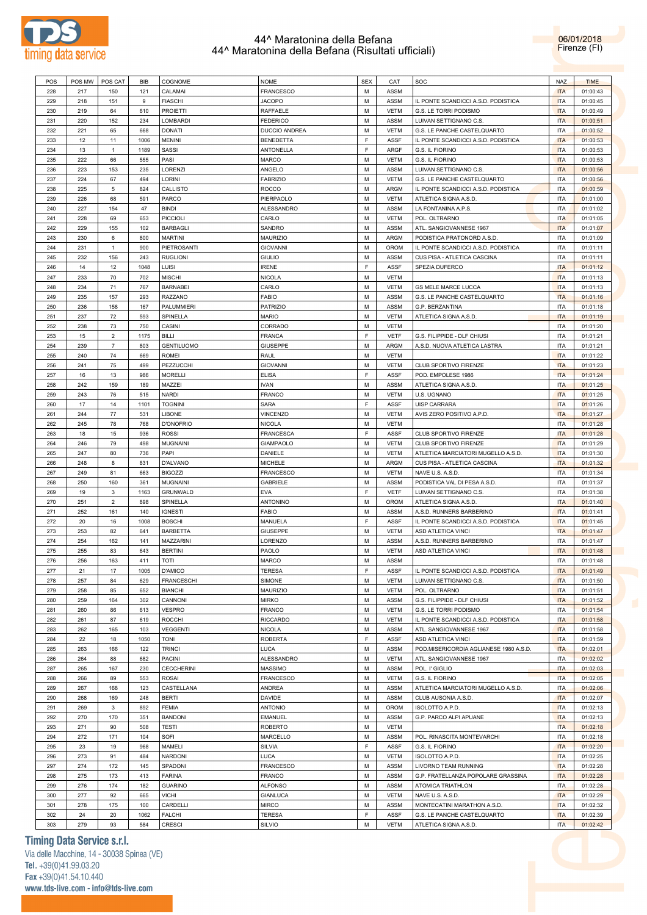

| 06/01/2018   |
|--------------|
| Firenze (FI) |

| POS | POS MW | POS CAT        | BIB  | COGNOME           | <b>NOME</b>      | <b>SEX</b>  | CAT         | SOC                                    | <b>NAZ</b> | <b>TIME</b> |
|-----|--------|----------------|------|-------------------|------------------|-------------|-------------|----------------------------------------|------------|-------------|
|     |        |                |      |                   |                  | M           |             |                                        |            |             |
| 228 | 217    | 150            | 121  | CALAMAI           | FRANCESCO        |             | ASSM        |                                        | <b>ITA</b> | 01:00:43    |
| 229 | 218    | 151            | 9    | <b>FIASCHI</b>    | <b>JACOPO</b>    | M           | ASSM        | IL PONTE SCANDICCI A.S.D. PODISTICA    | <b>ITA</b> | 01:00:45    |
| 230 | 219    | 64             | 610  | <b>PROIETTI</b>   | RAFFAELE         | M           | <b>VETM</b> | G.S. LE TORRI PODISMO                  | <b>ITA</b> | 01:00:49    |
| 231 | 220    | 152            | 234  | LOMBARDI          | <b>FEDERICO</b>  | M           | ASSM        | LUIVAN SETTIGNANO C.S.                 | <b>ITA</b> | 01:00:51    |
| 232 | 221    | 65             | 668  | <b>DONATI</b>     | DUCCIO ANDREA    | M           | <b>VETM</b> | G.S. LE PANCHE CASTELQUARTO            | <b>ITA</b> | 01:00:52    |
| 233 | 12     | 11             | 1006 | <b>MENINI</b>     | <b>BENEDETTA</b> | $\mathsf F$ | <b>ASSF</b> | IL PONTE SCANDICCI A.S.D. PODISTICA    | <b>ITA</b> | 01:00:53    |
|     |        |                | 1189 | SASSI             | <b>ANTONELLA</b> | $\mathsf F$ | ARGF        |                                        | <b>ITA</b> | 01:00:53    |
| 234 | 13     | $\mathbf{1}$   |      |                   |                  |             |             | G.S. IL FIORINO                        |            |             |
| 235 | 222    | 66             | 555  | PASI              | <b>MARCO</b>     | M           | <b>VETM</b> | G.S. IL FIORINO                        | <b>ITA</b> | 01:00:53    |
| 236 | 223    | 153            | 235  | LORENZI           | ANGELO           | M           | <b>ASSM</b> | LUIVAN SETTIGNANO C.S.                 | <b>ITA</b> | 01:00:56    |
| 237 | 224    | 67             | 494  | LORINI            | <b>FABRIZIO</b>  | M           | <b>VETM</b> | G.S. LE PANCHE CASTELQUARTO            | <b>ITA</b> | 01:00:56    |
| 238 | 225    | 5              | 824  | CALLISTO          | <b>ROCCO</b>     | M           | <b>ARGM</b> | IL PONTE SCANDICCI A.S.D. PODISTICA    | <b>ITA</b> | 01:00:59    |
| 239 | 226    | 68             | 591  | PARCO             | PIERPAOLO        | M           | <b>VETM</b> | ATLETICA SIGNA A.S.D.                  | <b>ITA</b> | 01:01:00    |
|     |        |                |      |                   |                  |             |             |                                        |            |             |
| 240 | 227    | 154            | 47   | <b>BINDI</b>      | ALESSANDRO       | M           | <b>ASSM</b> | LA FONTANINA A.P.S.                    | <b>ITA</b> | 01:01:02    |
| 241 | 228    | 69             | 653  | <b>PICCIOLI</b>   | CARLO            | М           | <b>VETM</b> | POL. OLTRARNO                          | <b>ITA</b> | 01:01:05    |
| 242 | 229    | 155            | 102  | <b>BARBAGLI</b>   | SANDRO           | M           | ASSM        | ATL. SANGIOVANNESE 1967                | <b>ITA</b> | 01:01:07    |
| 243 | 230    | 6              | 800  | <b>MARTINI</b>    | MAURIZIO         | M           | <b>ARGM</b> | PODISTICA PRATONORD A.S.D.             | <b>ITA</b> | 01:01:09    |
| 244 | 231    | $\mathbf{1}$   | 900  | PIETROSANTI       | <b>GIOVANNI</b>  | M           | OROM        | IL PONTE SCANDICCI A.S.D. PODISTICA    | <b>ITA</b> | 01:01:11    |
|     |        |                |      |                   |                  |             |             |                                        |            |             |
| 245 | 232    | 156            | 243  | <b>RUGLIONI</b>   | <b>GIULIO</b>    | М           | ASSM        | CUS PISA - ATLETICA CASCINA            | <b>ITA</b> | 01:01:11    |
| 246 | 14     | 12             | 1048 | LUISI             | <b>IRENE</b>     | $\mathsf F$ | ASSF        | SPEZIA DUFERCO                         | <b>ITA</b> | 01:01:12    |
| 247 | 233    | 70             | 702  | <b>MISCHI</b>     | <b>NICOLA</b>    | M           | <b>VETM</b> |                                        | <b>ITA</b> | 01:01:13    |
| 248 | 234    | 71             | 767  | <b>BARNABEI</b>   | CARLO            | M           | <b>VETM</b> | <b>GS MELE MARCE LUCCA</b>             | <b>ITA</b> | 01:01:13    |
| 249 | 235    | 157            | 293  | RAZZANO           | FABIO            | М           | ASSM        | G.S. LE PANCHE CASTELQUARTO            | <b>ITA</b> | 01:01:16    |
|     |        |                |      |                   |                  |             |             |                                        |            |             |
| 250 | 236    | 158            | 167  | PALUMMIERI        | PATRIZIO         | M           | ASSM        | G.P. BERZANTINA                        | <b>ITA</b> | 01:01:18    |
| 251 | 237    | 72             | 593  | SPINELLA          | <b>MARIO</b>     | M           | <b>VETM</b> | ATLETICA SIGNA A.S.D.                  | <b>ITA</b> | 01:01:19    |
| 252 | 238    | 73             | 750  | CASINI            | CORRADO          | M           | <b>VETM</b> |                                        | <b>ITA</b> | 01:01:20    |
| 253 | 15     | $\overline{2}$ | 1175 | <b>BILLI</b>      | FRANCA           | F           | <b>VETF</b> | G.S. FILIPPIDE - DLF CHIUSI            | <b>ITA</b> | 01:01:21    |
| 254 | 239    | $\overline{7}$ | 803  | <b>GENTILUOMO</b> | <b>GIUSEPPE</b>  | M           | <b>ARGM</b> | A.S.D. NUOVA ATLETICA LASTRA           | <b>ITA</b> | 01:01:21    |
|     |        |                |      |                   |                  |             |             |                                        |            |             |
| 255 | 240    | 74             | 669  | ROMEI             | RAUL             | M           | <b>VETM</b> |                                        | <b>ITA</b> | 01:01:22    |
| 256 | 241    | 75             | 499  | PEZZUCCHI         | <b>GIOVANNI</b>  | M           | <b>VETM</b> | CLUB SPORTIVO FIRENZE                  | <b>ITA</b> | 01:01:23    |
| 257 | 16     | 13             | 986  | <b>MORELLI</b>    | <b>ELISA</b>     | F           | <b>ASSF</b> | POD. EMPOLESE 1986                     | <b>ITA</b> | 01:01:24    |
| 258 | 242    | 159            | 189  | MAZZEI            | <b>IVAN</b>      | M           | ASSM        | ATLETICA SIGNA A.S.D.                  | <b>ITA</b> | 01:01:25    |
| 259 | 243    | 76             | 515  | <b>NARDI</b>      | FRANCO           | M           | <b>VETM</b> | U.S. UGNANO                            | <b>ITA</b> | 01:01:25    |
|     |        |                |      |                   |                  | $\mathsf F$ |             |                                        |            |             |
| 260 | 17     | 14             | 1101 | <b>TOGNINI</b>    | SARA             |             | <b>ASSF</b> | UISP CARRARA                           | <b>ITA</b> | 01:01:26    |
| 261 | 244    | 77             | 531  | LIBONE            | VINCENZO         | М           | <b>VETM</b> | AVIS ZERO POSITIVO A.P.D.              | <b>ITA</b> | 01:01:27    |
| 262 | 245    | 78             | 768  | <b>D'ONOFRIO</b>  | <b>NICOLA</b>    | M           | <b>VETM</b> |                                        | <b>ITA</b> | 01:01:28    |
| 263 | 18     | 15             | 936  | <b>ROSSI</b>      | FRANCESCA        | $\mathsf F$ | ASSF        | <b>CLUB SPORTIVO FIRENZE</b>           | <b>ITA</b> | 01:01:28    |
| 264 | 246    | 79             | 498  | <b>MUGNAINI</b>   | <b>GIAMPAOLO</b> | M           | <b>VETM</b> | CLUB SPORTIVO FIRENZE                  | <b>ITA</b> | 01:01:29    |
|     |        |                |      |                   |                  |             |             |                                        |            |             |
| 265 | 247    | 80             | 736  | PAPI              | DANIELE          | М           | <b>VETM</b> | ATLETICA MARCIATORI MUGELLO A.S.D.     | <b>ITA</b> | 01:01:30    |
| 266 | 248    | 8              | 831  | D'ALVANO          | MICHELE          | M           | <b>ARGM</b> | CUS PISA - ATLETICA CASCINA            | <b>ITA</b> | 01:01:32    |
| 267 | 249    | 81             | 663  | <b>BIGOZZI</b>    | FRANCESCO        | M           | <b>VETM</b> | NAVE U.S. A.S.D.                       | <b>ITA</b> | 01:01:34    |
| 268 | 250    | 160            | 361  | <b>MUGNAINI</b>   | GABRIELE         | M           | <b>ASSM</b> | PODISTICA VAL DI PESA A.S.D.           | <b>ITA</b> | 01:01:37    |
| 269 | 19     | 3              | 1163 | GRUNWALD          | EVA              | F           | VETF        | LUIVAN SETTIGNANO C.S.                 | <b>ITA</b> | 01:01:38    |
|     |        |                |      |                   |                  |             |             |                                        |            |             |
| 270 | 251    | $\overline{2}$ | 898  | SPINELLA          | ANTONINO         | M           | OROM        | ATLETICA SIGNA A.S.D.                  | <b>ITA</b> | 01:01:40    |
| 271 | 252    | 161            | 140  | <b>IGNESTI</b>    | FABIO            | M           | <b>ASSM</b> | A.S.D. RUNNERS BARBERINO               | <b>ITA</b> | 01:01:41    |
| 272 | 20     | 16             | 1008 | <b>BOSCHI</b>     | MANUELA          | $\mathsf F$ | <b>ASSF</b> | IL PONTE SCANDICCI A.S.D. PODISTICA    | <b>ITA</b> | 01:01:45    |
| 273 | 253    | 82             | 641  | <b>BARBETTA</b>   | <b>GIUSEPPE</b>  | м           | <b>VETM</b> | ASD ATLETICA VINCI                     | <b>ITA</b> | 01:01:47    |
| 274 | 254    | 162            | 141  | MAZZARINI         | LORENZO          | M           | <b>ASSM</b> | A.S.D. RUNNERS BARBERINO               | <b>ITA</b> | 01:01:47    |
|     |        |                |      |                   |                  |             |             |                                        |            |             |
| 275 | 255    | 83             | 643  | <b>BERTINI</b>    | PAOLO            | M           | <b>VETM</b> | ASD ATLETICA VINCI                     | <b>ITA</b> | 01:01:48    |
| 276 | 256    | 163            | 411  | <b>TOTI</b>       | MARCO            | М           | ASSM        |                                        | ITA        | 01:01:48    |
| 277 | 21     | 17             | 1005 | D'AMICO           | <b>TERESA</b>    | F           | <b>ASSF</b> | IL PONTE SCANDICCI A.S.D. PODISTICA    | <b>ITA</b> | 01:01:49    |
| 278 | 257    | 84             | 629  | <b>FRANCESCHI</b> | SIMONE           | M           | <b>VETM</b> | LUIVAN SETTIGNANO C.S.                 | <b>ITA</b> | 01:01:50    |
| 279 | 258    | 85             | 652  | <b>BIANCHI</b>    | MAURIZIO         | М           | <b>VETM</b> | POL. OLTRARNO                          | <b>ITA</b> | 01:01:51    |
|     |        |                |      |                   |                  |             |             |                                        |            |             |
| 280 | 259    | 164            | 302  | CANNONI           | <b>MIRKO</b>     | М           | ASSM        | G.S. FILIPPIDE - DLF CHIUSI            | <b>ITA</b> | 01:01:52    |
| 281 | 260    | 86             | 613  | <b>VESPRO</b>     | FRANCO           | М           | <b>VETM</b> | G.S. LE TORRI PODISMO                  | <b>ITA</b> | 01:01:54    |
| 282 | 261    | 87             | 619  | ROCCHI            | <b>RICCARDO</b>  | М           | <b>VETM</b> | IL PONTE SCANDICCI A.S.D. PODISTICA    | <b>ITA</b> | 01:01:58    |
| 283 | 262    | 165            | 103  | <b>VEGGENTI</b>   | <b>NICOLA</b>    | М           | ASSM        | ATL. SANGIOVANNESE 1967                | <b>ITA</b> | 01:01:58    |
| 284 | 22     | 18             | 1050 | <b>TONI</b>       | <b>ROBERTA</b>   | F           | ASSF        | ASD ATLETICA VINCI                     | <b>ITA</b> | 01:01:59    |
|     | 263    |                | 122  | <b>TRINCI</b>     | LUCA             | М           | ASSM        | POD.MISERICORDIA AGLIANESE 1980 A.S.D. |            |             |
| 285 |        | 166            |      |                   |                  |             |             |                                        | <b>ITA</b> | 01:02:01    |
| 286 | 264    | 88             | 682  | <b>PACINI</b>     | ALESSANDRO       | М           | <b>VETM</b> | ATL. SANGIOVANNESE 1967                | <b>ITA</b> | 01:02:02    |
| 287 | 265    | 167            | 230  | <b>CECCHERINI</b> | <b>MASSIMO</b>   | М           | ASSM        | POL. I' GIGLIO                         | <b>ITA</b> | 01:02:03    |
| 288 | 266    | 89             | 553  | <b>ROSAI</b>      | FRANCESCO        | М           | <b>VETM</b> | G.S. IL FIORINO                        | <b>ITA</b> | 01:02:05    |
| 289 | 267    | 168            | 123  | CASTELLANA        | ANDREA           | М           | ASSM        | ATLETICA MARCIATORI MUGELLO A.S.D.     | <b>ITA</b> | 01:02:06    |
|     |        |                |      |                   |                  | М           |             |                                        |            |             |
| 290 | 268    | 169            | 248  | <b>BERTI</b>      | DAVIDE           |             | ASSM        | CLUB AUSONIA A.S.D.                    | <b>ITA</b> | 01:02:07    |
| 291 | 269    | 3              | 892  | <b>FEMIA</b>      | <b>ANTONIO</b>   | М           | OROM        | ISOLOTTO A.P.D.                        | <b>ITA</b> | 01:02:13    |
| 292 | 270    | 170            | 351  | <b>BANDONI</b>    | <b>EMANUEL</b>   | M           | ASSM        | G.P. PARCO ALPI APUANE                 | <b>ITA</b> | 01:02:13    |
| 293 | 271    | 90             | 508  | <b>TESTI</b>      | <b>ROBERTO</b>   | М           | <b>VETM</b> |                                        | <b>ITA</b> | 01:02:18    |
| 294 | 272    | 171            | 104  | SOFI              | MARCELLO         | М           | ASSM        | POL. RINASCITA MONTEVARCHI             | <b>ITA</b> | 01:02:18    |
|     |        |                |      |                   |                  | F           |             |                                        |            |             |
| 295 | 23     | 19             | 968  | MAMELI            | SILVIA           |             | ASSF        | G.S. IL FIORINO                        | <b>ITA</b> | 01:02:20    |
| 296 | 273    | 91             | 484  | NARDONI           | LUCA             | M           | <b>VETM</b> | ISOLOTTO A.P.D.                        | <b>ITA</b> | 01:02:25    |
| 297 | 274    | 172            | 145  | SPADONI           | FRANCESCO        | М           | ASSM        | LIVORNO TEAM RUNNING                   | <b>ITA</b> | 01:02:28    |
| 298 | 275    | 173            | 413  | <b>FARINA</b>     | FRANCO           | М           | ASSM        | G.P. FRATELLANZA POPOLARE GRASSINA     | <b>ITA</b> | 01:02:28    |
| 299 | 276    | 174            | 182  | <b>GUARINO</b>    | <b>ALFONSO</b>   | М           | ASSM        | ATOMICA TRIATHLON                      | <b>ITA</b> | 01:02:28    |
|     |        |                |      |                   |                  |             |             |                                        |            |             |
| 300 | 277    | 92             | 665  | <b>VICHI</b>      | <b>GIANLUCA</b>  | M           | <b>VETM</b> | NAVE U.S. A.S.D.                       | <b>ITA</b> | 01:02:29    |
| 301 | 278    | 175            | 100  | CARDELLI          | <b>MIRCO</b>     | М           | ASSM        | MONTECATINI MARATHON A.S.D.            | <b>ITA</b> | 01:02:32    |
| 302 | 24     | 20             | 1062 | <b>FALCHI</b>     | <b>TERESA</b>    | F           | <b>ASSF</b> | G.S. LE PANCHE CASTELQUARTO            | <b>ITA</b> | 01:02:39    |
| 303 | 279    | 93             | 584  | CRESCI            | SILVIO           | М           | <b>VETM</b> | ATLETICA SIGNA A.S.D.                  | <b>ITA</b> | 01:02:42    |
|     |        |                |      |                   |                  |             |             |                                        |            |             |

# **Timing Data Service s.r.l.**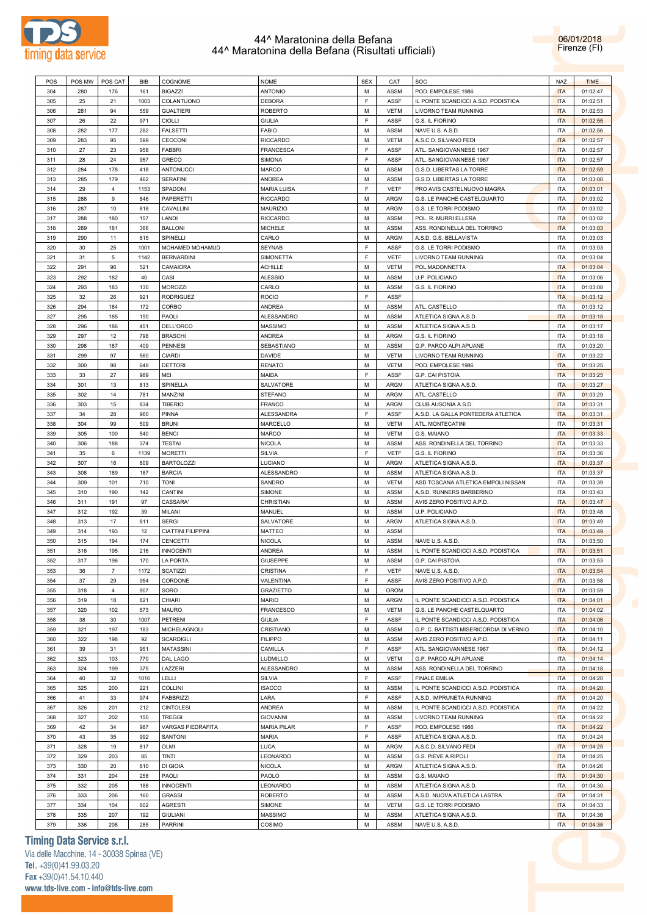



| POS | POS MW | POS CAT        | BIB  | <b>COGNOME</b>            | <b>NOME</b>        | <b>SEX</b>  | CAT         | SOC                                     | <b>NAZ</b> | <b>TIME</b> |
|-----|--------|----------------|------|---------------------------|--------------------|-------------|-------------|-----------------------------------------|------------|-------------|
| 304 | 280    | 176            | 161  | <b>BIGAZZI</b>            | <b>ANTONIO</b>     | M           | <b>ASSM</b> | POD. EMPOLESE 1986                      | <b>ITA</b> | 01:02:47    |
| 305 | 25     | 21             | 1003 | COLANTUONO                | <b>DEBORA</b>      | F.          | <b>ASSF</b> | IL PONTE SCANDICCI A.S.D. PODISTICA     | <b>ITA</b> | 01:02:51    |
|     |        |                |      |                           |                    |             |             |                                         |            |             |
| 306 | 281    | 94             | 559  | <b>GUALTIERI</b>          | <b>ROBERTO</b>     | M           | <b>VETM</b> | <b>LIVORNO TEAM RUNNING</b>             | <b>ITA</b> | 01:02:53    |
| 307 | 26     | 22             | 971  | <b>CIOLLI</b>             | <b>GIULIA</b>      | F.          | <b>ASSF</b> | G.S. IL FIORINO                         | <b>ITA</b> | 01:02:55    |
| 308 | 282    | 177            | 282  | FALSETTI                  | <b>FABIO</b>       | M           | ASSM        | NAVE U.S. A.S.D.                        | <b>ITA</b> | 01:02:56    |
| 309 | 283    | 95             | 599  | CECCONI                   | <b>RICCARDO</b>    | M           | <b>VETM</b> | A.S.C.D. SILVANO FEDI                   | <b>ITA</b> | 01:02:57    |
|     |        |                |      |                           |                    |             |             |                                         |            |             |
| 310 | 27     | 23             | 958  | <b>FABBRI</b>             | <b>FRANCESCA</b>   | E           | <b>ASSF</b> | ATL. SANGIOVANNESE 1967                 | <b>ITA</b> | 01:02:57    |
| 311 | 28     | 24             | 957  | <b>GRECO</b>              | <b>SIMONA</b>      | E           | <b>ASSF</b> | ATL. SANGIOVANNESE 1967                 | <b>ITA</b> | 01:02:57    |
| 312 | 284    | 178            | 418  | <b>ANTONUCCI</b>          | <b>MARCO</b>       | M           | <b>ASSM</b> | G.S.D. LIBERTAS LA TORRE                | <b>ITA</b> | 01:02:59    |
| 313 | 285    | 179            | 462  | <b>SERAFINI</b>           | <b>ANDREA</b>      | M           | ASSM        | G.S.D. LIBERTAS LA TORRE                | <b>ITA</b> | 01:03:00    |
|     |        |                |      |                           |                    |             |             |                                         |            |             |
| 314 | 29     | $\overline{4}$ | 1153 | SPADONI                   | <b>MARIA LUISA</b> | F.          | <b>VETF</b> | PRO AVIS CASTELNUOVO MAGRA              | <b>ITA</b> | 01:03:01    |
| 315 | 286    | 9              | 846  | PAPERETTI                 | <b>RICCARDO</b>    | M           | ARGM        | G.S. LE PANCHE CASTELQUARTO             | <b>ITA</b> | 01:03:02    |
| 316 | 287    | 10             | 818  | CAVALLINI                 | <b>MAURIZIO</b>    | M           | ARGM        | G.S. LE TORRI PODISMO                   | <b>ITA</b> | 01:03:02    |
| 317 | 288    | 180            | 157  | LANDI                     | <b>RICCARDO</b>    | M           | ASSM        | POL. R. MURRI ELLERA                    | <b>ITA</b> | 01:03:02    |
|     |        |                |      |                           |                    |             |             |                                         |            |             |
| 318 | 289    | 181            | 366  | <b>BALLONI</b>            | <b>MICHELE</b>     | M           | ASSM        | ASS. RONDINELLA DEL TORRINO             | <b>ITA</b> | 01:03:03    |
| 319 | 290    | 11             | 815  | SPINELLI                  | CARLO              | M           | ARGM        | A.S.D. G.S. BELLAVISTA                  | <b>ITA</b> | 01:03:03    |
| 320 | 30     | 25             | 1001 | MOHAMED MOHAMUD           | <b>SEYNAB</b>      | E           | <b>ASSF</b> | G.S. LE TORRI PODISMO                   | <b>ITA</b> | 01:03:03    |
| 321 | 31     | 5              | 1142 | <b>BERNARDINI</b>         | <b>SIMONETTA</b>   | E           | <b>VETF</b> | LIVORNO TEAM RUNNING                    | <b>ITA</b> | 01:03:04    |
|     |        |                |      |                           |                    |             |             |                                         |            |             |
| 322 | 291    | 96             | 521  | <b>CAMAIORA</b>           | <b>ACHILLE</b>     | M           | <b>VETM</b> | POL.MADONNETTA                          | <b>ITA</b> | 01:03:04    |
| 323 | 292    | 182            | 40   | CASI                      | <b>ALESSIO</b>     | M           | ASSM        | U.P. POLICIANO                          | <b>ITA</b> | 01:03:06    |
| 324 | 293    | 183            | 130  | <b>MOROZZI</b>            | CARLO              | M           | <b>ASSM</b> | G.S. IL FIORINO                         | <b>ITA</b> | 01:03:08    |
| 325 | 32     | 26             | 921  | <b>RODRIGUEZ</b>          | <b>ROCIO</b>       | F.          | <b>ASSF</b> |                                         | <b>ITA</b> | 01:03:12    |
|     | 294    | 184            | 172  | <b>CORBO</b>              | <b>ANDREA</b>      | M           | ASSM        |                                         | <b>ITA</b> |             |
| 326 |        |                |      |                           |                    |             |             | ATL. CASTELLO                           |            | 01:03:12    |
| 327 | 295    | 185            | 190  | PAOLI                     | ALESSANDRO         | M           | ASSM        | ATLETICA SIGNA A.S.D.                   | <b>ITA</b> | 01:03:15    |
| 328 | 296    | 186            | 451  | DELL'ORCO                 | <b>MASSIMO</b>     | M           | <b>ASSM</b> | ATLETICA SIGNA A.S.D.                   | <b>ITA</b> | 01:03:17    |
| 329 | 297    | 12             | 798  | <b>BRASCHI</b>            | <b>ANDREA</b>      | M           | ARGM        | G.S. IL FIORINO                         | <b>ITA</b> | 01:03:18    |
|     |        |                |      |                           |                    | M           |             |                                         |            |             |
| 330 | 298    | 187            | 409  | <b>PENNESI</b>            | <b>SEBASTIANO</b>  |             | ASSM        | G.P. PARCO ALPI APUANE                  | <b>ITA</b> | 01:03:20    |
| 331 | 299    | 97             | 560  | <b>CIARDI</b>             | <b>DAVIDE</b>      | M           | <b>VETM</b> | LIVORNO TEAM RUNNING                    | <b>ITA</b> | 01:03:22    |
| 332 | 300    | 98             | 649  | <b>DETTORI</b>            | <b>RENATO</b>      | M           | <b>VETM</b> | POD. EMPOLESE 1986                      | <b>ITA</b> | 01:03:25    |
| 333 | 33     | 27             | 989  | MEI                       | MAIDA              | F.          | <b>ASSF</b> | G.P. CAI PISTOIA                        | <b>ITA</b> | 01:03:25    |
| 334 | 301    | 13             | 813  | SPINELLA                  | <b>SALVATORE</b>   | M           | ARGM        |                                         | <b>ITA</b> | 01:03:27    |
|     |        |                |      |                           |                    |             |             | ATLETICA SIGNA A.S.D.                   |            |             |
| 335 | 302    | 14             | 781  | MANZINI                   | <b>STEFANO</b>     | M           | ARGM        | ATL. CASTELLO                           | <b>ITA</b> | 01:03:29    |
| 336 | 303    | 15             | 834  | <b>TIBERIO</b>            | <b>FRANCO</b>      | M           | ARGM        | CLUB AUSONIA A.S.D.                     | <b>ITA</b> | 01:03:31    |
| 337 | 34     | 28             | 960  | PINNA                     | ALESSANDRA         | E           | ASSF        | A.S.D. LA GALLA PONTEDERA ATLETICA      | <b>ITA</b> | 01:03:31    |
| 338 | 304    | 99             | 509  | <b>BRUNI</b>              |                    | M           | <b>VETM</b> | ATL. MONTECATINI                        | <b>ITA</b> | 01:03:31    |
|     |        |                |      |                           | MARCELLO           |             |             |                                         |            |             |
| 339 | 305    | 100            | 540  | <b>BENCI</b>              | <b>MARCO</b>       | M           | <b>VETM</b> | G.S. MAIANO                             | <b>ITA</b> | 01:03:33    |
| 340 | 306    | 188            | 374  | <b>TESTAI</b>             | <b>NICOLA</b>      | M           | <b>ASSM</b> | ASS. RONDINELLA DEL TORRINO             | <b>ITA</b> | 01:03:33    |
| 341 | 35     | 6              | 1139 | <b>MORETTI</b>            | SILVIA             | E           | <b>VETF</b> | G.S. IL FIORINO                         | <b>ITA</b> | 01:03:36    |
| 342 | 307    | 16             | 809  | <b>BARTOLOZZI</b>         | LUCIANO            | M           | ARGM        | ATLETICA SIGNA A.S.D.                   | <b>ITA</b> | 01:03:37    |
|     |        |                |      |                           |                    |             |             |                                         |            |             |
| 343 | 308    | 189            | 187  | <b>BARCIA</b>             | ALESSANDRO         | M           | ASSM        | ATLETICA SIGNA A.S.D.                   | <b>ITA</b> | 01:03:37    |
| 344 | 309    | 101            | 710  | <b>TONI</b>               | SANDRO             | M           | <b>VETM</b> | ASD TOSCANA ATLETICA EMPOLI NISSAN      | <b>ITA</b> | 01:03:39    |
| 345 | 310    | 190            | 142  | <b>CANTINI</b>            | SIMONE             | M           | ASSM        | A.S.D. RUNNERS BARBERINO                | <b>ITA</b> | 01:03:43    |
| 346 | 311    | 191            | 97   | CASSARA'                  | CHRISTIAN          | M           | <b>ASSM</b> | AVIS ZERO POSITIVO A.P.D.               | <b>ITA</b> | 01:03:47    |
|     |        |                |      |                           |                    |             |             |                                         |            |             |
| 347 | 312    | 192            | 39   | MILANI                    | MANUEL             | M           | ASSM        | U.P. POLICIANO                          | <b>ITA</b> | 01:03:48    |
| 348 | 313    | 17             | 811  | <b>SERGI</b>              | SALVATORE          | M           | ARGM        | ATLETICA SIGNA A.S.D.                   | <b>ITA</b> | 01:03:49    |
| 349 | 314    | 193            | 12   | <b>CIATTINI FILIPPINI</b> | <b>MATTEO</b>      | M           | ASSM        |                                         | <b>ITA</b> | 01:03:49    |
| 350 | 315    | 194            | 174  | <b>CENCETTI</b>           | <b>NICOLA</b>      | M           | ASSM        | NAVE U.S. A.S.D.                        | <b>ITA</b> | 01:03:50    |
|     |        |                |      |                           |                    |             |             |                                         |            |             |
| 351 | 316    | 195            | 216  | <b>INNOCENTI</b>          | <b>ANDREA</b>      | M           | ASSM        | IL PONTE SCANDICCI A.S.D. PODISTICA     | <b>ITA</b> | 01:03:51    |
| 352 | 317    | 196            | 170  | LA PORTA                  | <b>GIUSEPPE</b>    | М           | ASSM        | G.P. CAI PISTOIA                        | ITA        | 01:03:53    |
| 353 | 36     | $\overline{7}$ | 1172 | <b>SCATIZZI</b>           | <b>CRISTINA</b>    | $\mathsf F$ | <b>VETF</b> | NAVE U.S. A.S.D.                        | <b>ITA</b> | 01:03:54    |
| 354 | 37     | 29             | 954  | CORDONE                   | VALENTINA          | F           | ASSF        | AVIS ZERO POSITIVO A.P.D.               | <b>ITA</b> | 01:03:58    |
|     |        |                |      |                           |                    |             |             |                                         |            |             |
| 355 | 318    | $\overline{4}$ | 907  | SORO                      | <b>GRAZIETTO</b>   | М           | <b>OROM</b> |                                         | <b>ITA</b> | 01:03:59    |
| 356 | 319    | 18             | 821  | CHIARI                    | MARIO              | M           | ARGM        | IL PONTE SCANDICCI A.S.D. PODISTICA     | <b>ITA</b> | 01:04:01    |
| 357 | 320    | 102            | 673  | MAURO                     | FRANCESCO          | М           | VETM        | G.S. LE PANCHE CASTELQUARTO             | <b>ITA</b> | 01:04:02    |
| 358 | 38     | 30             | 1007 | PETRENI                   | <b>GIULIA</b>      | F           | ASSF        | IL PONTE SCANDICCI A.S.D. PODISTICA     | <b>ITA</b> | 01:04:06    |
|     |        |                |      |                           |                    | М           |             |                                         |            |             |
| 359 | 321    | 197            | 183  | MICHELAGNOLI              | CRISTIANO          |             | ASSM        | G.P. C. BATTISTI MISERICORDIA DI VERNIO | <b>ITA</b> | 01:04:10    |
| 360 | 322    | 198            | 92   | SCARDIGLI                 | <b>FILIPPO</b>     | M           | ASSM        | AVIS ZERO POSITIVO A.P.D.               | <b>ITA</b> | 01:04:11    |
| 361 | 39     | 31             | 951  | <b>MATASSINI</b>          | CAMILLA            | F           | ASSF        | ATL. SANGIOVANNESE 1967                 | <b>ITA</b> | 01:04:12    |
| 362 | 323    | 103            | 770  | DAL LAGO                  | LUDMILLO           | М           | <b>VETM</b> | G.P. PARCO ALPI APUANE                  | <b>ITA</b> | 01:04:14    |
| 363 | 324    | 199            | 375  | LAZZERI                   | ALESSANDRO         | М           | ASSM        | ASS. RONDINELLA DEL TORRINO             | <b>ITA</b> | 01:04:18    |
|     |        |                |      |                           |                    |             |             |                                         |            |             |
| 364 | 40     | 32             | 1016 | LELLI                     | <b>SILVIA</b>      | F           | ASSF        | <b>FINALE EMILIA</b>                    | <b>ITA</b> | 01:04:20    |
| 365 | 325    | 200            | 221  | <b>COLLINI</b>            | <b>ISACCO</b>      | М           | ASSM        | IL PONTE SCANDICCI A.S.D. PODISTICA     | <b>ITA</b> | 01:04:20    |
| 366 | 41     | 33             | 974  | FABBRIZZI                 | LARA               | F           | ASSF        | A.S.D. IMPRUNETA RUNNING                | <b>ITA</b> | 01:04:20    |
| 367 | 326    | 201            | 212  | <b>CINTOLESI</b>          | ANDREA             | М           | ASSM        | IL PONTE SCANDICCI A.S.D. PODISTICA     | <b>ITA</b> | 01:04:22    |
|     |        |                |      |                           |                    |             |             |                                         |            |             |
| 368 | 327    | 202            | 150  | <b>TREGGI</b>             | <b>GIOVANNI</b>    | М           | ASSM        | LIVORNO TEAM RUNNING                    | <b>ITA</b> | 01:04:22    |
| 369 | 42     | 34             | 987  | VARGAS PIEDRAFITA         | <b>MARIA PILAR</b> | F           | ASSF        | POD. EMPOLESE 1986                      | <b>ITA</b> | 01:04:22    |
| 370 | 43     | 35             | 992  | SANTONI                   | <b>MARIA</b>       | $\mathsf F$ | ASSF        | ATLETICA SIGNA A.S.D.                   | <b>ITA</b> | 01:04:24    |
| 371 | 328    | 19             | 817  | OLMI                      |                    | М           | ARGM        |                                         | <b>ITA</b> | 01:04:25    |
|     |        |                |      |                           | LUCA               |             |             | A.S.C.D. SILVANO FEDI                   |            |             |
| 372 | 329    | 203            | 85   | TINTI                     | LEONARDO           | М           | ASSM        | G.S. PIEVE A RIPOLI                     | <b>ITA</b> | 01:04:25    |
| 373 | 330    | 20             | 810  | <b>DI GIOIA</b>           | NICOLA             | М           | ARGM        | ATLETICA SIGNA A.S.D.                   | <b>ITA</b> | 01:04:26    |
| 374 | 331    | 204            | 258  | PAOLI                     | PAOLO              | M           | ASSM        | G.S. MAIANO                             | <b>ITA</b> | 01:04:30    |
|     |        |                |      |                           |                    | М           |             |                                         |            |             |
| 375 | 332    | 205            | 188  | <b>INNOCENTI</b>          | LEONARDO           |             | ASSM        | ATLETICA SIGNA A.S.D.                   | ITA        | 01:04:30    |
| 376 | 333    | 206            | 160  | <b>GRASSI</b>             | <b>ROBERTO</b>     | М           | ASSM        | A.S.D. NUOVA ATLETICA LASTRA            | <b>ITA</b> | 01:04:31    |
| 377 | 334    | 104            | 602  | <b>AGRESTI</b>            | SIMONE             | М           | VETM        | G.S. LE TORRI PODISMO                   | <b>ITA</b> | 01:04:33    |
| 378 | 335    | 207            | 192  | <b>GIULIANI</b>           | MASSIMO            | М           | ASSM        | ATLETICA SIGNA A.S.D.                   | <b>ITA</b> | 01:04:36    |
|     | 336    |                | 285  |                           | COSIMO             | М           | ASSM        |                                         |            |             |
| 379 |        | 208            |      | PARRINI                   |                    |             |             | NAVE U.S. A.S.D.                        | <b>ITA</b> | 01:04:38    |

# **Timing Data Service s.r.l.**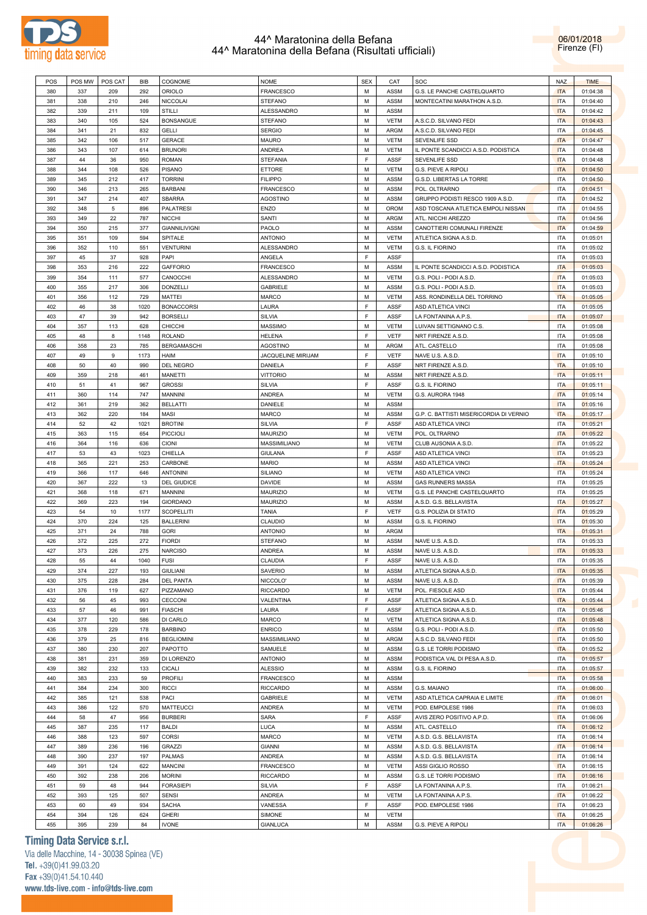



| POS | POS MW | POS CAT | <b>BIB</b> | COGNOME              | <b>NOME</b>        | <b>SEX</b> | CAT         | <b>SOC</b>                              | <b>NAZ</b> | <b>TIME</b> |
|-----|--------|---------|------------|----------------------|--------------------|------------|-------------|-----------------------------------------|------------|-------------|
| 380 | 337    | 209     | 292        | <b>ORIOLO</b>        | <b>FRANCESCO</b>   | M          | <b>ASSM</b> | G.S. LE PANCHE CASTELQUARTO             | <b>ITA</b> | 01:04:38    |
|     |        |         |            |                      |                    |            |             |                                         |            |             |
| 381 | 338    | 210     | 246        | <b>NICCOLAI</b>      | <b>STEFANO</b>     | M          | <b>ASSM</b> | MONTECATINI MARATHON A.S.D.             | <b>ITA</b> | 01:04:40    |
| 382 | 339    | 211     | 109        | <b>STILLI</b>        | <b>ALESSANDRO</b>  | M          | <b>ASSM</b> |                                         | <b>ITA</b> | 01:04:42    |
| 383 | 340    | 105     | 524        | <b>BONSANGUE</b>     | <b>STEFANO</b>     | M          | <b>VETM</b> | A.S.C.D. SILVANO FEDI                   | <b>ITA</b> | 01:04:43    |
| 384 | 341    | 21      | 832        | <b>GELLI</b>         | <b>SERGIO</b>      | M          | <b>ARGM</b> | A.S.C.D. SILVANO FEDI                   | <b>ITA</b> | 01:04:45    |
| 385 | 342    | 106     | 517        | <b>GERACE</b>        | <b>MAURO</b>       | M          | <b>VETM</b> | <b>SEVENLIFE SSD</b>                    | <b>ITA</b> | 01:04:47    |
| 386 | 343    | 107     | 614        | <b>BRUNORI</b>       | <b>ANDREA</b>      | M          | <b>VETM</b> | IL PONTE SCANDICCI A.S.D. PODISTICA     | <b>ITA</b> | 01:04:48    |
| 387 | 44     | 36      | 950        | <b>ROMAN</b>         | <b>STEFANIA</b>    | F          | <b>ASSF</b> | SEVENLIFE SSD                           | <b>ITA</b> | 01:04:48    |
|     |        |         |            |                      |                    |            |             |                                         |            |             |
| 388 | 344    | 108     | 526        | PISANO               | ETTORE             | M          | <b>VETM</b> | G.S. PIEVE A RIPOLI                     | <b>ITA</b> | 01:04:50    |
| 389 | 345    | 212     | 417        | <b>TORRINI</b>       | <b>FILIPPO</b>     | M          | <b>ASSM</b> | G.S.D. LIBERTAS LA TORRE                | <b>ITA</b> | 01:04:50    |
| 390 | 346    | 213     | 265        | <b>BARBANI</b>       | <b>FRANCESCO</b>   | M          | <b>ASSM</b> | POL. OLTRARNO                           | <b>ITA</b> | 01:04:51    |
| 391 | 347    | 214     | 407        | <b>SBARRA</b>        | AGOSTINO           | M          | <b>ASSM</b> | GRUPPO PODISTI RESCO 1909 A.S.D.        | <b>ITA</b> | 01:04:52    |
| 392 | 348    | 5       | 896        | <b>PALATRESI</b>     | <b>ENZO</b>        | M          | <b>OROM</b> | ASD TOSCANA ATLETICA EMPOLI NISSAN      | <b>ITA</b> | 01:04:55    |
| 393 | 349    | 22      | 787        | <b>NICCHI</b>        | <b>SANTI</b>       | M          | ARGM        | ATL. NICCHI AREZZO                      | <b>ITA</b> | 01:04:56    |
| 394 | 350    | 215     | 377        | <b>GIANNILIVIGNI</b> | PAOLO              | M          | <b>ASSM</b> | CANOTTIERI COMUNALI FIRENZE             | <b>ITA</b> | 01:04:59    |
| 395 | 351    | 109     | 594        | SPITALE              | <b>ANTONIO</b>     | M          | <b>VETM</b> | ATLETICA SIGNA A.S.D                    | <b>ITA</b> | 01:05:01    |
| 396 | 352    | 110     | 551        | <b>VENTURINI</b>     | <b>ALESSANDRO</b>  | M          | <b>VETM</b> |                                         | <b>ITA</b> | 01:05:02    |
|     |        |         |            |                      |                    |            |             | G.S. IL FIORINO                         |            |             |
| 397 | 45     | 37      | 928        | PAPI                 | ANGELA             | F          | <b>ASSF</b> |                                         | <b>ITA</b> | 01:05:03    |
| 398 | 353    | 216     | 222        | <b>GAFFORIO</b>      | <b>FRANCESCO</b>   | M          | <b>ASSM</b> | IL PONTE SCANDICCI A.S.D. PODISTICA     | <b>ITA</b> | 01:05:03    |
| 399 | 354    | 111     | 577        | CANOCCHI             | ALESSANDRO         | M          | <b>VETM</b> | G.S. POLI - PODI A.S.D.                 | <b>ITA</b> | 01:05:03    |
| 400 | 355    | 217     | 306        | DONZELLI             | <b>GABRIELE</b>    | M          | <b>ASSM</b> | G.S. POLI - PODI A.S.D.                 | <b>ITA</b> | 01:05:03    |
| 401 | 356    | 112     | 729        | <b>MATTEI</b>        | <b>MARCO</b>       | M          | <b>VETM</b> | ASS. RONDINELLA DEL TORRINO             | <b>ITA</b> | 01:05:05    |
| 402 | 46     | 38      | 1020       | <b>BONACCORSI</b>    | LAURA              | F          | ASSF        | ASD ATLETICA VINCI                      | <b>ITA</b> | 01:05:05    |
| 403 | 47     | 39      | 942        | <b>BORSELLI</b>      | SILVIA             | F          | <b>ASSF</b> | LA FONTANINA A.P.S.                     | <b>ITA</b> | 01:05:07    |
|     |        |         |            |                      |                    |            |             |                                         |            |             |
| 404 | 357    | 113     | 628        | CHICCHI              | MASSIMO            | M          | <b>VETM</b> | LUIVAN SETTIGNANO C.S.                  | <b>ITA</b> | 01:05:08    |
| 405 | 48     | 8       | 1148       | <b>ROLAND</b>        | <b>HELENA</b>      | F          | <b>VETF</b> | NRT FIRENZE A.S.D.                      | <b>ITA</b> | 01:05:08    |
| 406 | 358    | 23      | 785        | <b>BERGAMASCHI</b>   | <b>AGOSTINO</b>    | M          | ARGM        | ATL. CASTELLO                           | <b>ITA</b> | 01:05:08    |
| 407 | 49     | 9       | 1173       | <b>HAIM</b>          | JACQUELINE MIRIJAM | F          | <b>VETF</b> | NAVE U.S. A.S.D.                        | <b>ITA</b> | 01:05:10    |
| 408 | 50     | 40      | 990        | DEL NEGRO            | DANIELA            | F          | <b>ASSF</b> | NRT FIRENZE A.S.D.                      | <b>ITA</b> | 01:05:10    |
| 409 | 359    | 218     | 461        | <b>MANETTI</b>       | <b>VITTORIO</b>    | M          | <b>ASSM</b> | NRT FIRENZE A.S.D.                      | <b>ITA</b> | 01:05:11    |
| 410 | 51     | 41      | 967        | <b>GROSSI</b>        | SILVIA             | F          | <b>ASSF</b> | G.S. IL FIORINO                         | <b>ITA</b> | 01:05:11    |
| 411 | 360    | 114     | 747        | <b>MANNINI</b>       | <b>ANDREA</b>      | M          | <b>VETM</b> | G.S. AURORA 1948                        | <b>ITA</b> | 01:05:14    |
|     |        |         |            |                      |                    |            |             |                                         |            |             |
| 412 | 361    | 219     | 362        | <b>BELLATTI</b>      | DANIELE            | M          | <b>ASSM</b> |                                         | <b>ITA</b> | 01:05:16    |
| 413 | 362    | 220     | 184        | MASI                 | <b>MARCO</b>       | M          | <b>ASSM</b> | G.P. C. BATTISTI MISERICORDIA DI VERNIO | <b>ITA</b> | 01:05:17    |
| 414 | 52     | 42      | 1021       | <b>BROTINI</b>       | SILVIA             | F          | <b>ASSF</b> | ASD ATLETICA VINCI                      | <b>ITA</b> | 01:05:21    |
| 415 | 363    | 115     | 654        | <b>PICCIOLI</b>      | <b>MAURIZIO</b>    | M          | <b>VETM</b> | POL. OLTRARNO                           | <b>ITA</b> | 01:05:22    |
| 416 | 364    | 116     | 636        | <b>CIONI</b>         | MASSIMILIANO       | M          | <b>VETM</b> | CLUB AUSONIA A.S.D.                     | <b>ITA</b> | 01:05:22    |
| 417 | 53     | 43      | 1023       | CHIELLA              | GIULANA            | F          | <b>ASSF</b> | ASD ATLETICA VINCI                      | <b>ITA</b> | 01:05:23    |
| 418 | 365    | 221     | 253        | CARBONE              | <b>MARIO</b>       | M          | <b>ASSM</b> | ASD ATLETICA VINCI                      | <b>ITA</b> | 01:05:24    |
| 419 | 366    | 117     | 646        | <b>ANTONINI</b>      | <b>SILIANO</b>     | M          | <b>VETM</b> | ASD ATLETICA VINCI                      | <b>ITA</b> | 01:05:24    |
|     |        |         |            |                      |                    |            |             |                                         |            |             |
| 420 | 367    | 222     | 13         | <b>DEL GIUDICE</b>   | <b>DAVIDE</b>      | M          | <b>ASSM</b> | <b>GAS RUNNERS MASSA</b>                | <b>ITA</b> | 01:05:25    |
| 421 | 368    | 118     | 671        | <b>MANNINI</b>       | MAURIZIO           | M          | <b>VETM</b> | G.S. LE PANCHE CASTELQUARTO             | <b>ITA</b> | 01:05:25    |
| 422 | 369    | 223     | 194        | <b>GIORDANO</b>      | MAURIZIO           | M          | <b>ASSM</b> | A.S.D. G.S. BELLAVISTA                  | <b>ITA</b> | 01:05:27    |
| 423 | 54     | 10      | 1177       | <b>SCOPELLITI</b>    | <b>TANIA</b>       | F          | <b>VETF</b> | G.S. POLIZIA DI STATO                   | <b>ITA</b> | 01:05:29    |
| 424 | 370    | 224     | 125        | <b>BALLERINI</b>     | CLAUDIO            | M          | <b>ASSM</b> | G.S. IL FIORINO                         | <b>ITA</b> | 01:05:30    |
| 425 | 371    | 24      | 788        | <b>GORI</b>          | <b>ANTONIO</b>     | M          | ARGM        |                                         | <b>ITA</b> | 01:05:31    |
| 426 | 372    | 225     | 272        | <b>FIORDI</b>        | <b>STEFANO</b>     | M          | ASSM        | NAVE U.S. A.S.D.                        | <b>ITA</b> | 01:05:33    |
| 427 | 373    | 226     | 275        | <b>NARCISO</b>       | <b>ANDREA</b>      | M          | ASSM        | NAVE U.S. A.S.D.                        | <b>ITA</b> | 01:05:33    |
| 428 | 55     | 44      | 1040       | <b>FUSI</b>          | CLAUDIA            | F.         | ASSF        | NAVE U.S. A.S.D                         | <b>ITA</b> | 01:05:35    |
|     |        |         |            | <b>GIULIANI</b>      | <b>SAVERIO</b>     | M          |             |                                         |            |             |
| 429 | 374    | 227     | 193        |                      |                    |            | <b>ASSM</b> | ATLETICA SIGNA A.S.D                    | <b>ITA</b> | 01:05:35    |
| 430 | 375    | 228     | 284        | <b>DEL PANTA</b>     | NICCOLO'           | М          | <b>ASSM</b> | NAVE U.S. A.S.D.                        | <b>ITA</b> | 01:05:39    |
| 431 | 376    | 119     | 627        | PIZZAMANO            | <b>RICCARDO</b>    | М          | <b>VETM</b> | POL. FIESOLE ASD                        | <b>ITA</b> | 01:05:44    |
| 432 | 56     | 45      | 993        | CECCONI              | VALENTINA          | F          | ASSF        | ATLETICA SIGNA A.S.D.                   | <b>ITA</b> | 01:05:44    |
| 433 | 57     | 46      | 991        | <b>FIASCHI</b>       | LAURA              | F          | ASSF        | ATLETICA SIGNA A.S.D                    | <b>ITA</b> | 01:05:46    |
| 434 | 377    | 120     | 586        | DI CARLO             | MARCO              | M          | <b>VETM</b> | ATLETICA SIGNA A.S.D.                   | <b>ITA</b> | 01:05:48    |
| 435 | 378    | 229     | 178        | <b>BARBINO</b>       | <b>ENRICO</b>      | М          | <b>ASSM</b> | G.S. POLI - PODI A.S.D.                 | <b>ITA</b> | 01:05:50    |
| 436 | 379    | 25      | 816        | <b>BEGLIOMINI</b>    | MASSIMILIANO       | М          | ARGM        | A.S.C.D. SILVANO FEDI                   | <b>ITA</b> | 01:05:50    |
| 437 | 380    | 230     | 207        | PAPOTTO              | SAMUELE            | М          | <b>ASSM</b> | G.S. LE TORRI PODISMO                   | <b>ITA</b> | 01:05:52    |
|     |        |         |            | DI LORENZO           |                    |            |             |                                         |            |             |
| 438 | 381    | 231     | 359        |                      | <b>ANTONIO</b>     | M          | <b>ASSM</b> | PODISTICA VAL DI PESA A.S.D.            | <b>ITA</b> | 01:05:57    |
| 439 | 382    | 232     | 133        | <b>CICALI</b>        | <b>ALESSIO</b>     | М          | ASSM        | G.S. IL FIORINO                         | <b>ITA</b> | 01:05:57    |
| 440 | 383    | 233     | 59         | <b>PROFILI</b>       | <b>FRANCESCO</b>   | М          | ASSM        |                                         | <b>ITA</b> | 01:05:58    |
| 441 | 384    | 234     | 300        | <b>RICCI</b>         | <b>RICCARDO</b>    | М          | ASSM        | G.S. MAIANO                             | <b>ITA</b> | 01:06:00    |
| 442 | 385    | 121     | 538        | PACI                 | <b>GABRIELE</b>    | М          | <b>VETM</b> | ASD ATLETICA CAPRAIA E LIMITE           | <b>ITA</b> | 01:06:01    |
| 443 | 386    | 122     | 570        | <b>MATTEUCCI</b>     | ANDREA             | М          | <b>VETM</b> | POD. EMPOLESE 1986                      | <b>ITA</b> | 01:06:03    |
| 444 | 58     | 47      | 956        | <b>BURBERI</b>       | SARA               | F          | ASSF        | AVIS ZERO POSITIVO A.P.D.               | <b>ITA</b> | 01:06:06    |
| 445 | 387    | 235     | 117        | <b>BALDI</b>         | LUCA               | М          | <b>ASSM</b> | ATL. CASTELLO                           | <b>ITA</b> | 01:06:12    |
| 446 | 388    |         |            |                      |                    |            |             |                                         |            |             |
|     |        | 123     | 597        | CORSI                | <b>MARCO</b>       | M          | <b>VETM</b> | A.S.D. G.S. BELLAVISTA                  | <b>ITA</b> | 01:06:14    |
| 447 | 389    | 236     | 196        | GRAZZI               | <b>GIANNI</b>      | М          | ASSM        | A.S.D. G.S. BELLAVISTA                  | <b>ITA</b> | 01:06:14    |
| 448 | 390    | 237     | 197        | <b>PALMAS</b>        | ANDREA             | M          | <b>ASSM</b> | A.S.D. G.S. BELLAVISTA                  | <b>ITA</b> | 01:06:14    |
| 449 | 391    | 124     | 622        | <b>MANCINI</b>       | <b>FRANCESCO</b>   | М          | <b>VETM</b> | ASSI GIGLIO ROSSO                       | <b>ITA</b> | 01:06:15    |
| 450 | 392    | 238     | 206        | <b>MORINI</b>        | <b>RICCARDO</b>    | M          | <b>ASSM</b> | G.S. LE TORRI PODISMO                   | <b>ITA</b> | 01:06:16    |
| 451 | 59     | 48      | 944        | <b>FORASIEPI</b>     | SILVIA             | F          | ASSF        | LA FONTANINA A.P.S.                     | <b>ITA</b> | 01:06:21    |
| 452 | 393    | 125     | 507        | <b>SENSI</b>         | ANDREA             | М          | <b>VETM</b> | LA FONTANINA A.P.S.                     | <b>ITA</b> | 01:06:22    |
| 453 | 60     | 49      | 934        | SACHA                | VANESSA            | F          | ASSF        | POD. EMPOLESE 1986                      | <b>ITA</b> | 01:06:23    |
| 454 | 394    | 126     | 624        | <b>GHERI</b>         | SIMONE             | М          | <b>VETM</b> |                                         | <b>ITA</b> | 01:06:25    |
|     |        |         |            |                      |                    |            |             |                                         |            |             |
| 455 | 395    | 239     | 84         | <b>IVONE</b>         | <b>GIANLUCA</b>    | М          | ASSM        | G.S. PIEVE A RIPOLI                     | <b>ITA</b> | 01:06:26    |

# **Timing Data Service s.r.l.**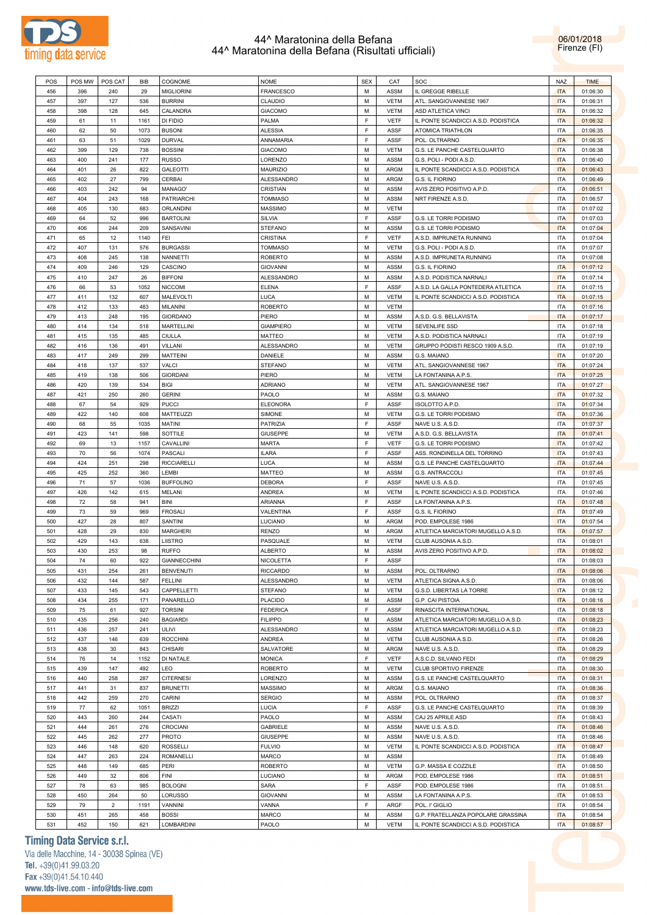



| POS | POS MW | POS CAT        | BIB  | COGNOME            | NOME              | <b>SEX</b> | CAT         | SOC                                 | <b>NAZ</b> | <b>TIME</b> |
|-----|--------|----------------|------|--------------------|-------------------|------------|-------------|-------------------------------------|------------|-------------|
|     |        |                |      |                    |                   |            |             |                                     |            |             |
| 456 | 396    | 240            | 29   | <b>MIGLIORINI</b>  | <b>FRANCESCO</b>  | M          | <b>ASSM</b> | IL GREGGE RIBELLE                   | <b>ITA</b> | 01:06:30    |
| 457 | 397    | 127            | 536  | <b>BURRINI</b>     | CLAUDIO           | M          | <b>VETM</b> | ATL. SANGIOVANNESE 1967             | <b>ITA</b> | 01:06:31    |
| 458 | 398    | 128            | 645  | CALANDRA           | <b>GIACOMO</b>    | M          | <b>VETM</b> | <b>ASD ATLETICA VINCI</b>           | <b>ITA</b> | 01:06:32    |
| 459 | 61     | 11             | 1161 | DI FIDIO           | PALMA             | F          | <b>VETF</b> | IL PONTE SCANDICCI A.S.D. PODISTICA | <b>ITA</b> | 01:06:32    |
| 460 | 62     | 50             | 1073 | <b>BUSONI</b>      | <b>ALESSIA</b>    | F          | ASSF        | ATOMICA TRIATHLON                   | <b>ITA</b> | 01:06:35    |
| 461 | 63     | 51             | 1029 | <b>DURVAL</b>      | ANNAMARIA         | F          | <b>ASSF</b> | POL. OLTRARNO                       | <b>ITA</b> | 01:06:35    |
|     |        |                |      |                    |                   |            |             |                                     |            |             |
| 462 | 399    | 129            | 738  | <b>BOSSINI</b>     | <b>GIACOMO</b>    | M          | <b>VETM</b> | G.S. LE PANCHE CASTELQUARTO         | <b>ITA</b> | 01:06:38    |
| 463 | 400    | 241            | 177  | <b>RUSSO</b>       | LORENZO           | М          | <b>ASSM</b> | G.S. POLI - PODI A.S.D.             | <b>ITA</b> | 01:06:40    |
| 464 | 401    | 26             | 822  | GALEOTTI           | <b>MAURIZIO</b>   | M          | <b>ARGM</b> | IL PONTE SCANDICCI A.S.D. PODISTICA | <b>ITA</b> | 01:06:43    |
| 465 | 402    | 27             | 799  | CERBAI             | ALESSANDRO        | M          | <b>ARGM</b> | G.S. IL FIORINO                     | <b>ITA</b> | 01:06:49    |
| 466 | 403    | 242            | 94   | MANAGO'            | <b>CRISTIAN</b>   | M          | <b>ASSM</b> | AVIS ZERO POSITIVO A.P.D.           | <b>ITA</b> | 01:06:51    |
| 467 | 404    | 243            | 168  | <b>PATRIARCHI</b>  | <b>TOMMASO</b>    | M          | <b>ASSM</b> | NRT FIRENZE A.S.D.                  | <b>ITA</b> | 01:06:57    |
|     |        |                |      |                    |                   |            |             |                                     |            |             |
| 468 | 405    | 130            | 683  | ORLANDINI          | <b>MASSIMO</b>    | M          | <b>VETM</b> |                                     | <b>ITA</b> | 01:07:02    |
| 469 | 64     | 52             | 996  | <b>BARTOLINI</b>   | SILVIA            | F          | <b>ASSF</b> | G.S. LE TORRI PODISMO               | <b>ITA</b> | 01:07:03    |
| 470 | 406    | 244            | 209  | SANSAVINI          | <b>STEFANO</b>    | M          | <b>ASSM</b> | G.S. LE TORRI PODISMO               | <b>ITA</b> | 01:07:04    |
| 471 | 65     | 12             | 1140 | FEI                | <b>CRISTINA</b>   | F          | <b>VETF</b> | A.S.D. IMPRUNETA RUNNING            | <b>ITA</b> | 01:07:04    |
| 472 | 407    | 131            | 576  | <b>BURGASSI</b>    | <b>TOMMASO</b>    | M          | <b>VETM</b> | G.S. POLI - PODI A.S.D.             | <b>ITA</b> | 01:07:07    |
| 473 | 408    | 245            | 138  | NANNETTI           | <b>ROBERTO</b>    | М          | <b>ASSM</b> | A.S.D. IMPRUNETA RUNNING            | <b>ITA</b> | 01:07:08    |
|     |        |                |      |                    |                   | M          |             |                                     | <b>ITA</b> |             |
| 474 | 409    | 246            | 129  | CASCINO            | <b>GIOVANNI</b>   |            | <b>ASSM</b> | G.S. IL FIORINO                     |            | 01:07:12    |
| 475 | 410    | 247            | 26   | <b>BIFFONI</b>     | <b>ALESSANDRO</b> | м          | <b>ASSM</b> | A.S.D. PODISTICA NARNALI            | <b>ITA</b> | 01:07:14    |
| 476 | 66     | 53             | 1052 | <b>NICCOMI</b>     | <b>ELENA</b>      | F          | ASSF        | A.S.D. LA GALLA PONTEDERA ATLETICA  | <b>ITA</b> | 01:07:15    |
| 477 | 411    | 132            | 607  | <b>MALEVOLTI</b>   | LUCA              | M          | <b>VETM</b> | IL PONTE SCANDICCI A.S.D. PODISTICA | <b>ITA</b> | 01:07:15    |
| 478 | 412    | 133            | 483  | MILANINI           | <b>ROBERTO</b>    | M          | <b>VETM</b> |                                     | <b>ITA</b> | 01:07:16    |
| 479 | 413    | 248            | 195  | <b>GIORDANO</b>    | PIERO             | м          | <b>ASSM</b> | A.S.D. G.S. BELLAVISTA              | <b>ITA</b> | 01:07:17    |
| 480 | 414    | 134            | 518  | <b>MARTELLINI</b>  | <b>GIAMPIERO</b>  | M          | <b>VETM</b> | <b>SEVENLIFE SSD</b>                | <b>ITA</b> | 01:07:18    |
|     |        |                |      |                    |                   |            |             |                                     |            |             |
| 481 | 415    | 135            | 485  | CIULLA             | <b>MATTEO</b>     | M          | <b>VETM</b> | A.S.D. PODISTICA NARNALI            | <b>ITA</b> | 01:07:19    |
| 482 | 416    | 136            | 491  | VILLANI            | <b>ALESSANDRO</b> | M          | <b>VETM</b> | GRUPPO PODISTI RESCO 1909 A.S.D.    | <b>ITA</b> | 01:07:19    |
| 483 | 417    | 249            | 299  | <b>MATTEINI</b>    | DANIELE           | M          | <b>ASSM</b> | G.S. MAIANO                         | <b>ITA</b> | 01:07:20    |
| 484 | 418    | 137            | 537  | VALCI              | <b>STEFANO</b>    | M          | <b>VETM</b> | ATL. SANGIOVANNESE 1967             | <b>ITA</b> | 01:07:24    |
| 485 | 419    | 138            | 506  | <b>GIORDANI</b>    | PIERO             | м          | <b>VETM</b> | LA FONTANINA A.P.S.                 | <b>ITA</b> | 01:07:25    |
| 486 | 420    | 139            | 534  | <b>BIGI</b>        | <b>ADRIANO</b>    | M          | <b>VETM</b> | ATL. SANGIOVANNESE 1967             | <b>ITA</b> | 01:07:27    |
|     |        |                |      |                    |                   |            |             |                                     |            |             |
| 487 | 421    | 250            | 260  | <b>GERINI</b>      | PAOLO             | M          | <b>ASSM</b> | G.S. MAIANO                         | <b>ITA</b> | 01:07:32    |
| 488 | 67     | 54             | 929  | <b>PUCCI</b>       | <b>ELEONORA</b>   | F          | <b>ASSF</b> | ISOLOTTO A.P.D.                     | <b>ITA</b> | 01:07:34    |
| 489 | 422    | 140            | 608  | MATTEUZZI          | SIMONE            | М          | <b>VETM</b> | G.S. LE TORRI PODISMO               | <b>ITA</b> | 01:07:36    |
| 490 | 68     | 55             | 1035 | <b>MATINI</b>      | <b>PATRIZIA</b>   | F          | ASSF        | NAVE U.S. A.S.D.                    | <b>ITA</b> | 01:07:37    |
| 491 | 423    | 141            | 598  | SOTTILE            | <b>GIUSEPPE</b>   | M          | <b>VETM</b> | A.S.D. G.S. BELLAVISTA              | <b>ITA</b> | 01:07:41    |
| 492 | 69     | 13             | 1157 | CAVALLINI          | <b>MARTA</b>      | F          | <b>VETF</b> | G.S. LE TORRI PODISMO               | <b>ITA</b> | 01:07:42    |
|     |        |                |      |                    |                   |            |             |                                     |            |             |
| 493 | 70     | 56             | 1074 | PASCALI            | <b>ILARA</b>      | F          | <b>ASSF</b> | ASS. RONDINELLA DEL TORRINO         | <b>ITA</b> | 01:07:43    |
| 494 | 424    | 251            | 298  | <b>RICCIARELLI</b> | LUCA              | M          | <b>ASSM</b> | G.S. LE PANCHE CASTELQUARTO         | <b>ITA</b> | 01:07:44    |
| 495 | 425    | 252            | 360  | LEMBI              | <b>MATTEO</b>     | М          | <b>ASSM</b> | G.S. ANTRACCOLI                     | <b>ITA</b> | 01:07:45    |
| 496 | 71     | 57             | 1036 | <b>BUFFOLINO</b>   | <b>DEBORA</b>     | F          | <b>ASSF</b> | NAVE U.S. A.S.D.                    | <b>ITA</b> | 01:07:45    |
| 497 | 426    | 142            | 615  | MELANI             | ANDREA            | M          | <b>VETM</b> | IL PONTE SCANDICCI A.S.D. PODISTICA | <b>ITA</b> | 01:07:46    |
| 498 | 72     | 58             | 941  | BINI               | ARIANNA           | F          | ASSF        | LA FONTANINA A.P.S.                 | <b>ITA</b> | 01:07:48    |
| 499 | 73     |                | 969  | <b>FROSALI</b>     | VALENTINA         | F          | <b>ASSF</b> | G.S. IL FIORINO                     | <b>ITA</b> | 01:07:49    |
|     |        | 59             |      |                    |                   |            |             |                                     |            |             |
| 500 | 427    | 28             | 807  | SANTINI            | LUCIANO           | M          | <b>ARGM</b> | POD. EMPOLESE 1986                  | <b>ITA</b> | 01:07:54    |
| 501 | 428    | 29             | 830  | <b>MARGHERI</b>    | <b>RENZO</b>      | м          | <b>ARGM</b> | ATLETICA MARCIATORI MUGELLO A.S.D.  | <b>ITA</b> | 01:07:57    |
| 502 | 429    | 143            | 638  | LIISTRO            | PASQUALE          | M          | <b>VETM</b> | CLUB AUSONIA A.S.D.                 | <b>ITA</b> | 01:08:01    |
| 503 | 430    | 253            | 98   | <b>RUFFO</b>       | <b>ALBERTO</b>    | M          | <b>ASSM</b> | AVIS ZERO POSITIVO A.P.D.           | <b>ITA</b> | 01:08:02    |
| 504 | 74     | 60             | 922  | GIANNECCHINI       | NICOLETTA         | F.         | <b>ASSF</b> |                                     | <b>ITA</b> | 01:08:03    |
| 505 | 431    | 254            | 261  | <b>BENVENUTI</b>   | <b>RICCARDO</b>   | M          | ASSM        | POL. OLTRARNO                       | <b>ITA</b> | 01:08:06    |
|     |        |                |      |                    |                   |            |             |                                     |            |             |
| 506 | 432    | 144            | 587  | FELLINI            | ALESSANDRO        | M          | <b>VETM</b> | ATLETICA SIGNA A.S.D.               | <b>ITA</b> | 01:08:06    |
| 507 | 433    | 145            | 543  | CAPPELLETTI        | <b>STEFANO</b>    | M          | <b>VETM</b> | G.S.D. LIBERTAS LA TORRE            | <b>ITA</b> | 01:08:12    |
| 508 | 434    | 255            | 171  | PANARELLO          | PLACIDO           | M          | ASSM        | G.P. CAI PISTOIA                    | <b>ITA</b> | 01:08:16    |
| 509 | 75     | 61             | 927  | <b>TORSINI</b>     | <b>FEDERICA</b>   | F          | <b>ASSF</b> | RINASCITA INTERNATIONAL             | <b>ITA</b> | 01:08:18    |
| 510 | 435    | 256            | 240  | <b>BAGIARDI</b>    | <b>FILIPPO</b>    | M          | <b>ASSM</b> | ATLETICA MARCIATORI MUGELLO A.S.D.  | <b>ITA</b> | 01:08:23    |
| 511 | 436    | 257            | 241  | ULIVI              | ALESSANDRO        | M          | <b>ASSM</b> | ATLETICA MARCIATORI MUGELLO A.S.D.  | <b>ITA</b> | 01:08:23    |
| 512 | 437    | 146            | 639  | <b>ROCCHINI</b>    | ANDREA            | M          | <b>VETM</b> | CLUB AUSONIA A.S.D.                 | <b>ITA</b> | 01:08:26    |
|     |        |                |      |                    |                   |            |             |                                     |            |             |
| 513 | 438    | 30             | 843  | <b>CHISARI</b>     | SALVATORE         | M          | <b>ARGM</b> | NAVE U.S. A.S.D.                    | <b>ITA</b> | 01:08:29    |
| 514 | 76     | 14             | 1152 | DI NATALE          | <b>MONICA</b>     | F          | <b>VETF</b> | A.S.C.D. SILVANO FEDI               | <b>ITA</b> | 01:08:29    |
| 515 | 439    | 147            | 492  | LEO                | <b>ROBERTO</b>    | M          | <b>VETM</b> | CLUB SPORTIVO FIRENZE               | <b>ITA</b> | 01:08:30    |
| 516 | 440    | 258            | 287  | <b>CITERNESI</b>   | LORENZO           | M          | ASSM        | G.S. LE PANCHE CASTELQUARTO         | <b>ITA</b> | 01:08:31    |
| 517 | 441    | 31             | 837  | <b>BRUNETTI</b>    | MASSIMO           | M          | <b>ARGM</b> | G.S. MAIANO                         | <b>ITA</b> | 01:08:36    |
| 518 | 442    | 259            | 270  | CARINI             | <b>SERGIO</b>     | M          | <b>ASSM</b> | POL. OLTRARNO                       | <b>ITA</b> | 01:08:37    |
| 519 | 77     | 62             | 1051 | <b>BRIZZI</b>      | LUCIA             | F          | <b>ASSF</b> | G.S. LE PANCHE CASTELQUARTO         | <b>ITA</b> | 01:08:39    |
|     |        |                |      |                    |                   |            |             |                                     |            |             |
| 520 | 443    | 260            | 244  | CASATI             | PAOLO             | M          | ASSM        | CAJ 25 APRILE ASD                   | <b>ITA</b> | 01:08:43    |
| 521 | 444    | 261            | 276  | CROCIANI           | <b>GABRIELE</b>   | M          | <b>ASSM</b> | NAVE U.S. A.S.D.                    | <b>ITA</b> | 01:08:46    |
| 522 | 445    | 262            | 277  | <b>PROTO</b>       | <b>GIUSEPPE</b>   | M          | <b>ASSM</b> | NAVE U.S. A.S.D.                    | <b>ITA</b> | 01:08:46    |
| 523 | 446    | 148            | 620  | <b>ROSSELLI</b>    | <b>FULVIO</b>     | M          | <b>VETM</b> | IL PONTE SCANDICCI A.S.D. PODISTICA | <b>ITA</b> | 01:08:47    |
| 524 | 447    | 263            | 224  | <b>ROMANELLI</b>   | MARCO             | M          | ASSM        |                                     | <b>ITA</b> | 01:08:49    |
| 525 | 448    | 149            | 685  | PERI               | <b>ROBERTO</b>    | M          | <b>VETM</b> | G.P. MASSA E COZZILE                | <b>ITA</b> | 01:08:50    |
|     |        |                |      |                    |                   |            |             |                                     |            |             |
| 526 | 449    | 32             | 806  | FINI               | LUCIANO           | M          | <b>ARGM</b> | POD. EMPOLESE 1986                  | <b>ITA</b> | 01:08:51    |
| 527 | 78     | 63             | 985  | <b>BOLOGNI</b>     | SARA              | F          | ASSF        | POD. EMPOLESE 1986                  | ITA        | 01:08:51    |
| 528 | 450    | 264            | 50   | LORUSSO            | <b>GIOVANNI</b>   | M          | ASSM        | LA FONTANINA A.P.S.                 | <b>ITA</b> | 01:08:53    |
| 529 | 79     | $\overline{c}$ | 1191 | VANNINI            | VANNA             | F          | ARGF        | POL. I' GIGLIO                      | <b>ITA</b> | 01:08:54    |
| 530 | 451    | 265            | 458  | <b>BOSSI</b>       | MARCO             | M          | ASSM        | G.P. FRATELLANZA POPOLARE GRASSINA  | <b>ITA</b> | 01:08:54    |
| 531 | 452    | 150            | 621  | LOMBARDINI         | PAOLO             | М          | <b>VETM</b> | IL PONTE SCANDICCI A.S.D. PODISTICA | <b>ITA</b> | 01:08:57    |
|     |        |                |      |                    |                   |            |             |                                     |            |             |

# **Timing Data Service s.r.l.**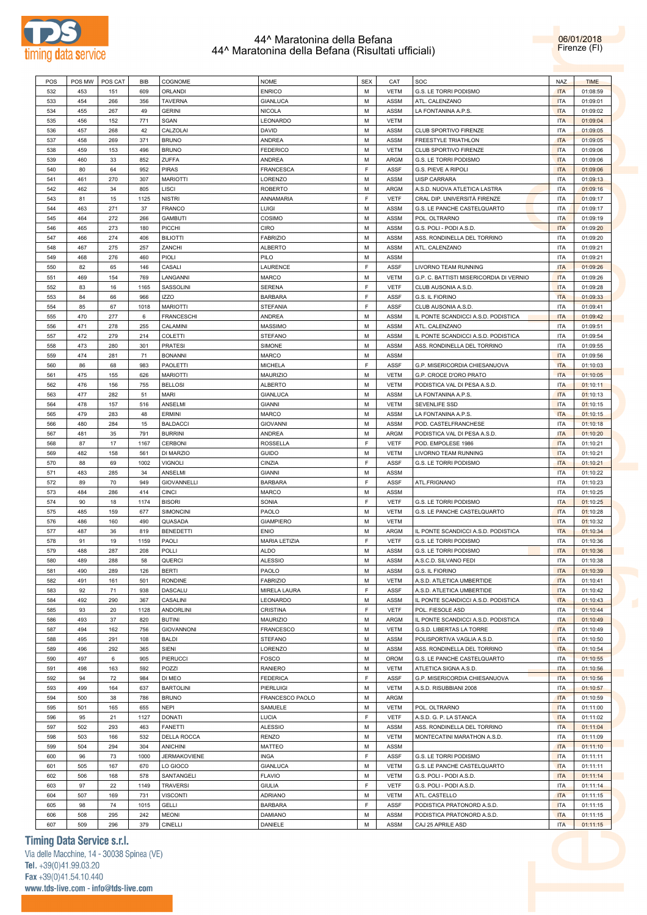

06/01/2018 Firenze (FI)

| POS        | POS MW     | POS CAT    | <b>BIB</b> | COGNOME                        | <b>NOME</b>               | <b>SEX</b> | CAT          | SOC                                             | <b>NAZ</b>               | <b>TIME</b>          |
|------------|------------|------------|------------|--------------------------------|---------------------------|------------|--------------|-------------------------------------------------|--------------------------|----------------------|
| 532        | 453        | 151        | 609        | ORLANDI                        | <b>ENRICO</b>             | М          | <b>VETM</b>  | G.S. LE TORRI PODISMO                           | <b>ITA</b>               | 01:08:59             |
| 533        | 454        | 266        | 356        | <b>TAVERNA</b>                 | <b>GIANLUCA</b>           | М          | <b>ASSM</b>  | ATL. CALENZANO                                  | <b>ITA</b>               | 01:09:01             |
| 534        | 455        | 267        | 49         | <b>GERINI</b>                  | <b>NICOLA</b>             | м          | <b>ASSM</b>  | LA FONTANINA A.P.S.                             | <b>ITA</b>               | 01:09:02             |
| 535        | 456        | 152        | 771        | SGAN                           | LEONARDO                  | М          | <b>VETM</b>  |                                                 | <b>ITA</b>               | 01:09:04             |
|            |            |            |            |                                |                           |            |              |                                                 |                          |                      |
| 536        | 457        | 268        | 42         | CALZOLAI                       | DAVID                     | М          | <b>ASSM</b>  | <b>CLUB SPORTIVO FIRENZE</b>                    | <b>ITA</b>               | 01:09:05             |
| 537        | 458        | 269        | 371        | <b>BRUNO</b>                   | <b>ANDREA</b>             | М          | <b>ASSM</b>  | FREESTYLE TRIATHLON                             | <b>ITA</b>               | 01:09:05             |
| 538        | 459        | 153        | 496        | <b>BRUNO</b>                   | <b>FEDERICO</b>           | М          | <b>VETM</b>  | <b>CLUB SPORTIVO FIRENZE</b>                    | <b>ITA</b>               | 01:09:06             |
| 539        | 460        | 33         | 852        | <b>ZUFFA</b>                   | <b>ANDREA</b>             | М          | ARGM         | G.S. LE TORRI PODISMO                           | <b>ITA</b>               | 01:09:06             |
| 540        | 80         | 64         | 952        | <b>PIRAS</b>                   | <b>FRANCESCA</b>          | F          | <b>ASSF</b>  | G.S. PIEVE A RIPOLI                             | <b>ITA</b>               | 01:09:06             |
| 541        | 461        | 270        | 307        | <b>MARIOTTI</b>                | LORENZO                   | М          | <b>ASSM</b>  | UISP CARRARA                                    | <b>ITA</b>               | 01:09:13             |
| 542        | 462        | 34         | 805        | <b>LISCI</b>                   | <b>ROBERTO</b>            | М          | ARGM         | A.S.D. NUOVA ATLETICA LASTRA                    | ITA                      | 01:09:16             |
|            |            |            |            |                                |                           | F          |              |                                                 |                          |                      |
| 543        | 81         | 15         | 1125       | <b>NISTRI</b>                  | ANNAMARIA                 |            | <b>VETF</b>  | CRAL DIP. UNIVERSITÁ FIRENZE                    | <b>ITA</b>               | 01:09:17             |
| 544        | 463        | 271        | 37         | <b>FRANCO</b>                  | <b>LUIGI</b>              | М          | ASSM         | G.S. LE PANCHE CASTELQUARTO                     | ITA                      | 01:09:17             |
| 545        | 464        | 272        | 266        | <b>GAMBUTI</b>                 | COSIMO                    | М          | <b>ASSM</b>  | POL. OLTRARNO                                   | <b>ITA</b>               | 01:09:19             |
| 546        | 465        | 273        | 180        | <b>PICCHI</b>                  | <b>CIRO</b>               | М          | ASSM         | G.S. POLI - PODI A.S.D.                         | <b>ITA</b>               | 01:09:20             |
| 547        | 466        | 274        | 406        | <b>BILIOTTI</b>                | <b>FABRIZIO</b>           | М          | <b>ASSM</b>  | ASS. RONDINELLA DEL TORRINO                     | <b>ITA</b>               | 01:09:20             |
| 548        | 467        | 275        | 257        | ZANCHI                         | <b>ALBERTO</b>            | М          | ASSM         | ATL. CALENZANO                                  | ITA                      | 01:09:21             |
| 549        | 468        | 276        | 460        | PIOLI                          | PILO                      | М          | <b>ASSM</b>  |                                                 | <b>ITA</b>               | 01:09:21             |
|            |            |            |            |                                |                           | F          |              |                                                 |                          |                      |
| 550        | 82         | 65         | 146        | CASALI                         | LAURENCE                  |            | <b>ASSF</b>  | LIVORNO TEAM RUNNING                            | <b>ITA</b>               | 01:09:26             |
| 551        | 469        | 154        | 769        | LANGANNI                       | <b>MARCO</b>              | М          | <b>VETM</b>  | G.P. C. BATTISTI MISERICORDIA DI VERNIO         | <b>ITA</b>               | 01:09:26             |
| 552        | 83         | 16         | 1165       | SASSOLINI                      | <b>SERENA</b>             | F          | <b>VETF</b>  | CLUB AUSONIA A.S.D.                             | <b>ITA</b>               | 01:09:28             |
| 553        | 84         | 66         | 966        | <b>IZZO</b>                    | <b>BARBARA</b>            | F          | <b>ASSF</b>  | G.S. IL FIORINO                                 | <b>ITA</b>               | 01:09:33             |
| 554        | 85         | 67         | 1018       | <b>MARIOTTI</b>                | <b>STEFANIA</b>           | F          | <b>ASSF</b>  | CLUB AUSONIA A.S.D.                             | ITA                      | 01:09:41             |
| 555        | 470        | 277        | 6          | <b>FRANCESCHI</b>              | <b>ANDREA</b>             | М          | <b>ASSM</b>  | IL PONTE SCANDICCI A.S.D. PODISTICA             | <b>ITA</b>               | 01:09:42             |
| 556        | 471        | 278        | 255        | CALAMINI                       | <b>MASSIMO</b>            | М          | ASSM         | ATL. CALENZANO                                  | ITA                      | 01:09:51             |
|            |            |            |            |                                |                           |            |              |                                                 |                          |                      |
| 557        | 472        | 279        | 214        | COLETTI                        | <b>STEFANO</b>            | М          | <b>ASSM</b>  | IL PONTE SCANDICCI A.S.D. PODISTICA             | <b>ITA</b>               | 01:09:54             |
| 558        | 473        | 280        | 301        | <b>PRATESI</b>                 | SIMONE                    | М          | ASSM         | ASS. RONDINELLA DEL TORRINO                     | ITA                      | 01:09:55             |
| 559        | 474        | 281        | 71         | <b>BONANNI</b>                 | MARCO                     | М          | <b>ASSM</b>  |                                                 | <b>ITA</b>               | 01:09:56             |
| 560        | 86         | 68         | 983        | PAOLETTI                       | <b>MICHELA</b>            | F          | <b>ASSF</b>  | G.P. MISERICORDIA CHIESANUOVA                   | <b>ITA</b>               | 01:10:03             |
| 561        | 475        | 155        | 626        | <b>MARIOTTI</b>                | MAURIZIO                  | М          | <b>VETM</b>  | G.P. CROCE D'ORO PRATO                          | <b>ITA</b>               | 01:10:05             |
| 562        | 476        | 156        | 755        | <b>BELLOSI</b>                 | <b>ALBERTO</b>            | М          | <b>VETM</b>  | PODISTICA VAL DI PESA A.S.D.                    | <b>ITA</b>               | 01:10:11             |
| 563        | 477        | 282        | 51         | <b>MARI</b>                    | GIANLUCA                  | М          | <b>ASSM</b>  | LA FONTANINA A.P.S.                             | <b>ITA</b>               | 01:10:13             |
|            |            |            |            |                                |                           |            |              |                                                 |                          |                      |
| 564        | 478        | 157        | 516        | ANSELMI                        | <b>GIANNI</b>             | М          | <b>VETM</b>  | SEVENLIFE SSD                                   | <b>ITA</b>               | 01:10:15             |
| 565        | 479        | 283        | 48         | <b>ERMINI</b>                  | <b>MARCO</b>              | М          | <b>ASSM</b>  | LA FONTANINA A.P.S.                             | <b>ITA</b>               | 01:10:15             |
| 566        | 480        | 284        | 15         | <b>BALDACCI</b>                | <b>GIOVANNI</b>           | М          | ASSM         | POD. CASTELFRANCHESE                            | ITA                      | 01:10:18             |
| 567        | 481        | 35         | 791        | <b>BURRINI</b>                 | <b>ANDREA</b>             | М          | ARGM         | PODISTICA VAL DI PESA A.S.D.                    | <b>ITA</b>               | 01:10:20             |
| 568        | 87         | 17         | 1167       | <b>CERBONI</b>                 | ROSSELLA                  | F          | <b>VETF</b>  | POD. EMPOLESE 1986                              | <b>ITA</b>               | 01:10:21             |
| 569        | 482        | 158        | 561        | DI MARZIO                      | <b>GUIDO</b>              | М          | <b>VETM</b>  | LIVORNO TEAM RUNNING                            | <b>ITA</b>               | 01:10:21             |
| 570        | 88         | 69         | 1002       |                                |                           | F          | <b>ASSF</b>  |                                                 |                          |                      |
|            |            |            |            | <b>VIGNOLI</b>                 | CINZIA                    |            |              | G.S. LE TORRI PODISMO                           | <b>ITA</b>               | 01:10:21             |
| 571        | 483        | 285        | 34         | ANSELMI                        | <b>GIANNI</b>             | М          | <b>ASSM</b>  |                                                 | <b>ITA</b>               | 01:10:22             |
| 572        | 89         | 70         | 949        | <b>GIOVANNELLI</b>             | <b>BARBARA</b>            | F          | <b>ASSF</b>  | ATL.FRIGNANO                                    | ITA                      | 01:10:23             |
| 573        | 484        | 286        | 414        | <b>CINCI</b>                   | MARCO                     | М          | <b>ASSM</b>  |                                                 | <b>ITA</b>               | 01:10:25             |
| 574        | 90         | 18         | 1174       | <b>BISORI</b>                  | SONIA                     | F          | <b>VETF</b>  | G.S. LE TORRI PODISMO                           | <b>ITA</b>               | 01:10:25             |
| 575        | 485        | 159        | 677        | <b>SIMONCINI</b>               | PAOLO                     | М          | <b>VETM</b>  | G.S. LE PANCHE CASTELQUARTO                     | <b>ITA</b>               | 01:10:28             |
| 576        | 486        | 160        | 490        | QUASADA                        | <b>GIAMPIERO</b>          | М          | <b>VETM</b>  |                                                 | <b>ITA</b>               | 01:10:32             |
| 577        | 487        | 36         | 819        | <b>BENEDETTI</b>               | <b>ENIO</b>               | М          | ARGM         | IL PONTE SCANDICCI A.S.D. PODISTICA             | <b>ITA</b>               | 01:10:34             |
|            |            |            |            |                                |                           | F          |              |                                                 |                          |                      |
| 578        | 91         | 19         | 1159       | PAOLI                          | <b>MARIA LETIZIA</b>      |            | <b>VETF</b>  | G.S. LE TORRI PODISMO                           | ITA                      | 01:10:36             |
| 579        | 488        | 287        | 208        | POLLI                          | <b>ALDO</b>               | М          | <b>ASSM</b>  | G.S. LE TORRI PODISMO                           | <b>ITA</b>               | 01:10:36             |
| 580        | 489        | 288        | 58         | QUERCI                         | <b>ALESSIO</b>            | М          | <b>ASSM</b>  | A.S.C.D. SILVANO FEDI                           | <b>ITA</b>               | 01:10:38             |
| 581        | 490        | 289        | 126        | <b>BERTI</b>                   | PAOLO                     | М          | ASSM         | G.S. IL FIORINO                                 | <b>ITA</b>               | 01:10:39             |
| 582        | 491        | 161        | 501        | <b>RONDINE</b>                 | <b>FABRIZIO</b>           | М          | <b>VETM</b>  | A.S.D. ATLETICA UMBERTIDE                       | <b>ITA</b>               | 01:10:41             |
| 583        | 92         | 71         | 938        | DASCALU                        | MIRELA LAURA              | F          | <b>ASSF</b>  | A.S.D. ATLETICA UMBERTIDE                       | <b>ITA</b>               | 01:10:42             |
| 584        | 492        | 290        | 367        | CASALINI                       | LEONARDO                  | М          | <b>ASSM</b>  | IL PONTE SCANDICCI A.S.D. PODISTICA             | <b>ITA</b>               | 01:10:43             |
| 585        | 93         | 20         | 1128       | <b>ANDORLINI</b>               | CRISTINA                  | F          | <b>VETF</b>  | POL. FIESOLE ASD                                | <b>ITA</b>               | 01:10:44             |
|            |            |            |            |                                |                           |            |              |                                                 |                          |                      |
| 586        | 493        | 37         | 820        | <b>BUTINI</b>                  | MAURIZIO                  | М          | ARGM         | IL PONTE SCANDICCI A.S.D. PODISTICA             | <b>ITA</b>               | 01:10:49             |
| 587        | 494        | 162        | 756        | <b>GIOVANNONI</b>              | <b>FRANCESCO</b>          | М          | <b>VETM</b>  | G.S.D. LIBERTAS LA TORRE                        | <b>ITA</b>               | 01:10:49             |
| 588        | 495        | 291        | 108        | <b>BALDI</b>                   | <b>STEFANO</b>            | М          | <b>ASSM</b>  | POLISPORTIVA VAGLIA A.S.D.                      | <b>ITA</b>               | 01:10:50             |
| 589        | 496        | 292        | 365        | SIENI                          | LORENZO                   | М          | ASSM         | ASS. RONDINELLA DEL TORRINO                     | <b>ITA</b>               | 01:10:54             |
| 590        | 497        | 6          | 905        | PIERUCCI                       | <b>FOSCO</b>              | М          | OROM         | G.S. LE PANCHE CASTELQUARTO                     | <b>ITA</b>               | 01:10:55             |
| 591        | 498        | 163        | 592        | POZZI                          | <b>RANIERO</b>            | М          | <b>VETM</b>  | ATLETICA SIGNA A.S.D.                           | <b>ITA</b>               | 01:10:56             |
| 592        | 94         | 72         | 984        | DI MEO                         | <b>FEDERICA</b>           | F          | ASSF         | G.P. MISERICORDIA CHIESANUOVA                   | <b>ITA</b>               | 01:10:56             |
| 593        | 499        | 164        | 637        | <b>BARTOLINI</b>               | <b>PIERLUIGI</b>          | М          | <b>VETM</b>  |                                                 | <b>ITA</b>               |                      |
|            |            |            |            |                                |                           |            |              | A.S.D. RISUBBIANI 2008                          |                          | 01:10:57             |
| 594        | 500        | 38         | 786        | <b>BRUNO</b>                   | FRANCESCO PAOLO           | М          | ARGM         |                                                 | <b>ITA</b>               | 01:10:59             |
| 595        | 501        | 165        | 655        | <b>NEPI</b>                    | SAMUELE                   | М          | <b>VETM</b>  | POL. OLTRARNO                                   | <b>ITA</b>               | 01:11:00             |
|            |            | 21         | 1127       | <b>DONATI</b>                  | LUCIA                     | F          | VETF         | A.S.D. G. P. LA STANCA                          | <b>ITA</b>               | 01:11:02             |
| 596        | 95         |            |            | <b>FANETTI</b>                 | <b>ALESSIO</b>            | М          | ASSM         | ASS. RONDINELLA DEL TORRINO                     | <b>ITA</b>               | 01:11:04             |
| 597        | 502        | 293        | 463        |                                |                           | М          | <b>VETM</b>  | MONTECATINI MARATHON A.S.D.                     | ITA                      | 01:11:09             |
| 598        | 503        |            | 532        |                                |                           |            |              |                                                 |                          |                      |
|            |            | 166        |            | DELLA ROCCA                    | <b>RENZO</b>              |            |              |                                                 |                          |                      |
| 599        | 504        | 294        | 304        | <b>ANICHINI</b>                | MATTEO                    | М          | ASSM         |                                                 | <b>ITA</b>               | 01:11:10             |
| 600        | 96         | 73         | 1000       | <b>JERMAKOVIENE</b>            | INGA                      | F          | ASSF         | G.S. LE TORRI PODISMO                           | <b>ITA</b>               | 01:11:11             |
| 601        | 505        | 167        | 670        | LO GIOCO                       | <b>GIANLUCA</b>           | М          | <b>VETM</b>  | G.S. LE PANCHE CASTELQUARTO                     | <b>ITA</b>               | 01:11:11             |
| 602        | 506        | 168        | 578        | SANTANGELI                     | <b>FLAVIO</b>             | М          | <b>VETM</b>  | G.S. POLI - PODI A.S.D.                         | <b>ITA</b>               | 01:11:14             |
| 603        | 97         | 22         | 1149       | <b>TRAVERSI</b>                | GIULIA                    | F          | <b>VETF</b>  | G.S. POLI - PODI A.S.D.                         | <b>ITA</b>               | 01:11:14             |
| 604        | 507        | 169        | 731        | <b>VISCONTI</b>                | <b>ADRIANO</b>            | М          | <b>VETM</b>  | ATL. CASTELLO                                   | <b>ITA</b>               | 01:11:15             |
|            |            |            |            |                                |                           |            |              |                                                 |                          |                      |
| 605        | 98         | 74         | 1015       | <b>GELLI</b>                   | <b>BARBARA</b>            | F          | ASSF         | PODISTICA PRATONORD A.S.D.                      | <b>ITA</b>               | 01:11:15             |
| 606<br>607 | 508<br>509 | 295<br>296 | 242<br>379 | <b>MEONI</b><br><b>CINELLI</b> | <b>DAMIANO</b><br>DANIELE | М<br>М     | ASSM<br>ASSM | PODISTICA PRATONORD A.S.D.<br>CAJ 25 APRILE ASD | <b>ITA</b><br><b>ITA</b> | 01:11:15<br>01:11:15 |

# **Timing Data Service s.r.l.**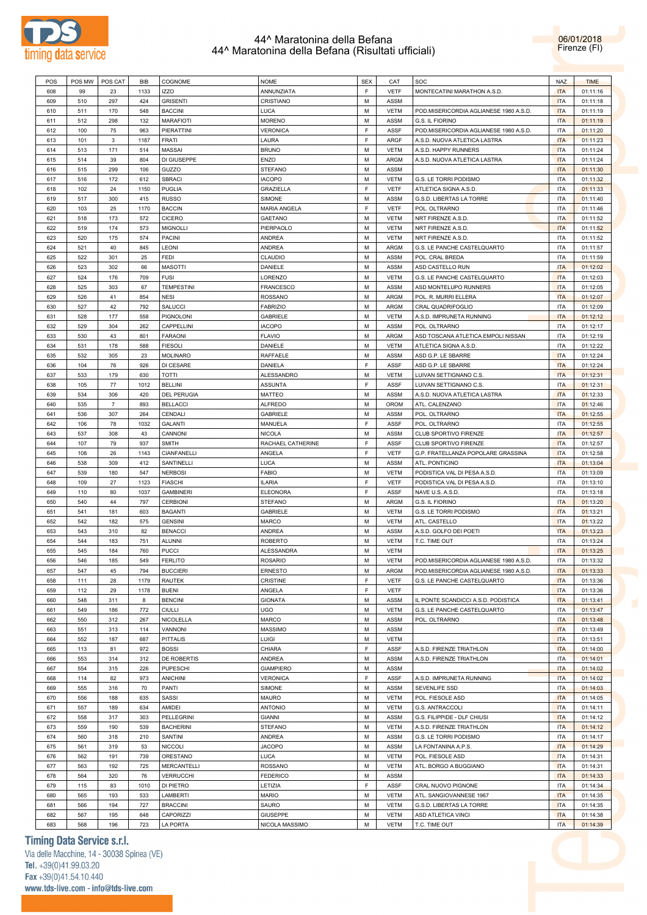

06/01/2018 Firenze (FI)

| POS        | POS MW     | POS CAT    | BIB        | COGNOME               | <b>NOME</b>                       | <b>SEX</b> | CAT                 | SOC                                    | <b>NAZ</b>               | <b>TIME</b>          |
|------------|------------|------------|------------|-----------------------|-----------------------------------|------------|---------------------|----------------------------------------|--------------------------|----------------------|
| 608        | 99         | 23         | 1133       | <b>IZZO</b>           | ANNUNZIATA                        | F          | <b>VETF</b>         | MONTECATINI MARATHON A.S.D.            | <b>ITA</b>               | 01:11:16             |
| 609        | 510        | 297        | 424        | <b>GRISENTI</b>       | CRISTIANO                         | М          | ASSM                |                                        | <b>ITA</b>               | 01:11:18             |
| 610        | 511        | 170        | 548        | <b>BACCINI</b>        | LUCA                              | М          | VETM                | POD.MISERICORDIA AGLIANESE 1980 A.S.D. | <b>ITA</b>               | 01:11:19             |
| 611        | 512        | 298        | 132        | <b>MARAFIOTI</b>      | <b>MORENO</b>                     | М          | ASSM                | G.S. IL FIORINO                        | <b>ITA</b>               | 01:11:19             |
| 612        | 100        | 75         | 963        | PIERATTINI            | <b>VERONICA</b>                   | F          | ASSF                | POD.MISERICORDIA AGLIANESE 1980 A.S.D. | <b>ITA</b>               | 01:11:20             |
|            |            |            |            | FRATI                 | LAURA                             | F          | ARGF                | A.S.D. NUOVA ATLETICA LASTRA           | <b>ITA</b>               |                      |
| 613        | 101        | 3          | 1187       |                       |                                   |            |                     |                                        |                          | 01:11:23             |
| 614        | 513        | 171        | 514        | <b>MASSAI</b>         | <b>BRUNO</b>                      | М          | VETM                | A.S.D. HAPPY RUNNERS                   | <b>ITA</b>               | 01:11:24             |
| 615        | 514        | 39         | 804        | DI GIUSEPPE           | ENZO                              | М          | <b>ARGM</b>         | A.S.D. NUOVA ATLETICA LASTRA           | <b>ITA</b>               | 01:11:24             |
| 616        | 515        | 299        | 106        | GUZZO                 | STEFANO                           | М          | ASSM                |                                        | <b>ITA</b>               | 01:11:30             |
| 617        | 516        | 172        | 612        | SBRACI                | <b>IACOPO</b>                     | М          | <b>VETM</b>         | G.S. LE TORRI PODISMO                  | <b>ITA</b>               | 01:11:32             |
| 618        | 102        | 24         | 1150       | <b>PUGLIA</b>         | <b>GRAZIELLA</b>                  | F.         | <b>VETF</b>         | ATLETICA SIGNA A.S.D.                  | <b>ITA</b>               | 01:11:33             |
| 619        | 517        | 300        | 415        | <b>RUSSO</b>          | SIMONE                            | М          | ASSM                | G.S.D. LIBERTAS LA TORRE               | <b>ITA</b>               | 01:11:40             |
| 620        | 103        | 25         | 1170       | <b>BACCIN</b>         | MARIA ANGELA                      | F          | <b>VETF</b>         | POL. OLTRARNO                          | <b>ITA</b>               | 01:11:46             |
| 621        | 518        | 173        | 572        | <b>CICERO</b>         | GAETANO                           | М          | <b>VETM</b>         | NRT FIRENZE A.S.D.                     | <b>ITA</b>               | 01:11:52             |
| 622        | 519        | 174        | 573        | <b>MIGNOLLI</b>       | PIERPAOLO                         | М          | VETM                | NRT FIRENZE A.S.D.                     | <b>ITA</b>               | 01:11:52             |
|            |            |            |            |                       |                                   |            |                     |                                        |                          |                      |
| 623        | 520        | 175        | 574        | <b>PACINI</b>         | <b>ANDREA</b>                     | М          | <b>VETM</b>         | NRT FIRENZE A.S.D.                     | <b>ITA</b>               | 01:11:52             |
| 624        | 521        | 40         | 845        | <b>LEONI</b>          | <b>ANDREA</b>                     | М          | ARGM                | G.S. LE PANCHE CASTELQUARTO            | <b>ITA</b>               | 01:11:57             |
| 625        | 522        | 301        | 25         | FEDI                  | CLAUDIO                           | М          | ASSM                | POL. CRAL BREDA                        | <b>ITA</b>               | 01:11:59             |
| 626        | 523        | 302        | 66         | <b>MASOTTI</b>        | DANIELE                           | М          | ASSM                | ASD CASTELLO RUN                       | <b>ITA</b>               | 01:12:02             |
| 627        | 524        | 176        | 709        | <b>FUSI</b>           | LORENZO                           | М          | <b>VETM</b>         | G.S. LE PANCHE CASTELQUARTO            | <b>ITA</b>               | 01:12:03             |
| 628        | 525        | 303        | 67         | <b>TEMPESTINI</b>     | FRANCESCO                         | М          | ASSM                | ASD MONTELUPO RUNNERS                  | <b>ITA</b>               | 01:12:05             |
| 629        | 526        | 41         | 854        | <b>NESI</b>           | ROSSANO                           | М          | ARGM                | POL. R. MURRI ELLERA                   | <b>ITA</b>               | 01:12:07             |
| 630        | 527        | 42         | 792        | SALUCCI               | <b>FABRIZIO</b>                   | М          | ARGM                | CRAL QUADRIFOGLIO                      | <b>ITA</b>               | 01:12:09             |
| 631        | 528        | 177        | 558        | PIGNOLONI             | GABRIELE                          | М          | VETM                | A.S.D. IMPRUNETA RUNNING               | <b>ITA</b>               | 01:12:12             |
|            |            |            |            | CAPPELLINI            | <b>IACOPO</b>                     |            |                     |                                        |                          | 01:12:17             |
| 632        | 529        | 304        | 262        |                       |                                   | М          | ASSM                | POL. OLTRARNO                          | <b>ITA</b>               |                      |
| 633        | 530        | 43         | 801        | <b>FARAONI</b>        | <b>FLAVIO</b>                     | М          | <b>ARGM</b>         | ASD TOSCANA ATLETICA EMPOLI NISSAN     | <b>ITA</b>               | 01:12:19             |
| 634        | 531        | 178        | 588        | <b>FIESOLI</b>        | DANIELE                           | М          | VETM                | ATLETICA SIGNA A.S.D.                  | <b>ITA</b>               | 01:12:22             |
| 635        | 532        | 305        | 23         | <b>MOLINARO</b>       | RAFFAELE                          | М          | ASSM                | ASD G.P. LE SBARRE                     | <b>ITA</b>               | 01:12:24             |
| 636        | 104        | 76         | 926        | DI CESARE             | DANIELA                           | F.         | ASSF                | ASD G.P. LE SBARRE                     | <b>ITA</b>               | 01:12:24             |
| 637        | 533        | 179        | 630        | TOTTI                 | ALESSANDRO                        | М          | <b>VETM</b>         | LUIVAN SETTIGNANO C.S.                 | <b>ITA</b>               | 01:12:31             |
| 638        | 105        | 77         | 1012       | <b>BELLINI</b>        | ASSUNTA                           | F.         | ASSF                | LUIVAN SETTIGNANO C.S.                 | ITA                      | 01:12:31             |
| 639        | 534        | 306        | 420        | <b>DEL PERUGIA</b>    | MATTEO                            | М          | ASSM                | A.S.D. NUOVA ATLETICA LASTRA           | <b>ITA</b>               | 01:12:33             |
| 640        | 535        | 7          | 893        | <b>BELLACCI</b>       | <b>ALFREDO</b>                    | М          | OROM                | ATL. CALENZANO                         | <b>ITA</b>               | 01:12:46             |
| 641        | 536        | 307        | 264        | CENDALI               | GABRIELE                          | М          | ASSM                | POL. OLTRARNO                          | <b>ITA</b>               | 01:12:55             |
|            |            |            |            |                       |                                   | F          |                     |                                        |                          |                      |
| 642        | 106        | 78         | 1032       | GALANTI               | MANUELA                           |            | ASSF                | POL. OLTRARNO                          | <b>ITA</b>               | 01:12:55             |
| 643        | 537        | 308        | 43         | CANNONI               | <b>NICOLA</b>                     | М          | ASSM                | CLUB SPORTIVO FIRENZE                  | <b>ITA</b>               | 01:12:57             |
| 644        | 107        | 79         | 937        | <b>SMITH</b>          | RACHAEL CATHERINE                 | F.         | ASSF                | CLUB SPORTIVO FIRENZE                  | <b>ITA</b>               | 01:12:57             |
| 645        | 108        | 26         | 1143       | CIANFANELLI           | ANGELA                            | F          |                     | G.P. FRATELLANZA POPOLARE GRASSINA     | <b>ITA</b>               | 01:12:58             |
|            |            |            |            |                       |                                   |            | <b>VETF</b>         |                                        |                          |                      |
| 646        | 538        | 309        | 412        | SANTINELLI            | LUCA                              | М          | ASSM                | ATL. PONTICINO                         | <b>ITA</b>               | 01:13:04             |
| 647        | 539        | 180        | 547        | <b>NERBOSI</b>        | <b>FABIO</b>                      | М          | <b>VETM</b>         | PODISTICA VAL DI PESA A.S.D.           | <b>ITA</b>               | 01:13:09             |
| 648        | 109        | 27         | 1123       | <b>FIASCHI</b>        | <b>ILARIA</b>                     | F          | <b>VETF</b>         | PODISTICA VAL DI PESA A.S.D.           | <b>ITA</b>               | 01:13:10             |
| 649        | 110        | 80         | 1037       | <b>GAMBINERI</b>      | <b>ELEONORA</b>                   | F          | ASSF                | NAVE U.S. A.S.D.                       | <b>ITA</b>               | 01:13:18             |
|            |            |            |            |                       |                                   |            |                     |                                        |                          |                      |
| 650        | 540        | 44         | 797        | <b>CERBIONI</b>       | <b>STEFANO</b>                    | М          | ARGM                | G.S. IL FIORINO                        | <b>ITA</b>               | 01:13:20             |
| 651        | 541        | 181        | 603        | <b>BAGANTI</b>        | GABRIELE                          | М          | <b>VETM</b>         | G.S. LE TORRI PODISMO                  | <b>ITA</b>               | 01:13:21             |
| 652        | 542        | 182        | 575        | <b>GENSINI</b>        | MARCO                             | М          | VETM                | ATL. CASTELLO                          | <b>ITA</b>               | 01:13:22             |
| 653        | 543        | 310        | 82         | <b>BENACCI</b>        | <b>ANDREA</b>                     | М          | ASSM                | A.S.D. GOLFO DEI POETI                 | <b>ITA</b>               | 01:13:23             |
| 654        | 544        | 183        | 751        | <b>ALUNNI</b>         | <b>ROBERTO</b>                    | М          | VETM                | T.C. TIME OUT                          | <b>ITA</b>               | 01:13:24             |
| 655        | 545        | 184        | 760        | <b>PUCCI</b>          | ALESSANDRA                        | М          | <b>VETM</b>         |                                        | <b>ITA</b>               | 01:13:25             |
| 656        | 546        | 185        | 549        | <b>FERLITO</b>        | <b>ROSARIO</b>                    | М          | <b>VETM</b>         | POD.MISERICORDIA AGLIANESE 1980 A.S.D. | <b>ITA</b>               | 01:13:32             |
| 657        | 547        | 45         | 794        | <b>BUCCIERI</b>       | <b>ERNESTO</b>                    | М          | ARGM                | POD.MISERICORDIA AGLIANESE 1980 A.S.D. | <b>ITA</b>               | 01:13:33             |
| 658        | 111        | 28         | 1179       | <b>RAUTEK</b>         | CRISTINE                          | F          | <b>VETF</b>         | G.S. LE PANCHE CASTELQUARTO            | <b>ITA</b>               | 01:13:36             |
| 659        | 112        | 29         | 1178       | <b>BUENI</b>          | ANGELA                            | F.         | <b>VETF</b>         |                                        | <b>ITA</b>               | 01:13:36             |
|            |            |            |            |                       |                                   |            |                     |                                        |                          |                      |
| 660        | 548        | 311        | 8          | <b>BENCINI</b>        | <b>GIONATA</b>                    | М          | ASSM                | IL PONTE SCANDICCI A.S.D. PODISTICA    | <b>ITA</b>               | 01:13:41             |
| 661        | 549        | 186        | 772        | <b>CIULLI</b>         | UGO                               | М          | <b>VETM</b>         | G.S. LE PANCHE CASTELQUARTO            | <b>ITA</b>               | 01:13:47             |
| 662        | 550        | 312        | 267        | NICOLELLA             | MARCO                             | М          | ASSM                | POL. OLTRARNO                          | <b>ITA</b>               | 01:13:48             |
| 663        | 551        | 313        | 114        | VANNONI               | MASSIMO                           | М          | ASSM                |                                        | <b>ITA</b>               | 01:13:49             |
| 664        | 552        | 187        | 687        | PITTALIS              | LUIGI                             | М          | <b>VETM</b>         |                                        | <b>ITA</b>               | 01:13:51             |
| 665        | 113        | 81         | 972        | <b>BOSSI</b>          | CHIARA                            | F.         | ASSF                | A.S.D. FIRENZE TRIATHLON               | <b>ITA</b>               | 01:14:00             |
| 666        | 553        | 314        | 312        | DE ROBERTIS           | ANDREA                            | M          | ASSM                | A.S.D. FIRENZE TRIATHLON               | <b>ITA</b>               | 01:14:01             |
| 667        | 554        | 315        | 226        | PUPESCHI              | <b>GIAMPIERO</b>                  | М          | ASSM                |                                        | <b>ITA</b>               | 01:14:02             |
| 668        | 114        | 82         | 973        | <b>ANICHINI</b>       | <b>VERONICA</b>                   | F.         | ASSF                | A.S.D. IMPRUNETA RUNNING               | <b>ITA</b>               | 01:14:02             |
| 669        | 555        | 316        | 70         | PANTI                 | SIMONE                            | М          | ASSM                | SEVENLIFE SSD                          | <b>ITA</b>               | 01:14:03             |
|            |            |            |            |                       |                                   |            |                     |                                        |                          |                      |
| 670        | 556        | 188        | 635        | SASSI                 | MAURO                             | M          | <b>VETM</b>         | POL. FIESOLE ASD                       | <b>ITA</b>               | 01:14:05             |
| 671        | 557        | 189        | 634        | AMIDEI                | <b>ANTONIO</b>                    | М          | <b>VETM</b>         | G.S. ANTRACCOLI                        | <b>ITA</b>               | 01:14:11             |
| 672        | 558        | 317        | 303        | PELLEGRINI            | <b>GIANNI</b>                     | M          | ASSM                | G.S. FILIPPIDE - DLF CHIUSI            | <b>ITA</b>               | 01:14:12             |
| 673        | 559        | 190        | 539        | <b>BACHERINI</b>      | <b>STEFANO</b>                    | М          | <b>VETM</b>         | A.S.D. FIRENZE TRIATHLON               | <b>ITA</b>               | 01:14:12             |
| 674        | 560        | 318        | 210        | SANTINI               | ANDREA                            | M          | ASSM                | G.S. LE TORRI PODISMO                  | ITA                      | 01:14:17             |
| 675        | 561        | 319        | 53         | <b>NICCOLI</b>        | <b>JACOPO</b>                     | М          | ASSM                | LA FONTANINA A.P.S.                    | <b>ITA</b>               | 01:14:29             |
| 676        | 562        | 191        | 739        | ORESTANO              | LUCA                              | M          | <b>VETM</b>         | POL. FIESOLE ASD                       | <b>ITA</b>               | 01:14:31             |
| 677        | 563        | 192        | 725        | MERCANTELLI           | ROSSANO                           | М          | <b>VETM</b>         | ATL. BORGO A BUGGIANO                  | <b>ITA</b>               | 01:14:31             |
| 678        | 564        | 320        | 76         | VERRUCCHI             | <b>FEDERICO</b>                   | M          | ASSM                |                                        | <b>ITA</b>               | 01:14:33             |
|            |            |            |            |                       |                                   | F          |                     |                                        |                          |                      |
| 679        | 115        | 83         | 1010       | DI PIETRO             | LETIZIA                           |            | ASSF                | CRAL NUOVO PIGNONE                     | ITA                      | 01:14:34             |
| 680        | 565        | 193        | 533        | LAMBERTI              | <b>MARIO</b>                      | M          | <b>VETM</b>         | ATL. SANGIOVANNESE 1967                | <b>ITA</b>               | 01:14:35             |
| 681        | 566        | 194        | 727        | <b>BRACCINI</b>       | SAURO                             | М          | <b>VETM</b>         | G.S.D. LIBERTAS LA TORRE               | <b>ITA</b>               | 01:14:35             |
| 682<br>683 | 567<br>568 | 195<br>196 | 648<br>723 | CAPORIZZI<br>LA PORTA | <b>GIUSEPPE</b><br>NICOLA MASSIMO | М<br>М     | VETM<br><b>VETM</b> | ASD ATLETICA VINCI<br>T.C. TIME OUT    | <b>ITA</b><br><b>ITA</b> | 01:14:38<br>01:14:39 |

# **Timing Data Service s.r.l.**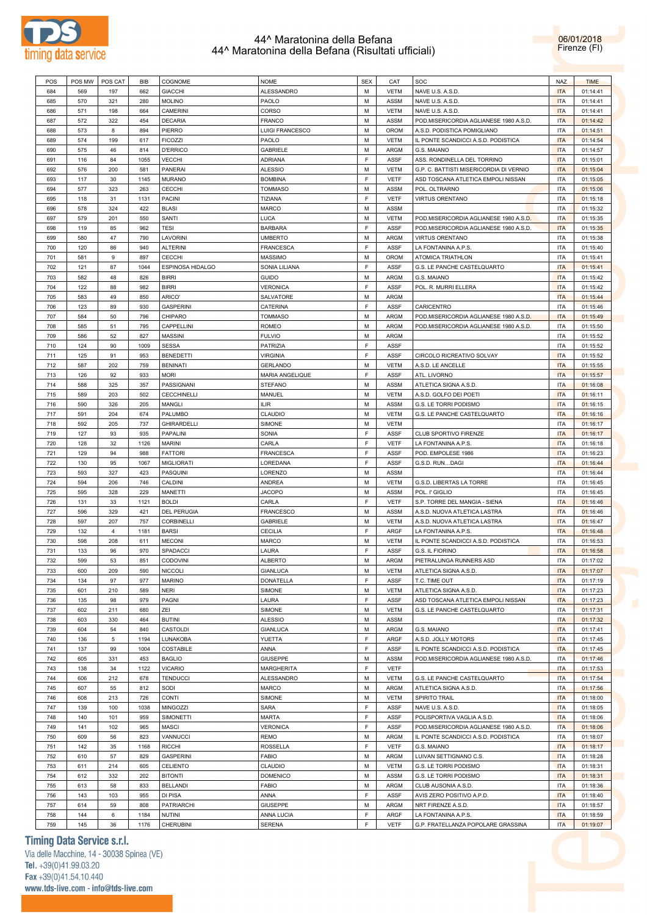



|     |        |                |            |                    |                        | <b>SEX</b>  |             |                                         |            |             |
|-----|--------|----------------|------------|--------------------|------------------------|-------------|-------------|-----------------------------------------|------------|-------------|
| POS | POS MW | POS CAT        | <b>BIB</b> | COGNOME            | <b>NOME</b>            |             | CAT         | SOC                                     | <b>NAZ</b> | <b>TIME</b> |
| 684 | 569    | 197            | 662        | <b>GIACCHI</b>     | <b>ALESSANDRO</b>      | M           | <b>VETM</b> | NAVE U.S. A.S.D.                        | <b>ITA</b> | 01:14:41    |
| 685 | 570    | 321            | 280        | <b>MOLINO</b>      | PAOLO                  | M           | ASSM        | NAVE U.S. A.S.D.                        | <b>ITA</b> | 01:14:41    |
| 686 | 571    | 198            | 664        | CAMERINI           | CORSO                  | M           | <b>VETM</b> | NAVE U.S. A.S.D.                        | <b>ITA</b> | 01:14:41    |
| 687 | 572    | 322            | 454        | <b>DECARIA</b>     | <b>FRANCO</b>          | M           | ASSM        | POD.MISERICORDIA AGLIANESE 1980 A.S.D.  | <b>ITA</b> | 01:14:42    |
| 688 | 573    | 8              | 894        | PIERRO             | <b>LUIGI FRANCESCO</b> | M           | <b>OROM</b> | A.S.D. PODISTICA POMIGLIANO             | <b>ITA</b> | 01:14:51    |
|     |        |                |            |                    |                        | M           |             |                                         |            |             |
| 689 | 574    | 199            | 617        | <b>FICOZZI</b>     | PAOLO                  |             | <b>VETM</b> | IL PONTE SCANDICCI A.S.D. PODISTICA     | <b>ITA</b> | 01:14:54    |
| 690 | 575    | 46             | 814        | <b>D'ERRICO</b>    | GABRIELE               | M           | ARGM        | G.S. MAIANO                             | <b>ITA</b> | 01:14:57    |
| 691 | 116    | 84             | 1055       | <b>VECCHI</b>      | <b>ADRIANA</b>         | E           | ASSF        | ASS. RONDINELLA DEL TORRINO             | <b>ITA</b> | 01:15:01    |
| 692 | 576    | 200            | 581        | <b>PANERAI</b>     | <b>ALESSIO</b>         | M           | <b>VETM</b> | G.P. C. BATTISTI MISERICORDIA DI VERNIO | <b>ITA</b> | 01:15:04    |
| 693 | 117    | 30             | 1145       | <b>MURANO</b>      | <b>BOMBINA</b>         | F           | <b>VETF</b> | ASD TOSCANA ATLETICA EMPOLI NISSAN      | <b>ITA</b> | 01:15:05    |
| 694 | 577    | 323            | 263        | <b>CECCHI</b>      | <b>TOMMASO</b>         | M           | ASSM        | POL. OLTRARNO                           | <b>ITA</b> | 01:15:06    |
| 695 | 118    | 31             | 1131       |                    |                        | E           | <b>VETF</b> | <b>VIRTUS ORENTANO</b>                  | <b>ITA</b> |             |
|     |        |                |            | <b>PACINI</b>      | TIZIANA                |             |             |                                         |            | 01:15:18    |
| 696 | 578    | 324            | 422        | <b>BLASI</b>       | MARCO                  | M           | ASSM        |                                         | <b>ITA</b> | 01:15:32    |
| 697 | 579    | 201            | 550        | SANTI              | LUCA                   | M           | <b>VETM</b> | POD.MISERICORDIA AGLIANESE 1980 A.S.D.  | <b>ITA</b> | 01:15:35    |
| 698 | 119    | 85             | 962        | <b>TESI</b>        | <b>BARBARA</b>         | E           | <b>ASSF</b> | POD.MISERICORDIA AGLIANESE 1980 A.S.D.  | <b>ITA</b> | 01:15:35    |
| 699 | 580    | 47             | 790        | LAVORINI           | <b>UMBERTO</b>         | M           | ARGM        | <b>VIRTUS ORENTANO</b>                  | <b>ITA</b> | 01:15:38    |
| 700 | 120    | 86             | 940        | <b>ALTERINI</b>    | <b>FRANCESCA</b>       | E           | ASSF        | LA FONTANINA A.P.S.                     | <b>ITA</b> | 01:15:40    |
| 701 | 581    | 9              | 897        | <b>CECCHI</b>      | <b>MASSIMO</b>         | M           | <b>OROM</b> | ATOMICA TRIATHLON                       | <b>ITA</b> | 01:15:41    |
|     |        |                |            |                    |                        |             |             |                                         |            |             |
| 702 | 121    | 87             | 1044       | ESPINOSA HIDALGO   | SONIA LILIANA          | E           | ASSF        | G.S. LE PANCHE CASTELQUARTO             | <b>ITA</b> | 01:15:41    |
| 703 | 582    | 48             | 826        | <b>BIRRI</b>       | <b>GUIDO</b>           | M           | ARGM        | G.S. MAIANO                             | <b>ITA</b> | 01:15:42    |
| 704 | 122    | 88             | 982        | <b>BIRRI</b>       | <b>VERONICA</b>        | F           | ASSF        | POL. R. MURRI ELLERA                    | <b>ITA</b> | 01:15:42    |
| 705 | 583    | 49             | 850        | ARICO'             | SALVATORE              | M           | ARGM        |                                         | <b>ITA</b> | 01:15:44    |
| 706 | 123    | 89             | 930        | <b>GASPERINI</b>   | CATERINA               | E           | ASSF        | CARICENTRO                              | <b>ITA</b> | 01:15:46    |
| 707 | 584    | 50             | 796        | CHIPARO            | <b>TOMMASO</b>         | M           | ARGM        | POD.MISERICORDIA AGLIANESE 1980 A.S.D.  | <b>ITA</b> | 01:15:49    |
| 708 | 585    | 51             | 795        |                    |                        | M           | ARGM        | POD.MISERICORDIA AGLIANESE 1980 A.S.D.  | <b>ITA</b> |             |
|     |        |                |            | CAPPELLINI         | ROMEO                  |             |             |                                         |            | 01:15:50    |
| 709 | 586    | 52             | 827        | <b>MASSINI</b>     | <b>FULVIO</b>          | M           | ARGM        |                                         | <b>ITA</b> | 01:15:52    |
| 710 | 124    | 90             | 1009       | <b>SESSA</b>       | PATRIZIA               | E           | ASSF        |                                         | <b>ITA</b> | 01:15:52    |
| 711 | 125    | 91             | 953        | <b>BENEDETTI</b>   | <b>VIRGINIA</b>        | E           | ASSF        | CIRCOLO RICREATIVO SOLVAY               | <b>ITA</b> | 01:15:52    |
| 712 | 587    | 202            | 759        | <b>BENINATI</b>    | <b>GERLANDO</b>        | M           | <b>VETM</b> | A.S.D. LE ANCELLE                       | <b>ITA</b> | 01:15:55    |
| 713 | 126    | 92             | 933        | <b>MORI</b>        | MARIA ANGELIQUE        | F           | ASSF        | ATL. LIVORNO                            | <b>ITA</b> | 01:15:57    |
|     | 588    | 325            | 357        | PASSIGNANI         | <b>STEFANO</b>         | M           | ASSM        | ATLETICA SIGNA A.S.D.                   | <b>ITA</b> |             |
| 714 |        |                |            |                    |                        |             |             |                                         |            | 01:16:08    |
| 715 | 589    | 203            | 502        | <b>CECCHINELLI</b> | MANUEL                 | M           | <b>VETM</b> | A.S.D. GOLFO DEI POETI                  | <b>ITA</b> | 01:16:11    |
| 716 | 590    | 326            | 205        | MANGLI             | ILIR                   | M           | ASSM        | G.S. LE TORRI PODISMO                   | <b>ITA</b> | 01:16:15    |
| 717 | 591    | 204            | 674        | PALUMBO            | CLAUDIO                | M           | <b>VETM</b> | G.S. LE PANCHE CASTELQUARTO             | <b>ITA</b> | 01:16:16    |
| 718 | 592    | 205            | 737        | <b>GHIRARDELLI</b> | SIMONE                 | M           | <b>VETM</b> |                                         | <b>ITA</b> | 01:16:17    |
| 719 | 127    | 93             | 935        | PAPALINI           | SONIA                  | F           | ASSF        | CLUB SPORTIVO FIRENZE                   | <b>ITA</b> | 01:16:17    |
| 720 | 128    | 32             | 1126       | <b>MARINI</b>      | CARLA                  | E           | <b>VETF</b> | LA FONTANINA A.P.S.                     | <b>ITA</b> | 01:16:18    |
|     |        |                |            |                    |                        |             |             |                                         |            |             |
| 721 | 129    | 94             | 988        | <b>FATTORI</b>     | FRANCESCA              | E           | ASSF        | POD. EMPOLESE 1986                      | <b>ITA</b> | 01:16:23    |
| 722 | 130    | 95             | 1067       | <b>MIGLIORATI</b>  | LOREDANA               | E           | ASSF        | G.S.D. RUNDAGI                          | <b>ITA</b> | 01:16:44    |
| 723 | 593    | 327            | 423        | PASQUINI           | LORENZO                | M           | ASSM        |                                         | <b>ITA</b> | 01:16:44    |
| 724 | 594    | 206            | 746        | CALDINI            | <b>ANDREA</b>          | M           | <b>VETM</b> | G.S.D. LIBERTAS LA TORRE                | <b>ITA</b> | 01:16:45    |
| 725 | 595    | 328            | 229        | <b>MANETTI</b>     | <b>JACOPO</b>          | M           | ASSM        | POL. I' GIGLIO                          | <b>ITA</b> | 01:16:45    |
| 726 | 131    | 33             | 1121       | <b>BOLDI</b>       | CARLA                  | E           | <b>VETF</b> | S.P. TORRE DEL MANGIA - SIENA           | <b>ITA</b> | 01:16:46    |
|     | 596    | 329            | 421        | <b>DEL PERUGIA</b> |                        | M           | ASSM        | A.S.D. NUOVA ATLETICA LASTRA            | <b>ITA</b> |             |
| 727 |        |                |            |                    | <b>FRANCESCO</b>       |             |             |                                         |            | 01:16:46    |
| 728 | 597    | 207            | 757        | CORBINELLI         | GABRIELE               | M           | <b>VETM</b> | A.S.D. NUOVA ATLETICA LASTRA            | <b>ITA</b> | 01:16:47    |
| 729 | 132    | $\overline{4}$ | 1181       | <b>BARSI</b>       | <b>CECILIA</b>         | F           | ARGF        | LA FONTANINA A.P.S.                     | <b>ITA</b> | 01:16:48    |
| 730 | 598    | 208            | 611        | <b>MECONI</b>      | <b>MARCO</b>           | M           | <b>VETM</b> | IL PONTE SCANDICCI A.S.D. PODISTICA     | <b>ITA</b> | 01:16:53    |
| 731 | 133    | 96             | 970        | SPADACCI           | LAURA                  | E           | ASSF        | G.S. IL FIORINO                         | <b>ITA</b> | 01:16:58    |
| 732 | 599    | 53             | 851        | <b>CODOVINI</b>    | <b>ALBERTO</b>         | М           | ARGM        | PIETRALUNGA RUNNERS ASD                 | ITA        | 01:17:02    |
| 733 | 600    | 209            | 590        | <b>NICCOLI</b>     | <b>GIANLUCA</b>        | M           | <b>VETM</b> | ATLETICA SIGNA A.S.D.                   | <b>ITA</b> | 01:17:07    |
|     |        |                |            |                    |                        |             |             |                                         |            |             |
| 734 | 134    | 97             | 977        | <b>MARINO</b>      | DONATELLA              | F           | ASSF        | T.C. TIME OUT                           | <b>ITA</b> | 01:17:19    |
| 735 | 601    | 210            | 589        | <b>NERI</b>        | SIMONE                 | M           | <b>VETM</b> | ATLETICA SIGNA A.S.D.                   | <b>ITA</b> | 01:17:23    |
| 736 | 135    | 98             | 979        | PAGNI              | LAURA                  | $\mathsf F$ | ASSF        | ASD TOSCANA ATLETICA EMPOLI NISSAN      | <b>ITA</b> | 01:17:23    |
| 737 | 602    | 211            | 680        | ZEI                | SIMONE                 | М           | <b>VETM</b> | G.S. LE PANCHE CASTELQUARTO             | <b>ITA</b> | 01:17:31    |
| 738 | 603    | 330            | 464        | <b>BUTINI</b>      | <b>ALESSIO</b>         | М           | ASSM        |                                         | <b>ITA</b> | 01:17:32    |
| 739 | 604    | 54             | 840        | CASTOLDI           | <b>GIANLUCA</b>        | M           | ARGM        | G.S. MAIANO                             | <b>ITA</b> | 01:17:41    |
| 740 | 136    | $\,$ 5 $\,$    | 1194       | LUNAKOBA           | YUETTA                 | F           | ARGF        | A.S.D. JOLLY MOTORS                     | <b>ITA</b> | 01:17:45    |
|     |        |                |            |                    |                        |             |             |                                         |            |             |
| 741 | 137    | 99             | 1004       | COSTABILE          | ANNA                   | F           | ASSF        | IL PONTE SCANDICCI A.S.D. PODISTICA     | <b>ITA</b> | 01:17:45    |
| 742 | 605    | 331            | 453        | <b>BAGLIO</b>      | <b>GIUSEPPE</b>        | M           | ASSM        | POD.MISERICORDIA AGLIANESE 1980 A.S.D.  | <b>ITA</b> | 01:17:46    |
| 743 | 138    | 34             | 1122       | <b>VICARIO</b>     | <b>MARGHERITA</b>      | F           | <b>VETF</b> |                                         | <b>ITA</b> | 01:17:53    |
| 744 | 606    | 212            | 678        | <b>TENDUCCI</b>    | ALESSANDRO             | M           | <b>VETM</b> | G.S. LE PANCHE CASTELQUARTO             | <b>ITA</b> | 01:17:54    |
| 745 | 607    | 55             | 812        | SODI               | MARCO                  | M           | ARGM        | ATLETICA SIGNA A.S.D.                   | <b>ITA</b> | 01:17:56    |
| 746 | 608    | 213            | 726        | CONTI              | SIMONE                 | M           | <b>VETM</b> | SPIRITO TRAIL                           | <b>ITA</b> | 01:18:00    |
|     |        |                |            |                    |                        | F           |             |                                         |            |             |
| 747 | 139    | 100            | 1038       | MINGOZZI           | SARA                   |             | ASSF        | NAVE U.S. A.S.D.                        | <b>ITA</b> | 01:18:05    |
| 748 | 140    | 101            | 959        | SIMONETTI          | MARTA                  | F           | ASSF        | POLISPORTIVA VAGLIA A.S.D.              | <b>ITA</b> | 01:18:06    |
| 749 | 141    | 102            | 965        | <b>MASCI</b>       | <b>VERONICA</b>        | F           | ASSF        | POD.MISERICORDIA AGLIANESE 1980 A.S.D.  | <b>ITA</b> | 01:18:06    |
| 750 | 609    | 56             | 823        | VANNUCCI           | <b>REMO</b>            | M           | ARGM        | IL PONTE SCANDICCI A.S.D. PODISTICA     | <b>ITA</b> | 01:18:07    |
| 751 | 142    | 35             | 1168       | <b>RICCHI</b>      | ROSSELLA               | F           | VETF        | G.S. MAIANO                             | <b>ITA</b> | 01:18:17    |
| 752 | 610    | 57             | 829        | <b>GASPERINI</b>   | <b>FABIO</b>           | M           | ARGM        | LUIVAN SETTIGNANO C.S.                  | <b>ITA</b> | 01:18:28    |
|     |        |                |            |                    |                        |             |             |                                         |            |             |
| 753 | 611    | 214            | 605        | CELIENTO           | CLAUDIO                | M           | <b>VETM</b> | G.S. LE TORRI PODISMO                   | <b>ITA</b> | 01:18:31    |
| 754 | 612    | 332            | 202        | <b>BITONTI</b>     | <b>DOMENICO</b>        | M           | ASSM        | G.S. LE TORRI PODISMO                   | <b>ITA</b> | 01:18:31    |
| 755 | 613    | 58             | 833        | <b>BELLANDI</b>    | <b>FABIO</b>           | M           | ARGM        | CLUB AUSONIA A.S.D.                     | <b>ITA</b> | 01:18:36    |
| 756 | 143    | 103            | 955        | DI PISA            | ANNA                   | F           | ASSF        | AVIS ZERO POSITIVO A.P.D.               | <b>ITA</b> | 01:18:40    |
| 757 | 614    | 59             | 808        | PATRIARCHI         | <b>GIUSEPPE</b>        | М           | ARGM        | NRT FIRENZE A.S.D.                      | <b>ITA</b> | 01:18:57    |
| 758 | 144    | 6              | 1184       | <b>NUTINI</b>      | ANNA LUCIA             | $\mathsf F$ | ARGF        | LA FONTANINA A.P.S.                     | <b>ITA</b> | 01:18:59    |
|     | 145    | 36             | 1176       | <b>CHERUBINI</b>   | <b>SERENA</b>          | F           | <b>VETF</b> | G.P. FRATELLANZA POPOLARE GRASSINA      | <b>ITA</b> | 01:19:07    |
| 759 |        |                |            |                    |                        |             |             |                                         |            |             |

# **Timing Data Service s.r.l.**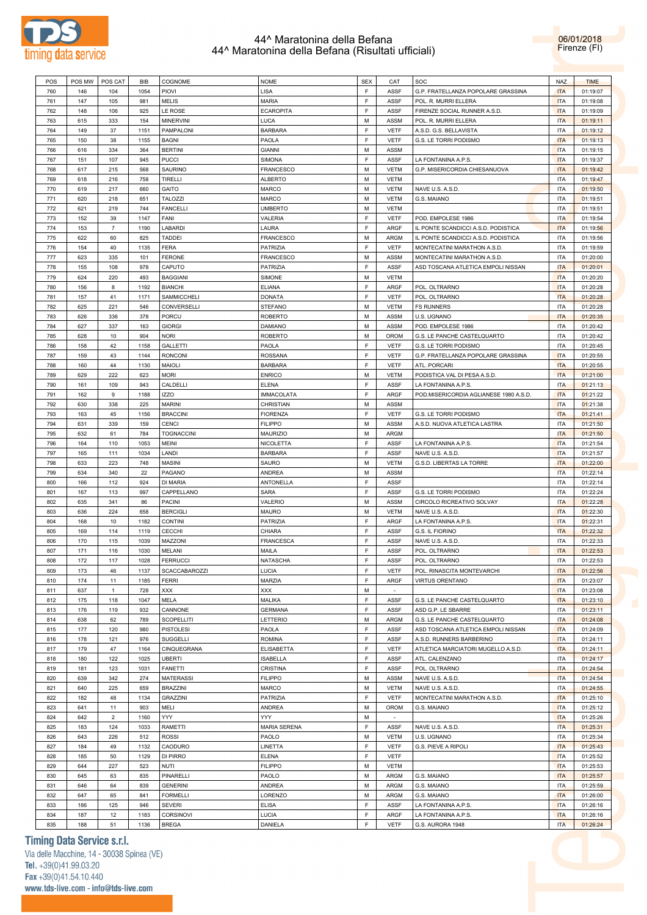



| POS | POS MW | POS CAT        | <b>BIB</b> | COGNOME           | <b>NOME</b>       | <b>SEX</b>  | CAT         | SOC                                   | <b>NAZ</b> | <b>TIME</b> |
|-----|--------|----------------|------------|-------------------|-------------------|-------------|-------------|---------------------------------------|------------|-------------|
|     |        |                |            |                   |                   |             |             |                                       |            |             |
| 760 | 146    | 104            | 1054       | PIOVI             | <b>LISA</b>       | $\mathsf F$ | <b>ASSF</b> | G.P. FRATELLANZA POPOLARE GRASSINA    | <b>ITA</b> | 01:19:07    |
| 761 | 147    | 105            | 981        | <b>MELIS</b>      | <b>MARIA</b>      | $\mathsf F$ | <b>ASSF</b> | POL. R. MURRI ELLERA                  | <b>ITA</b> | 01:19:08    |
| 762 | 148    | 106            | 925        | LE ROSE           | <b>ECAROPITA</b>  | $\mathsf F$ | <b>ASSF</b> | FIRENZE SOCIAL RUNNER A.S.D.          | <b>ITA</b> | 01:19:09    |
|     |        |                |            |                   |                   |             |             |                                       |            |             |
| 763 | 615    | 333            | 154        | <b>MINERVINI</b>  | LUCA              | М           | ASSM        | POL. R. MURRI ELLERA                  | <b>ITA</b> | 01:19:11    |
| 764 | 149    | 37             | 1151       | PAMPALONI         | <b>BARBARA</b>    | $\mathsf F$ | <b>VETF</b> | A.S.D. G.S. BELLAVISTA                | <b>ITA</b> | 01:19:12    |
| 765 | 150    | 38             | 1155       | <b>BAGNI</b>      | PAOLA             | $\mathsf F$ | <b>VETF</b> | G.S. LE TORRI PODISMO                 | <b>ITA</b> | 01:19:13    |
| 766 | 616    | 334            | 364        | <b>BERTINI</b>    | <b>GIANNI</b>     | M           | <b>ASSM</b> |                                       | <b>ITA</b> | 01:19:15    |
|     |        |                |            |                   |                   | $\mathsf F$ |             |                                       |            |             |
| 767 | 151    | 107            | 945        | <b>PUCCI</b>      | SIMONA            |             | ASSF        | LA FONTANINA A.P.S.                   | <b>ITA</b> | 01:19:37    |
| 768 | 617    | 215            | 568        | SAURINO           | <b>FRANCESCO</b>  | M           | <b>VETM</b> | G.P. MISERICORDIA CHIESANUOVA         | <b>ITA</b> | 01:19:42    |
| 769 | 618    | 216            | 758        | TIRELLI           | ALBERTO           | М           | <b>VETM</b> |                                       | ITA        | 01:19:47    |
| 770 | 619    | 217            | 660        | GAITO             | <b>MARCO</b>      | M           | <b>VETM</b> | NAVE U.S. A.S.D.                      | <b>ITA</b> | 01:19:50    |
|     |        |                |            |                   |                   |             |             |                                       |            |             |
| 771 | 620    | 218            | 651        | <b>TALOZZI</b>    | <b>MARCO</b>      | М           | <b>VETM</b> | G.S. MAIANO                           | ITA        | 01:19:51    |
| 772 | 621    | 219            | 744        | <b>FANCELLI</b>   | <b>UMBERTO</b>    | M           | <b>VETM</b> |                                       | <b>ITA</b> | 01:19:51    |
| 773 | 152    | 39             | 1147       | FANI              | VALERIA           | $\mathsf F$ | <b>VETF</b> | POD. EMPOLESE 1986                    | <b>ITA</b> | 01:19:54    |
| 774 | 153    | $\overline{7}$ | 1190       | LABARDI           | LAURA             | $\mathsf F$ | ARGF        | IL PONTE SCANDICCI A.S.D. PODISTICA   | <b>ITA</b> | 01:19:56    |
| 775 | 622    | 60             | 825        | <b>TADDEI</b>     | <b>FRANCESCO</b>  | М           | ARGM        | IL PONTE SCANDICCI A.S.D. PODISTICA   | ITA        | 01:19:56    |
|     |        |                |            |                   |                   |             |             |                                       |            |             |
| 776 | 154    | 40             | 1135       | <b>FERA</b>       | PATRIZIA          | $\mathsf F$ | <b>VETF</b> | MONTECATINI MARATHON A.S.D.           | <b>ITA</b> | 01:19:59    |
| 777 | 623    | 335            | 101        | <b>FERONE</b>     | <b>FRANCESCO</b>  | М           | ASSM        | MONTECATINI MARATHON A.S.D.           | ITA        | 01:20:00    |
| 778 | 155    | 108            | 978        | CAPUTO            | PATRIZIA          | $\mathsf F$ | <b>ASSF</b> | ASD TOSCANA ATLETICA EMPOLI NISSAN    | <b>ITA</b> | 01:20:01    |
| 779 | 624    | 220            | 493        | <b>BAGGIANI</b>   | SIMONE            | М           | <b>VETM</b> |                                       | <b>ITA</b> | 01:20:20    |
|     |        |                |            |                   |                   |             |             |                                       |            |             |
| 780 | 156    | 8              | 1192       | <b>BIANCHI</b>    | <b>ELIANA</b>     | $\mathsf F$ | ARGF        | POL. OLTRARNO                         | <b>ITA</b> | 01:20:28    |
| 781 | 157    | 41             | 1171       | SAMMICCHELI       | <b>DONATA</b>     | $\mathsf F$ | <b>VETF</b> | POL. OLTRARNO                         | <b>ITA</b> | 01:20:28    |
| 782 | 625    | 221            | 546        | CONVERSELLI       | <b>STEFANO</b>    | M           | <b>VETM</b> | <b>FS RUNNERS</b>                     | <b>ITA</b> | 01:20:28    |
| 783 | 626    | 336            | 378        | PORCU             | <b>ROBERTO</b>    | М           | <b>ASSM</b> | U.S. UGNANO                           | <b>ITA</b> | 01:20:35    |
|     |        |                |            |                   |                   |             |             |                                       |            |             |
| 784 | 627    | 337            | 163        | <b>GIORGI</b>     | DAMIANO           | M           | <b>ASSM</b> | POD. EMPOLESE 1986                    | <b>ITA</b> | 01:20:42    |
| 785 | 628    | 10             | 904        | <b>NORI</b>       | <b>ROBERTO</b>    | М           | OROM        | G.S. LE PANCHE CASTELQUARTO           | <b>ITA</b> | 01:20:42    |
| 786 | 158    | 42             | 1158       | <b>GALLETTI</b>   | PAOLA             | $\mathsf F$ | <b>VETF</b> | G.S. LE TORRI PODISMO                 | <b>ITA</b> | 01:20:45    |
| 787 | 159    | 43             | 1144       | <b>RONCONI</b>    | <b>ROSSANA</b>    | $\mathsf F$ | VETF        | G.P. FRATELLANZA POPOLARE GRASSINA    | <b>ITA</b> | 01:20:55    |
|     |        |                |            |                   |                   |             |             |                                       |            |             |
| 788 | 160    | 44             | 1130       | <b>MAIOLI</b>     | <b>BARBARA</b>    | $\mathsf F$ | <b>VETF</b> | ATL. PORCARI                          | <b>ITA</b> | 01:20:55    |
| 789 | 629    | 222            | 623        | <b>MORI</b>       | <b>ENRICO</b>     | М           | <b>VETM</b> | PODISTICA VAL DI PESA A.S.D.          | <b>ITA</b> | 01:21:00    |
| 790 | 161    | 109            | 943        | CALDELLI          | <b>ELENA</b>      | $\mathsf F$ | <b>ASSF</b> | LA FONTANINA A.P.S.                   | <b>ITA</b> | 01:21:13    |
| 791 | 162    | 9              | 1188       | <b>IZZO</b>       | <b>IMMACOLATA</b> | $\mathsf F$ | ARGF        | POD.MISERICORDIA AGLIANESE 1980 A.S.D | <b>ITA</b> | 01:21:22    |
|     |        |                |            |                   |                   |             |             |                                       |            |             |
| 792 | 630    | 338            | 225        | <b>MARINI</b>     | CHRISTIAN         | М           | ASSM        |                                       | <b>ITA</b> | 01:21:38    |
| 793 | 163    | 45             | 1156       | <b>BRACCINI</b>   | <b>FIORENZA</b>   | $\mathsf F$ | <b>VETF</b> | G.S. LE TORRI PODISMO                 | <b>ITA</b> | 01:21:41    |
| 794 | 631    | 339            | 159        | CENCI             | <b>FILIPPO</b>    | M           | <b>ASSM</b> | A.S.D. NUOVA ATLETICA LASTRA          | <b>ITA</b> | 01:21:50    |
| 795 | 632    | 61             | 784        | <b>TOGNACCINI</b> | MAURIZIO          | М           | ARGM        |                                       | <b>ITA</b> | 01:21:50    |
| 796 |        | 110            | 1053       | <b>MEINI</b>      |                   | $\mathsf F$ | ASSF        |                                       | <b>ITA</b> |             |
|     | 164    |                |            |                   | NICOLETTA         |             |             | LA FONTANINA A.P.S.                   |            | 01:21:54    |
| 797 | 165    | 111            | 1034       | LANDI             | <b>BARBARA</b>    | $\mathsf F$ | ASSF        | NAVE U.S. A.S.D.                      | <b>ITA</b> | 01:21:57    |
| 798 | 633    | 223            | 748        | <b>MASINI</b>     | SAURO             | M           | <b>VETM</b> | G.S.D. LIBERTAS LA TORRE              | <b>ITA</b> | 01:22:00    |
| 799 | 634    | 340            | 22         | PAGANO            | ANDREA            | М           | <b>ASSM</b> |                                       | <b>ITA</b> | 01:22:14    |
| 800 | 166    | 112            | 924        | <b>DI MARIA</b>   | ANTONELLA         | $\mathsf F$ | ASSF        |                                       | <b>ITA</b> | 01:22:14    |
|     |        |                |            |                   |                   |             |             |                                       |            |             |
| 801 | 167    | 113            | 997        | CAPPELLANO        | <b>SARA</b>       | $\mathsf F$ | <b>ASSF</b> | G.S. LE TORRI PODISMO                 | <b>ITA</b> | 01:22:24    |
| 802 | 635    | 341            | 86         | <b>PACINI</b>     | VALERIO           | М           | ASSM        | CIRCOLO RICREATIVO SOLVAY             | <b>ITA</b> | 01:22:28    |
| 803 | 636    | 224            | 658        | <b>BERCIGLI</b>   | MAURO             | М           | <b>VETM</b> | NAVE U.S. A.S.D.                      | <b>ITA</b> | 01:22:30    |
| 804 | 168    | 10             | 1182       | <b>CONTINI</b>    | PATRIZIA          | $\mathsf F$ | ARGF        | LA FONTANINA A.P.S.                   | <b>ITA</b> | 01:22:31    |
|     |        |                |            |                   |                   |             |             |                                       |            |             |
| 805 | 169    | 114            | 1119       | <b>CECCHI</b>     | CHIARA            | $\mathsf F$ | ASSF        | G.S. IL FIORINO                       | <b>ITA</b> | 01:22:32    |
| 806 | 170    | 115            | 1039       | MAZZONI           | <b>FRANCESCA</b>  | $\mathsf F$ | ASSF        | NAVE U.S. A.S.D.                      | <b>ITA</b> | 01:22:33    |
| 807 | 171    | 116            | 1030       | MELANI            | MAILA             | $\mathsf F$ | ASSF        | POL. OLTRARNO                         | <b>ITA</b> | 01:22:53    |
| 808 | 172    | 117            | 1028       | FERRUCCI          | <b>NATASCHA</b>   | $\mathsf F$ | ASSF        | POL. OLTRARNO                         | <b>ITA</b> | 01:22:53    |
|     |        |                |            |                   |                   | $\mathsf F$ |             |                                       |            |             |
| 809 | 173    | 46             | 1137       | SCACCABAROZZI     | LUCIA             |             | <b>VETF</b> | POL. RINASCITA MONTEVARCHI            | <b>ITA</b> | 01:22:56    |
| 810 | 174    | 11             | 1185       | <b>FERRI</b>      | MARZIA            | $\mathsf F$ | ARGF        | VIRTUS ORENTANO                       | <b>ITA</b> | 01:23:07    |
| 811 | 637    | $\mathbf{1}$   | 728        | XXX               | XXX               | M           | $\sim$      |                                       | <b>ITA</b> | 01:23:08    |
| 812 | 175    | 118            | 1047       | MELA              | MALIKA            | $\mathsf F$ | ASSF        | G.S. LE PANCHE CASTELQUARTO           | <b>ITA</b> | 01:23:10    |
| 813 | 176    | 119            | 932        | CANNONE           | <b>GERMANA</b>    | $\mathsf F$ | <b>ASSF</b> | ASD G.P. LE SBARRE                    | <b>ITA</b> | 01:23:11    |
|     |        |                |            |                   |                   |             |             |                                       |            |             |
| 814 | 638    | 62             | 789        | SCOPELLITI        | LETTERIO          | M           | ARGM        | G.S. LE PANCHE CASTELQUARTO           | <b>ITA</b> | 01:24:08    |
| 815 | 177    | 120            | 980        | <b>PISTOLESI</b>  | PAOLA             | $\mathsf F$ | ASSF        | ASD TOSCANA ATLETICA EMPOLI NISSAN    | <b>ITA</b> | 01:24:09    |
| 816 | 178    | 121            | 976        | SUGGELLI          | <b>ROMINA</b>     | $\mathsf F$ | ASSF        | A.S.D. RUNNERS BARBERINO              | <b>ITA</b> | 01:24:11    |
| 817 | 179    | 47             | 1164       | CINQUEGRANA       | <b>ELISABETTA</b> | $\mathsf F$ | <b>VETF</b> | ATLETICA MARCIATORI MUGELLO A.S.D.    | <b>ITA</b> | 01:24:11    |
|     |        |                |            |                   |                   | $\mathsf F$ |             | ATL. CALENZANO                        |            |             |
| 818 | 180    | 122            | 1025       | <b>UBERTI</b>     | <b>ISABELLA</b>   |             | ASSF        |                                       | <b>ITA</b> | 01:24:17    |
| 819 | 181    | 123            | 1031       | <b>FANETTI</b>    | <b>CRISTINA</b>   | $\mathsf F$ | <b>ASSF</b> | POL. OLTRARNO                         | <b>ITA</b> | 01:24:54    |
| 820 | 639    | 342            | 274        | <b>MATERASSI</b>  | <b>FILIPPO</b>    | M           | <b>ASSM</b> | NAVE U.S. A.S.D.                      | <b>ITA</b> | 01:24:54    |
| 821 | 640    | 225            | 659        | <b>BRAZZINI</b>   | MARCO             | M           | <b>VETM</b> | NAVE U.S. A.S.D.                      | <b>ITA</b> | 01:24:55    |
| 822 | 182    | 48             | 1134       | <b>GRAZZINI</b>   | PATRIZIA          | $\mathsf F$ | <b>VETF</b> | MONTECATINI MARATHON A.S.D.           | <b>ITA</b> | 01:25:10    |
|     |        |                |            |                   |                   |             |             |                                       |            |             |
| 823 | 641    | 11             | 903        | MELI              | ANDREA            | M           | OROM        | G.S. MAIANO                           | <b>ITA</b> | 01:25:12    |
| 824 | 642    | $\overline{2}$ | 1160       | YYY               | YYY.              | M           | $\sim$      |                                       | <b>ITA</b> | 01:25:26    |
| 825 | 183    | 124            | 1033       | RAMETTI           | MARIA SERENA      | $\mathsf F$ | ASSF        | NAVE U.S. A.S.D.                      | <b>ITA</b> | 01:25:31    |
| 826 | 643    | 226            | 512        | <b>ROSSI</b>      | PAOLO             | M           | <b>VETM</b> | U.S. UGNANO                           | <b>ITA</b> | 01:25:34    |
|     |        |                |            |                   |                   |             |             |                                       |            |             |
| 827 | 184    | 49             | 1132       | CAODURO           | LINETTA           | $\mathsf F$ | <b>VETF</b> | G.S. PIEVE A RIPOLI                   | <b>ITA</b> | 01:25:43    |
| 828 | 185    | 50             | 1129       | DI PIRRO          | <b>ELENA</b>      | $\mathsf F$ | <b>VETF</b> |                                       | <b>ITA</b> | 01:25:52    |
| 829 | 644    | 227            | 523        | NUTI              | <b>FILIPPO</b>    | M           | VETM        |                                       | <b>ITA</b> | 01:25:53    |
| 830 | 645    | 63             | 835        | PINARELLI         | PAOLO             | M           | ARGM        | G.S. MAIANO                           | <b>ITA</b> | 01:25:57    |
|     |        |                |            |                   |                   |             |             |                                       |            |             |
| 831 | 646    | 64             | 839        | <b>GENERINI</b>   | ANDREA            | M           | ARGM        | G.S. MAIANO                           | <b>ITA</b> | 01:25:59    |
| 832 | 647    | 65             | 841        | <b>FORMELLI</b>   | LORENZO           | M           | ARGM        | G.S. MAIANO                           | <b>ITA</b> | 01:26:00    |
| 833 | 186    | 125            | 946        | SEVERI            | <b>ELISA</b>      | $\mathsf F$ | ASSF        | LA FONTANINA A.P.S.                   | <b>ITA</b> | 01:26:16    |
| 834 | 187    | 12             | 1183       | <b>CORSINOVI</b>  | LUCIA             | $\mathsf F$ | ARGF        | LA FONTANINA A.P.S.                   | <b>ITA</b> | 01:26:16    |
| 835 | 188    | 51             | 1136       | <b>BREGA</b>      | DANIELA           | $\mathsf F$ | <b>VETF</b> | G.S. AURORA 1948                      | <b>ITA</b> | 01:26:24    |
|     |        |                |            |                   |                   |             |             |                                       |            |             |

# **Timing Data Service s.r.l.**